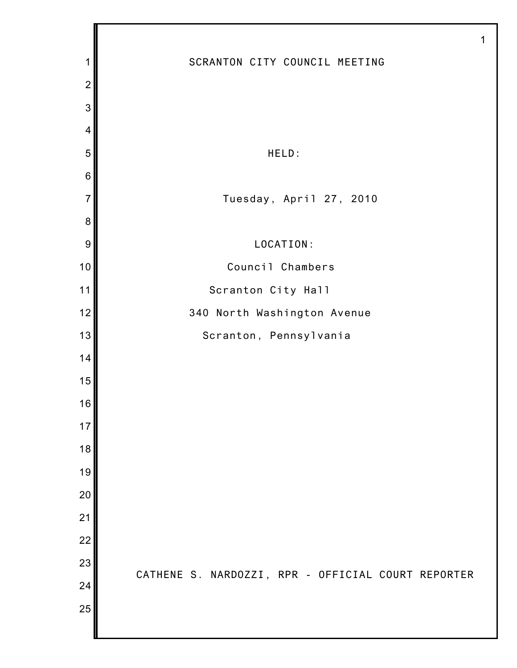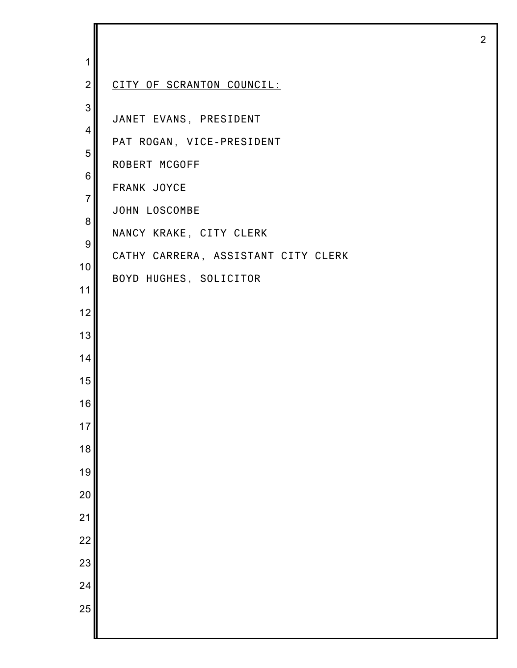| 1                   |                                     |
|---------------------|-------------------------------------|
| $\overline{2}$      | CITY OF SCRANTON COUNCIL:           |
| 3<br>$\overline{4}$ | JANET EVANS, PRESIDENT              |
| 5                   | PAT ROGAN, VICE-PRESIDENT           |
| $\,6$               | ROBERT MCGOFF                       |
| $\overline{7}$      | FRANK JOYCE                         |
| 8                   | JOHN LOSCOMBE                       |
| 9                   | NANCY KRAKE, CITY CLERK             |
| 10                  | CATHY CARRERA, ASSISTANT CITY CLERK |
| 11                  | BOYD HUGHES, SOLICITOR              |
| 12                  |                                     |
| 13                  |                                     |
| 14                  |                                     |
| 15                  |                                     |
|                     |                                     |
| 16                  |                                     |
| 17                  |                                     |
| 18<br>19            |                                     |
|                     |                                     |
| 20<br>21            |                                     |
|                     |                                     |
| $\overline{22}$     |                                     |
| 23                  |                                     |
| 24<br>25            |                                     |
|                     |                                     |

I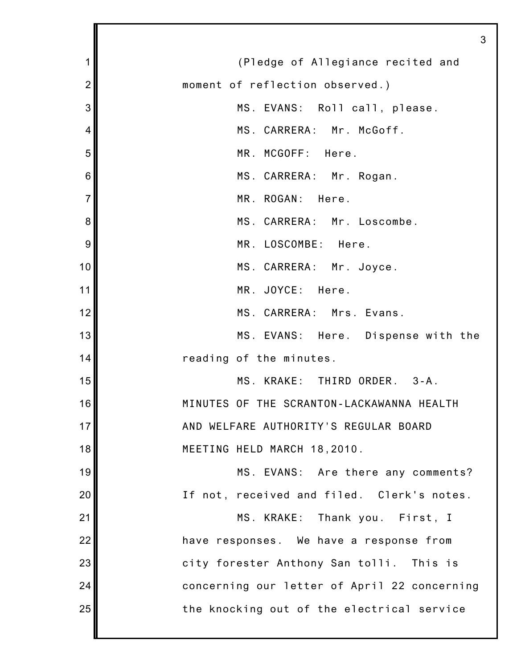|                | З                                            |
|----------------|----------------------------------------------|
| 1              | (Pledge of Allegiance recited and            |
| $\overline{2}$ | moment of reflection observed.)              |
| 3              | MS. EVANS: Roll call, please.                |
| 4              | MS. CARRERA: Mr. McGoff.                     |
| 5              | MR. MCGOFF: Here.                            |
| 6              | MS. CARRERA: Mr. Rogan.                      |
| $\overline{7}$ | MR. ROGAN: Here.                             |
| 8              | MS. CARRERA: Mr. Loscombe.                   |
| 9              | MR. LOSCOMBE: Here.                          |
| 10             | MS. CARRERA: Mr. Joyce.                      |
| 11             | MR. JOYCE: Here.                             |
| 12             | MS. CARRERA: Mrs. Evans.                     |
| 13             | MS. EVANS: Here. Dispense with the           |
| 14             | reading of the minutes.                      |
| 15             | MS. KRAKE: THIRD ORDER. 3-A.                 |
| 16             | MINUTES OF THE SCRANTON-LACKAWANNA HEALTH    |
| 17             | AND WELFARE AUTHORITY'S REGULAR BOARD        |
| 18             | MEETING HELD MARCH 18,2010.                  |
| 19             | MS. EVANS: Are there any comments?           |
| 20             | If not, received and filed. Clerk's notes.   |
| 21             | MS. KRAKE: Thank you. First, I               |
| 22             | have responses. We have a response from      |
| 23             | city forester Anthony San tolli. This is     |
| 24             | concerning our letter of April 22 concerning |
| 25             | the knocking out of the electrical service   |
|                |                                              |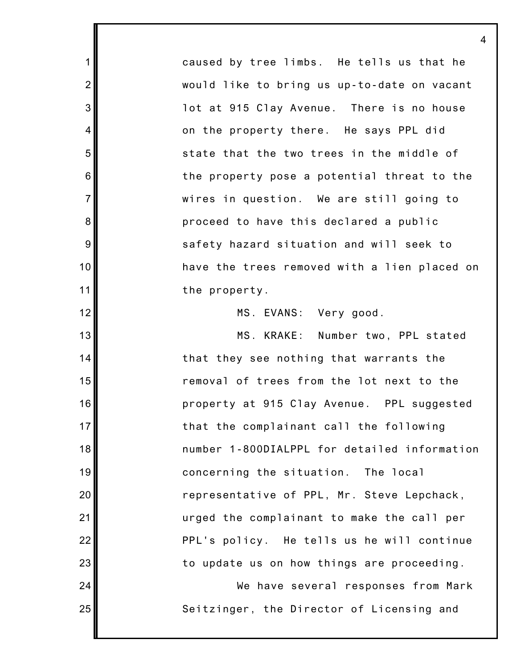caused by tree limbs. He tells us that he would like to bring us up-to-date on vacant lot at 915 Clay Avenue. There is no house on the property there. He says PPL did state that the two trees in the middle of the property pose a potential threat to the wires in question. We are still going to proceed to have this declared a public safety hazard situation and will seek to have the trees removed with a lien placed on the property.

1

2

3

4

5

6

7

8

9

10

11

12

13

14

15

16

17

18

19

20

21

22

23

24

25

MS. EVANS: Very good.

MS. KRAKE: Number two, PPL stated that they see nothing that warrants the removal of trees from the lot next to the property at 915 Clay Avenue. PPL suggested that the complainant call the following number 1-800DIALPPL for detailed information concerning the situation. The local representative of PPL, Mr. Steve Lepchack, urged the complainant to make the call per PPL's policy. He tells us he will continue to update us on how things are proceeding.

We have several responses from Mark Seitzinger, the Director of Licensing and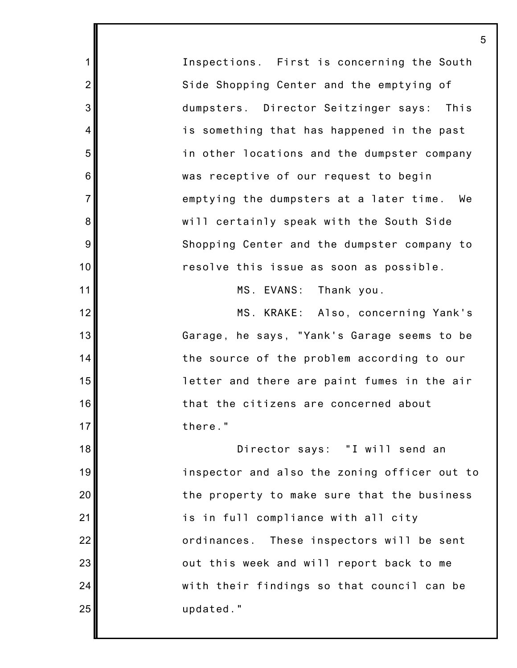Inspections. First is concerning the South Side Shopping Center and the emptying of dumpsters. Director Seitzinger says: This is something that has happened in the past in other locations and the dumpster company was receptive of our request to begin emptying the dumpsters at a later time. We will certainly speak with the South Side Shopping Center and the dumpster company to resolve this issue as soon as possible.

1

2

3

4

5

6

7

8

9

10

11

12

13

14

15

16

17

18

19

20

21

22

23

24

25

MS. EVANS: Thank you.

MS. KRAKE: Also, concerning Yank's Garage, he says, "Yank's Garage seems to be the source of the problem according to our letter and there are paint fumes in the air that the citizens are concerned about there."

Director says: "I will send an inspector and also the zoning officer out to the property to make sure that the business is in full compliance with all city ordinances. These inspectors will be sent out this week and will report back to me with their findings so that council can be updated."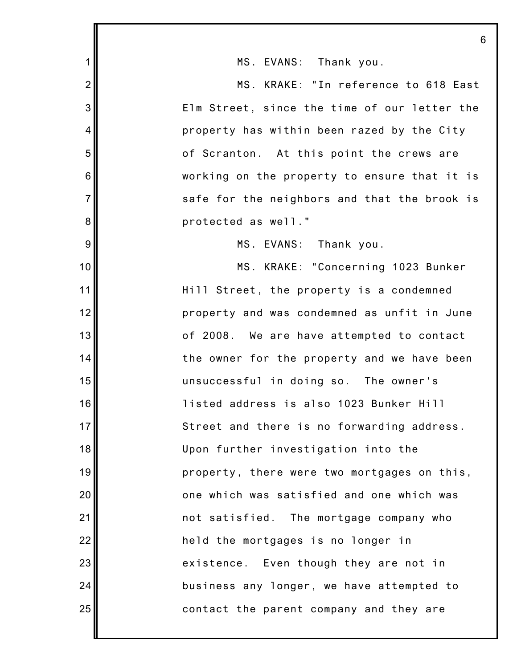|                | 6                                            |
|----------------|----------------------------------------------|
| 1              | MS. EVANS: Thank you.                        |
| $\overline{2}$ | MS. KRAKE: "In reference to 618 East         |
| 3              | Elm Street, since the time of our letter the |
| $\overline{4}$ | property has within been razed by the City   |
| 5              | of Scranton. At this point the crews are     |
| $\,6$          | working on the property to ensure that it is |
| $\overline{7}$ | safe for the neighbors and that the brook is |
| 8              | protected as well."                          |
| 9              | MS. EVANS: Thank you.                        |
| 10             | MS. KRAKE: "Concerning 1023 Bunker           |
| 11             | Hill Street, the property is a condemned     |
| 12             | property and was condemned as unfit in June  |
| 13             | of 2008. We are have attempted to contact    |
| 14             | the owner for the property and we have been  |
| 15             | unsuccessful in doing so. The owner's        |
| 16             | listed address is also 1023 Bunker Hill      |
| 17             | Street and there is no forwarding address.   |
| 18             | Upon further investigation into the          |
| 19             | property, there were two mortgages on this,  |
| 20             | one which was satisfied and one which was    |
| 21             | not satisfied. The mortgage company who      |
| 22             | held the mortgages is no longer in           |
| 23             | existence. Even though they are not in       |
| 24             | business any longer, we have attempted to    |
| 25             | contact the parent company and they are      |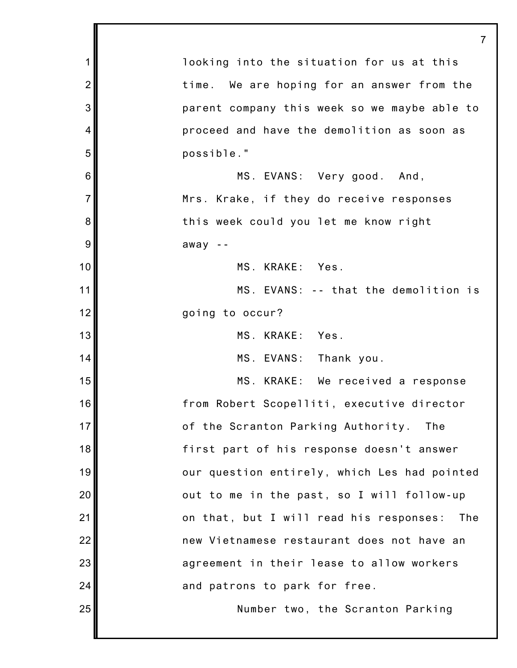| $\mathbf 1$    | looking into the situation for us at this      |
|----------------|------------------------------------------------|
| $\overline{2}$ | time. We are hoping for an answer from the     |
| 3              | parent company this week so we maybe able to   |
| 4              | proceed and have the demolition as soon as     |
| 5              | possible."                                     |
| $\,6$          | MS. EVANS: Very good. And,                     |
| $\overline{7}$ | Mrs. Krake, if they do receive responses       |
| 8              | this week could you let me know right          |
| $9\,$          | $away - -$                                     |
| 10             | MS. KRAKE: Yes.                                |
| 11             | MS. EVANS: -- that the demolition is           |
| 12             | going to occur?                                |
| 13             | MS. KRAKE: Yes.                                |
| 14             | MS. EVANS: Thank you.                          |
| 15             | MS. KRAKE: We received a response              |
| 16             | from Robert Scopelliti, executive director     |
| 17             | of the Scranton Parking Authority. The         |
| 18             | first part of his response doesn't answer      |
| 19             | our question entirely, which Les had pointed   |
| 20             | out to me in the past, so I will follow-up     |
| 21             | on that, but I will read his responses:<br>The |
| 22             | new Vietnamese restaurant does not have an     |
| 23             | agreement in their lease to allow workers      |
| 24             | and patrons to park for free.                  |
| 25             | Number two, the Scranton Parking               |
|                |                                                |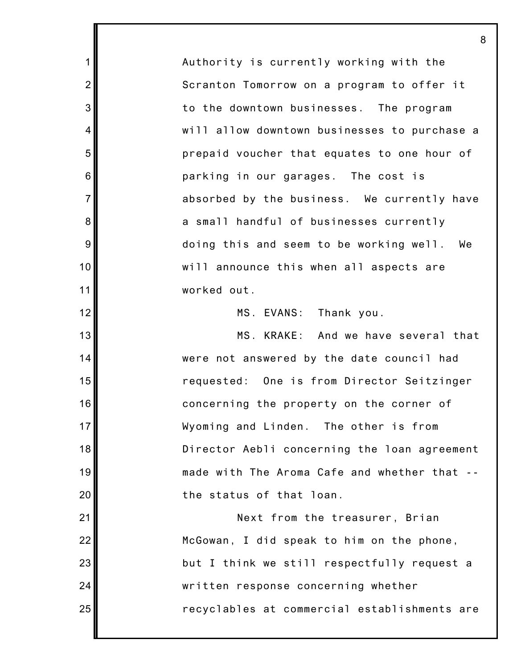Authority is currently working with the Scranton Tomorrow on a program to offer it to the downtown businesses. The program will allow downtown businesses to purchase a prepaid voucher that equates to one hour of parking in our garages. The cost is absorbed by the business. We currently have a small handful of businesses currently doing this and seem to be working well. We will announce this when all aspects are worked out.

1

2

3

4

5

6

7

8

9

10

11

12

13

14

15

16

17

18

19

20

21

22

23

24

25

MS. EVANS: Thank you.

MS. KRAKE: And we have several that were not answered by the date council had requested: One is from Director Seitzinger concerning the property on the corner of Wyoming and Linden. The other is from Director Aebli concerning the loan agreement made with The Aroma Cafe and whether that - the status of that loan.

Next from the treasurer, Brian McGowan, I did speak to him on the phone, but I think we still respectfully request a written response concerning whether recyclables at commercial establishments are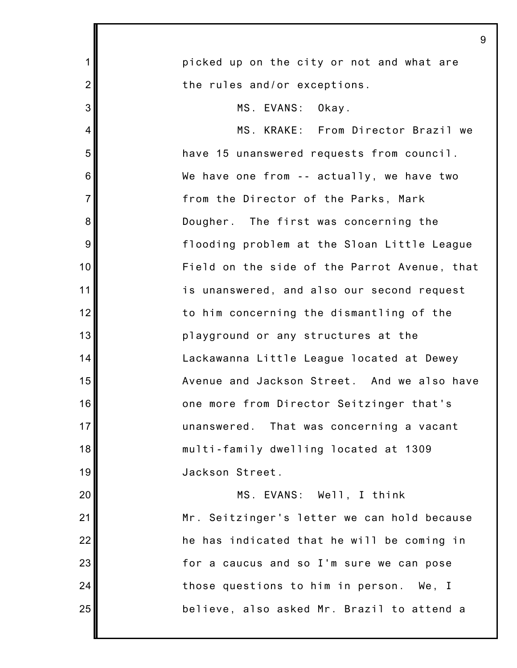| 9                                            |
|----------------------------------------------|
| picked up on the city or not and what are    |
| the rules and/or exceptions.                 |
| MS. EVANS: Okay.                             |
| MS. KRAKE: From Director Brazil we           |
| have 15 unanswered requests from council.    |
| We have one from -- actually, we have two    |
| from the Director of the Parks, Mark         |
| Dougher. The first was concerning the        |
| flooding problem at the Sloan Little League  |
| Field on the side of the Parrot Avenue, that |
| is unanswered, and also our second request   |
| to him concerning the dismantling of the     |
| playground or any structures at the          |
| Lackawanna Little League located at Dewey    |
| Avenue and Jackson Street. And we also have  |
| one more from Director Seitzinger that's     |
| unanswered. That was concerning a vacant     |
| multi-family dwelling located at 1309        |
| Jackson Street.                              |
| MS. EVANS: Well, I think                     |
| Mr. Seitzinger's letter we can hold because  |
| he has indicated that he will be coming in   |
| for a caucus and so I'm sure we can pose     |
| those questions to him in person. We, I      |
| believe, also asked Mr. Brazil to attend a   |
|                                              |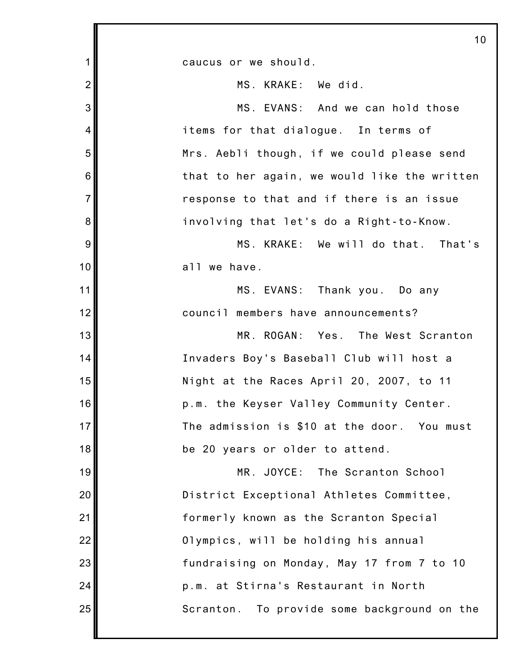|                | 10                                             |
|----------------|------------------------------------------------|
| 1              | caucus or we should.                           |
| $\overline{2}$ | MS. KRAKE: We did.                             |
| 3              | MS. EVANS: And we can hold those               |
| $\overline{4}$ | items for that dialogue. In terms of           |
| 5              | Mrs. Aebli though, if we could please send     |
| 6              | that to her again, we would like the written   |
| $\overline{7}$ | response to that and if there is an issue      |
| $\bf 8$        | involving that let's do a Right-to-Know.       |
| 9              | MS. KRAKE: We will do that. That's             |
| 10             | all we have.                                   |
| 11             | MS. EVANS: Thank you. Do any                   |
| 12             | council members have announcements?            |
| 13             | MR. ROGAN: Yes. The West Scranton              |
| 14             | Invaders Boy's Baseball Club will host a       |
| 15             | Night at the Races April 20, 2007, to 11       |
| 16             | p.m. the Keyser Valley Community Center.       |
| 17             | The admission is \$10 at the door. You must    |
| 18             | be 20 years or older to attend.                |
| 19             | MR. JOYCE: The Scranton School                 |
| 20             | District Exceptional Athletes Committee,       |
| 21             | formerly known as the Scranton Special         |
| 22             | Olympics, will be holding his annual           |
| 23             | fundraising on Monday, May 17 from 7 to 10     |
| 24             | p.m. at Stirna's Restaurant in North           |
| 25             | To provide some background on the<br>Scranton. |
|                |                                                |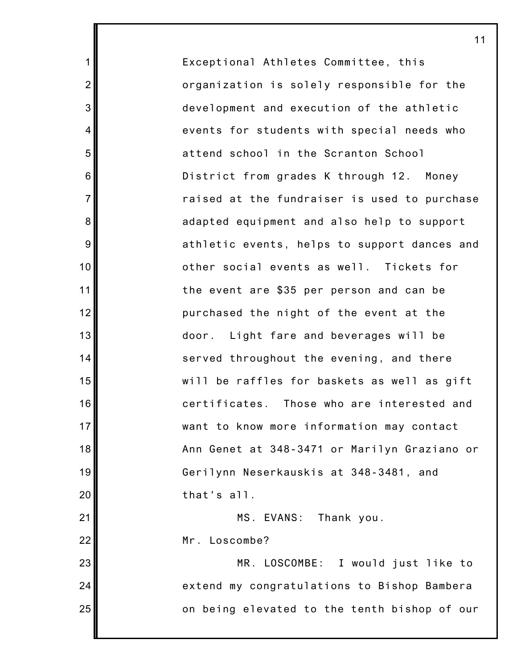Exceptional Athletes Committee, this organization is solely responsible for the development and execution of the athletic events for students with special needs who attend school in the Scranton School District from grades K through 12. Money raised at the fundraiser is used to purchase adapted equipment and also help to support athletic events, helps to support dances and other social events as well. Tickets for the event are \$35 per person and can be purchased the night of the event at the door. Light fare and beverages will be served throughout the evening, and there will be raffles for baskets as well as gift certificates. Those who are interested and want to know more information may contact Ann Genet at 348-3471 or Marilyn Graziano or Gerilynn Neserkauskis at 348-3481, and that's all. MS. EVANS: Thank you.

11

Mr. Loscombe?

1

2

3

4

5

6

7

8

9

10

11

12

13

14

15

16

17

18

19

20

21

22

23

24

25

MR. LOSCOMBE: I would just like to extend my congratulations to Bishop Bambera on being elevated to the tenth bishop of our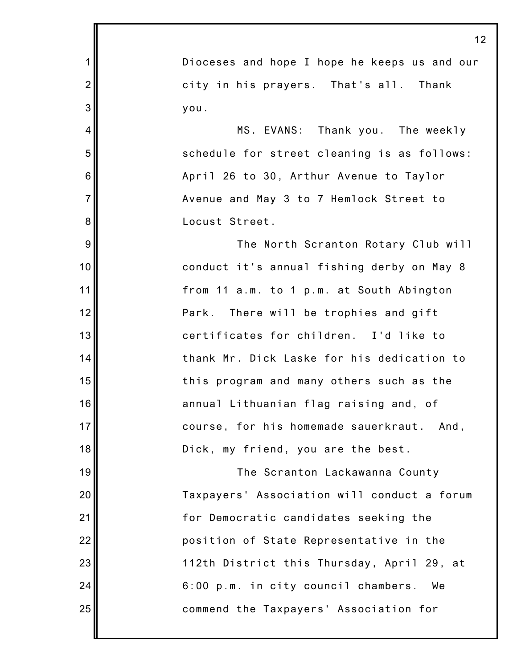1 2 3 4 5 6 7 8 9 10 11 12 13 14 15 16 17 18 19 20 21 22 23 24 25 Dioceses and hope I hope he keeps us and our city in his prayers. That's all. Thank you. MS. EVANS: Thank you. The weekly schedule for street cleaning is as follows: April 26 to 30, Arthur Avenue to Taylor Avenue and May 3 to 7 Hemlock Street to Locust Street. The North Scranton Rotary Club will conduct it's annual fishing derby on May 8 from 11 a.m. to 1 p.m. at South Abington Park. There will be trophies and gift certificates for children. I'd like to thank Mr. Dick Laske for his dedication to this program and many others such as the annual Lithuanian flag raising and, of course, for his homemade sauerkraut. And, Dick, my friend, you are the best. The Scranton Lackawanna County Taxpayers' Association will conduct a forum for Democratic candidates seeking the position of State Representative in the 112th District this Thursday, April 29, at 6:00 p.m. in city council chambers. We commend the Taxpayers' Association for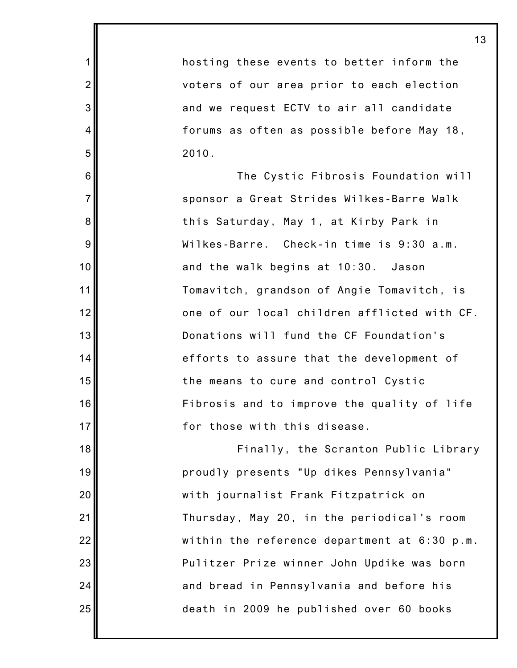hosting these events to better inform the voters of our area prior to each election and we request ECTV to air all candidate forums as often as possible before May 18, 2010.

1

2

3

4

5

6

7

8

9

10

11

12

13

14

15

16

17

18

19

20

21

22

23

24

25

The Cystic Fibrosis Foundation will sponsor a Great Strides Wilkes-Barre Walk this Saturday, May 1, at Kirby Park in Wilkes-Barre. Check-in time is 9:30 a.m. and the walk begins at 10:30. Jason Tomavitch, grandson of Angie Tomavitch, is one of our local children afflicted with CF. Donations will fund the CF Foundation's efforts to assure that the development of the means to cure and control Cystic Fibrosis and to improve the quality of life for those with this disease.

Finally, the Scranton Public Library proudly presents "Up dikes Pennsylvania" with journalist Frank Fitzpatrick on Thursday, May 20, in the periodical's room within the reference department at 6:30 p.m. Pulitzer Prize winner John Updike was born and bread in Pennsylvania and before his death in 2009 he published over 60 books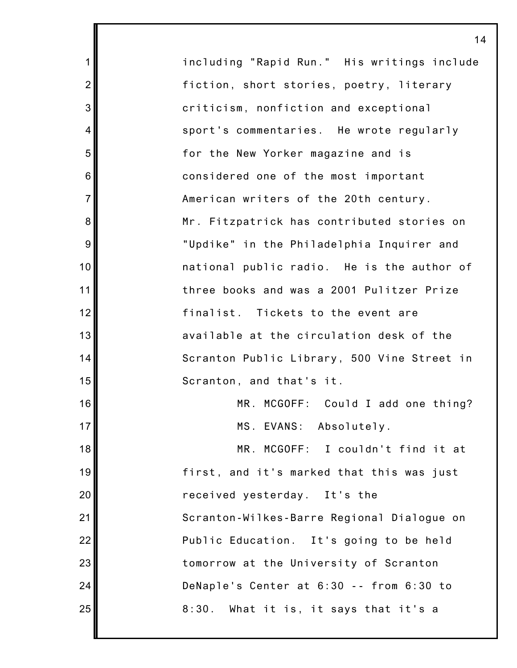| 1               | including "Rapid Run." His writings include |
|-----------------|---------------------------------------------|
| $\overline{2}$  | fiction, short stories, poetry, literary    |
| 3               | criticism, nonfiction and exceptional       |
| 4               | sport's commentaries. He wrote regularly    |
| 5               | for the New Yorker magazine and is          |
| $6\phantom{1}6$ | considered one of the most important        |
| $\overline{7}$  | American writers of the 20th century.       |
| 8               | Mr. Fitzpatrick has contributed stories on  |
| 9               | "Updike" in the Philadelphia Inquirer and   |
| 10              | national public radio. He is the author of  |
| 11              | three books and was a 2001 Pulitzer Prize   |
| 12              | finalist. Tickets to the event are          |
| 13              | available at the circulation desk of the    |
| 14              | Scranton Public Library, 500 Vine Street in |
| 15              | Scranton, and that's it.                    |
| 16              | MR. MCGOFF: Could I add one thing?          |
| 17              | MS. EVANS: Absolutely.                      |
| 18              | MR. MCGOFF: I couldn't find it at           |
| 19              | first, and it's marked that this was just   |
| 20              | received yesterday. It's the                |
| 21              | Scranton-Wilkes-Barre Regional Dialogue on  |
| 22              | Public Education. It's going to be held     |
| 23              | tomorrow at the University of Scranton      |
| 24              | DeNaple's Center at 6:30 -- from 6:30 to    |
| 25              | 8:30.<br>What it is, it says that it's a    |
|                 |                                             |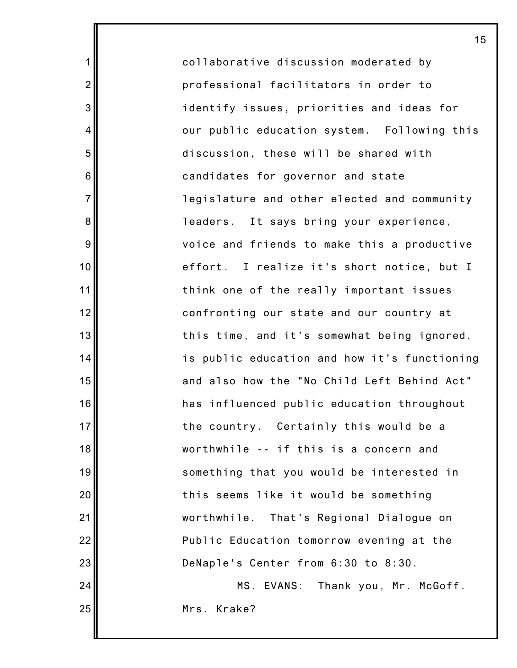collaborative discussion moderated by professional facilitators in order to identify issues, priorities and ideas for our public education system. Following this discussion, these will be shared with candidates for governor and state legislature and other elected and community leaders. It says bring your experience, voice and friends to make this a productive effort. I realize it's short notice, but I think one of the really important issues confronting our state and our country at this time, and it's somewhat being ignored, is public education and how it's functioning and also how the "No Child Left Behind Act" has influenced public education throughout the country. Certainly this would be a worthwhile -- if this is a concern and something that you would be interested in this seems like it would be something worthwhile. That's Regional Dialogue on Public Education tomorrow evening at the DeNaple's Center from 6:30 to 8:30.

1

2

3

4

5

6

7

8

9

10

11

12

13

14

15

16

17

18

19

20

21

22

23

24

25

MS. EVANS: Thank you, Mr. McGoff. Mrs. Krake?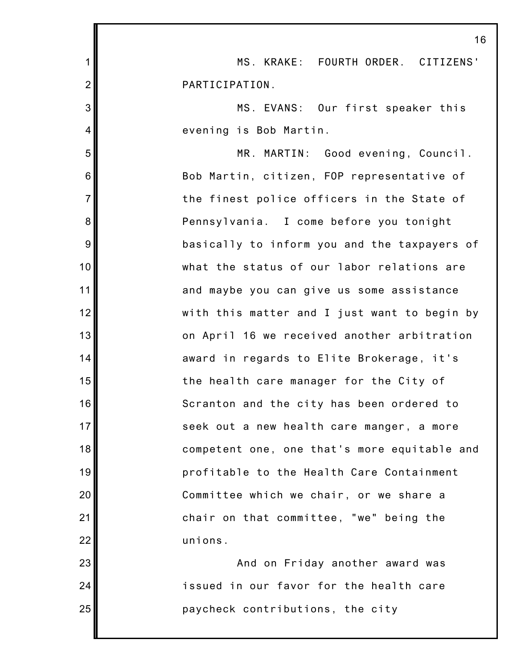|                | 16                                           |
|----------------|----------------------------------------------|
| 1              | MS. KRAKE: FOURTH ORDER. CITIZENS'           |
| $\overline{2}$ | PARTICIPATION.                               |
| 3              | MS. EVANS: Our first speaker this            |
| $\overline{4}$ | evening is Bob Martin.                       |
| 5              | MR. MARTIN: Good evening, Council.           |
| 6              | Bob Martin, citizen, FOP representative of   |
| $\overline{7}$ | the finest police officers in the State of   |
| 8              | Pennsylvania. I come before you tonight      |
| 9              | basically to inform you and the taxpayers of |
| 10             | what the status of our labor relations are   |
| 11             | and maybe you can give us some assistance    |
| 12             | with this matter and I just want to begin by |
| 13             | on April 16 we received another arbitration  |
| 14             | award in regards to Elite Brokerage, it's    |
| 15             | the health care manager for the City of      |
| 16             | Scranton and the city has been ordered to    |
| 17             | seek out a new health care manger, a more    |
| 18             | competent one, one that's more equitable and |
| 19             | profitable to the Health Care Containment    |
| 20             | Committee which we chair, or we share a      |
| 21             | chair on that committee, "we" being the      |
| 22             | unions.                                      |
| 23             | And on Friday another award was              |
| 24             | issued in our favor for the health care      |
| 25             | paycheck contributions, the city             |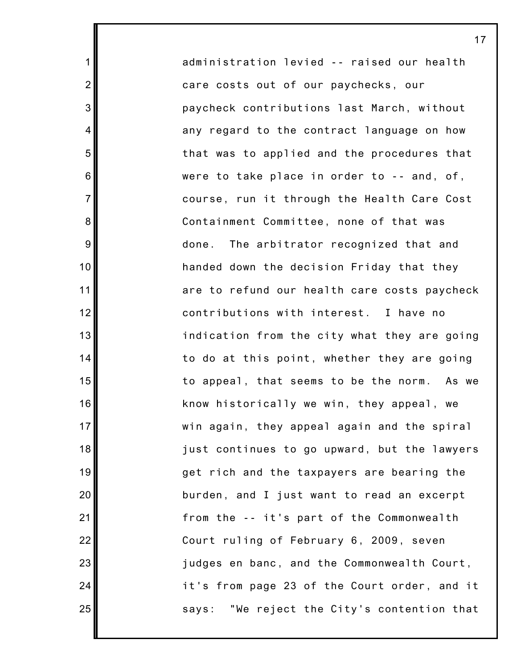administration levied -- raised our health care costs out of our paychecks, our paycheck contributions last March, without any regard to the contract language on how that was to applied and the procedures that were to take place in order to -- and, of, course, run it through the Health Care Cost Containment Committee, none of that was done. The arbitrator recognized that and handed down the decision Friday that they are to refund our health care costs paycheck contributions with interest. I have no indication from the city what they are going to do at this point, whether they are going to appeal, that seems to be the norm. As we know historically we win, they appeal, we win again, they appeal again and the spiral just continues to go upward, but the lawyers get rich and the taxpayers are bearing the burden, and I just want to read an excerpt from the -- it's part of the Commonwealth Court ruling of February 6, 2009, seven judges en banc, and the Commonwealth Court, it's from page 23 of the Court order, and it says: "We reject the City's contention that

17

1

2

3

4

5

6

7

8

9

10

11

12

13

14

15

16

17

18

19

20

21

22

23

24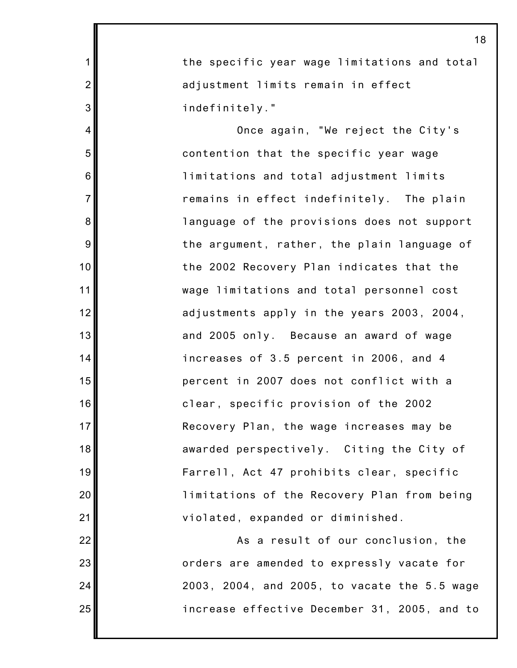the specific year wage limitations and total adjustment limits remain in effect indefinitely."

1

2

3

4

5

6

7

8

9

10

11

12

13

14

15

16

17

18

19

20

21

22

23

24

25

Once again, "We reject the City's contention that the specific year wage limitations and total adjustment limits remains in effect indefinitely. The plain language of the provisions does not support the argument, rather, the plain language of the 2002 Recovery Plan indicates that the wage limitations and total personnel cost adjustments apply in the years 2003, 2004, and 2005 only. Because an award of wage increases of 3.5 percent in 2006, and 4 percent in 2007 does not conflict with a clear, specific provision of the 2002 Recovery Plan, the wage increases may be awarded perspectively. Citing the City of Farrell, Act 47 prohibits clear, specific limitations of the Recovery Plan from being violated, expanded or diminished.

As a result of our conclusion, the orders are amended to expressly vacate for 2003, 2004, and 2005, to vacate the 5.5 wage increase effective December 31, 2005, and to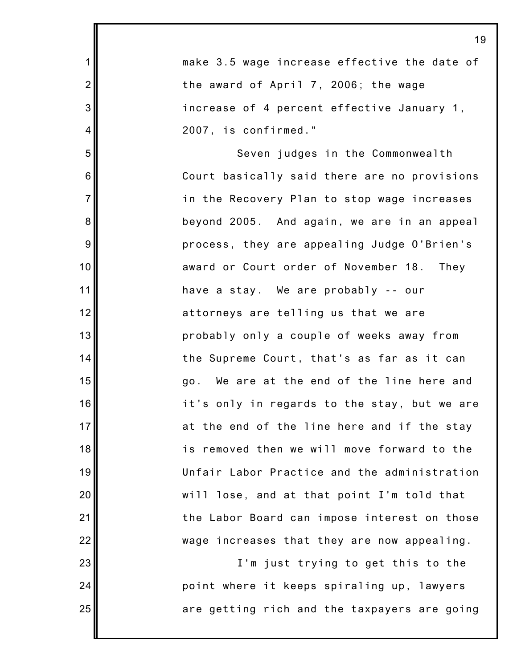|                | 19                                           |
|----------------|----------------------------------------------|
| $\mathbf{1}$   | make 3.5 wage increase effective the date of |
| $\overline{2}$ | the award of April 7, 2006; the wage         |
| 3              | increase of 4 percent effective January 1,   |
| 4              | 2007, is confirmed."                         |
| 5              | Seven judges in the Commonwealth             |
| 6              | Court basically said there are no provisions |
| $\overline{7}$ | in the Recovery Plan to stop wage increases  |
| 8              | beyond 2005. And again, we are in an appeal  |
| 9              | process, they are appealing Judge O'Brien's  |
| 10             | award or Court order of November 18. They    |
| 11             | have a stay. We are probably -- our          |
| 12             | attorneys are telling us that we are         |
| 13             | probably only a couple of weeks away from    |
| 14             | the Supreme Court, that's as far as it can   |
| 15             | go. We are at the end of the line here and   |
| 16             | it's only in regards to the stay, but we are |
| 17             | at the end of the line here and if the stay  |
| 18             | is removed then we will move forward to the  |
| 19             | Unfair Labor Practice and the administration |
| 20             | will lose, and at that point I'm told that   |
| 21             | the Labor Board can impose interest on those |
| 22             | wage increases that they are now appealing.  |
| 23             | I'm just trying to get this to the           |
| 24             | point where it keeps spiraling up, lawyers   |
| 25             | are getting rich and the taxpayers are going |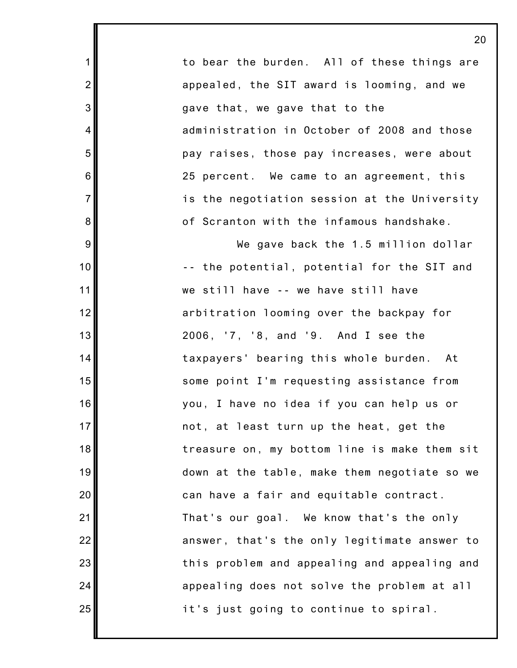to bear the burden. All of these things are appealed, the SIT award is looming, and we gave that, we gave that to the administration in October of 2008 and those pay raises, those pay increases, were about 25 percent. We came to an agreement, this is the negotiation session at the University of Scranton with the infamous handshake.

1

2

3

4

5

6

7

8

9

10

11

12

13

14

15

16

17

18

19

20

21

22

23

24

25

We gave back the 1.5 million dollar -- the potential, potential for the SIT and we still have -- we have still have arbitration looming over the backpay for 2006, '7, '8, and '9. And I see the taxpayers' bearing this whole burden. At some point I'm requesting assistance from you, I have no idea if you can help us or not, at least turn up the heat, get the treasure on, my bottom line is make them sit down at the table, make them negotiate so we can have a fair and equitable contract. That's our goal. We know that's the only answer, that's the only legitimate answer to this problem and appealing and appealing and appealing does not solve the problem at all it's just going to continue to spiral.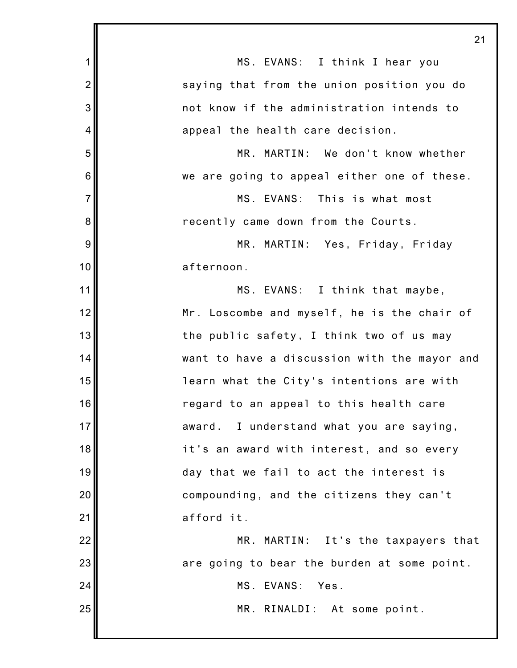|                 | 21                                           |
|-----------------|----------------------------------------------|
| 1               | MS. EVANS: I think I hear you                |
| $\overline{2}$  | saying that from the union position you do   |
| 3               | not know if the administration intends to    |
| $\overline{4}$  | appeal the health care decision.             |
| 5               | MR. MARTIN: We don't know whether            |
| $6\phantom{1}6$ | we are going to appeal either one of these.  |
| $\overline{7}$  | MS. EVANS: This is what most                 |
| 8               | recently came down from the Courts.          |
| 9               | MR. MARTIN: Yes, Friday, Friday              |
| 10              | afternoon.                                   |
| 11              | MS. EVANS: I think that maybe,               |
| 12              | Mr. Loscombe and myself, he is the chair of  |
| 13              | the public safety, I think two of us may     |
| 14              | want to have a discussion with the mayor and |
| 15              | learn what the City's intentions are with    |
| 16              | regard to an appeal to this health care      |
| 17              | award. I understand what you are saying,     |
| 18              | it's an award with interest, and so every    |
| 19              | day that we fail to act the interest is      |
| 20              | compounding, and the citizens they can't     |
| 21              | afford it.                                   |
| 22              | MR. MARTIN: It's the taxpayers that          |
| 23              | are going to bear the burden at some point.  |
| 24              | MS. EVANS:<br>Yes.                           |
| 25              | MR. RINALDI: At some point.                  |
|                 |                                              |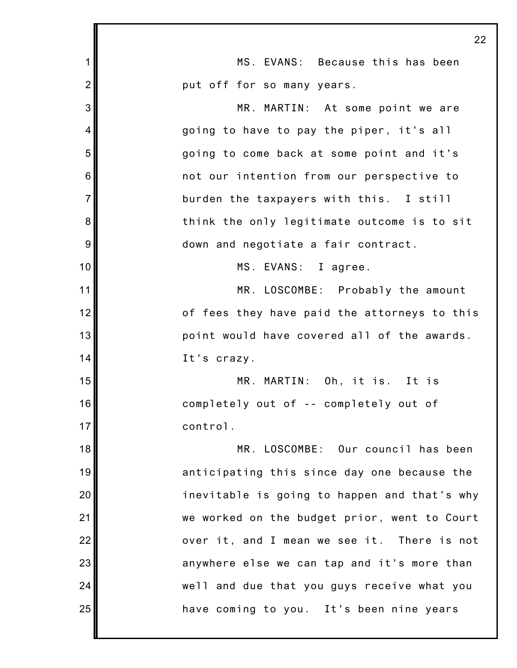|                | 22                                           |
|----------------|----------------------------------------------|
| $\mathbf{1}$   | MS. EVANS: Because this has been             |
| $\overline{2}$ | put off for so many years.                   |
| 3              | MR. MARTIN: At some point we are             |
| $\overline{4}$ | going to have to pay the piper, it's all     |
| 5              | going to come back at some point and it's    |
| 6              | not our intention from our perspective to    |
| $\overline{7}$ | burden the taxpayers with this. I still      |
| 8              | think the only legitimate outcome is to sit  |
| 9              | down and negotiate a fair contract.          |
| 10             | MS. EVANS: I agree.                          |
| 11             | MR. LOSCOMBE: Probably the amount            |
| 12             | of fees they have paid the attorneys to this |
| 13             | point would have covered all of the awards.  |
| 14             | It's crazy.                                  |
| 15             | MR. MARTIN: Oh, it is. It is                 |
| 16             | completely out of -- completely out of       |
| 17             | control.                                     |
| 18             | MR. LOSCOMBE: Our council has been           |
| 19             | anticipating this since day one because the  |
| 20             | inevitable is going to happen and that's why |
| 21             | we worked on the budget prior, went to Court |
| 22             | over it, and I mean we see it. There is not  |
| 23             | anywhere else we can tap and it's more than  |
| 24             | well and due that you guys receive what you  |
| 25             | have coming to you. It's been nine years     |
|                |                                              |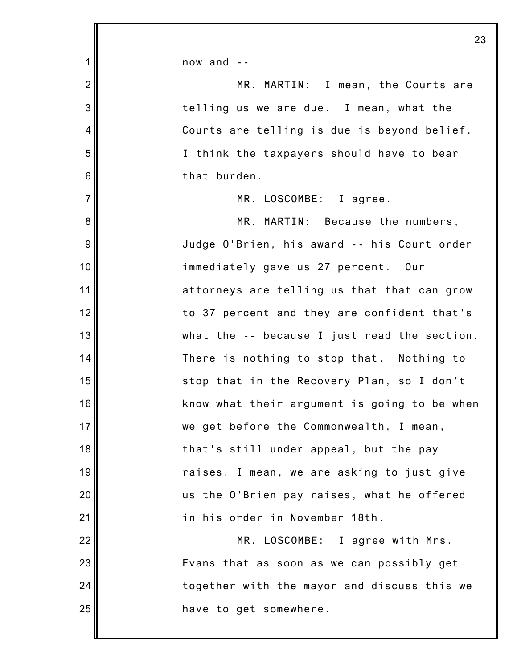now and --

 $1<sup>1</sup>$ 

| $\overline{2}$  | MR. MARTIN: I mean, the Courts are           |
|-----------------|----------------------------------------------|
| 3               | telling us we are due. I mean, what the      |
| 4               | Courts are telling is due is beyond belief.  |
| 5               | I think the taxpayers should have to bear    |
| $6\phantom{1}6$ | that burden.                                 |
| $\overline{7}$  | MR. LOSCOMBE: I agree.                       |
| 8               | MR. MARTIN: Because the numbers,             |
| 9               | Judge O'Brien, his award -- his Court order  |
| 10              | immediately gave us 27 percent. Our          |
| 11              | attorneys are telling us that that can grow  |
| 12              | to 37 percent and they are confident that's  |
| 13              | what the -- because I just read the section. |
| 14              | There is nothing to stop that. Nothing to    |
| 15              | stop that in the Recovery Plan, so I don't   |
| 16              | know what their argument is going to be when |
| 17              | we get before the Commonwealth, I mean,      |
| 18              | that's still under appeal, but the pay       |
| 19              | raises, I mean, we are asking to just give   |
| 20              | us the O'Brien pay raises, what he offered   |
| 21              | in his order in November 18th.               |
| 22              | MR. LOSCOMBE: I agree with Mrs.              |
| 23              | Evans that as soon as we can possibly get    |
| 24              | together with the mayor and discuss this we  |
| 25              | have to get somewhere.                       |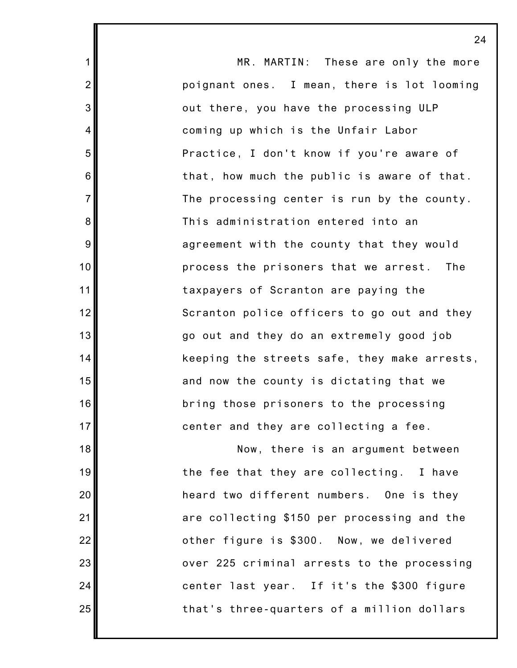MR. MARTIN: These are only the more poignant ones. I mean, there is lot looming out there, you have the processing ULP coming up which is the Unfair Labor Practice, I don't know if you're aware of that, how much the public is aware of that. The processing center is run by the county. This administration entered into an agreement with the county that they would process the prisoners that we arrest. The taxpayers of Scranton are paying the Scranton police officers to go out and they go out and they do an extremely good job keeping the streets safe, they make arrests, and now the county is dictating that we bring those prisoners to the processing center and they are collecting a fee. Now, there is an argument between the fee that they are collecting. I have heard two different numbers. One is they are collecting \$150 per processing and the other figure is \$300. Now, we delivered over 225 criminal arrests to the processing center last year. If it's the \$300 figure

that's three-quarters of a million dollars

1

2

3

4

5

6

7

8

9

10

11

12

13

14

15

16

17

18

19

20

21

22

23

24

25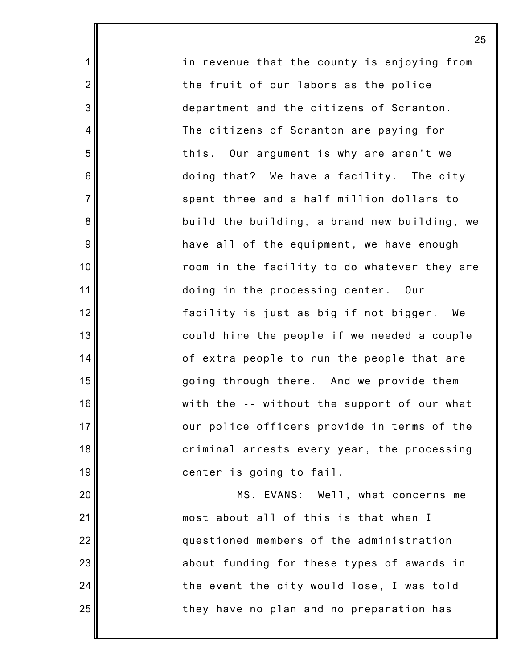in revenue that the county is enjoying from the fruit of our labors as the police department and the citizens of Scranton. The citizens of Scranton are paying for this. Our argument is why are aren't we doing that? We have a facility. The city spent three and a half million dollars to build the building, a brand new building, we have all of the equipment, we have enough room in the facility to do whatever they are doing in the processing center. Our facility is just as big if not bigger. We could hire the people if we needed a couple of extra people to run the people that are going through there. And we provide them with the -- without the support of our what our police officers provide in terms of the criminal arrests every year, the processing center is going to fail.

1

2

3

4

5

6

7

8

9

10

11

12

13

14

15

16

17

18

19

20

21

22

23

24

25

MS. EVANS: Well, what concerns me most about all of this is that when I questioned members of the administration about funding for these types of awards in the event the city would lose, I was told they have no plan and no preparation has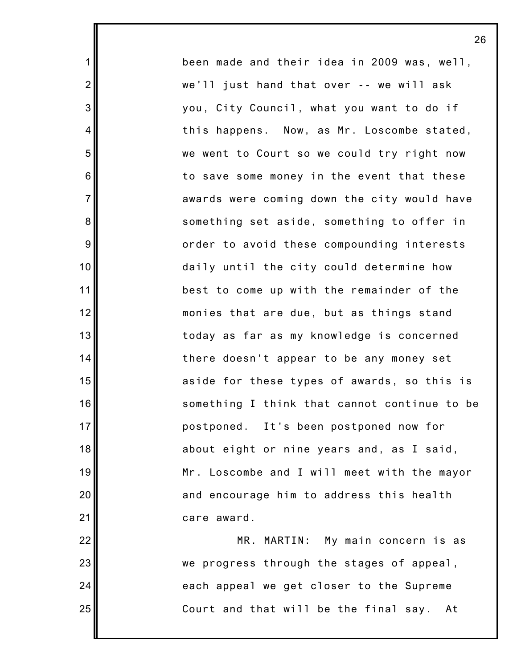been made and their idea in 2009 was, well, we'll just hand that over -- we will ask you, City Council, what you want to do if this happens. Now, as Mr. Loscombe stated, we went to Court so we could try right now to save some money in the event that these awards were coming down the city would have something set aside, something to offer in order to avoid these compounding interests daily until the city could determine how best to come up with the remainder of the monies that are due, but as things stand today as far as my knowledge is concerned there doesn't appear to be any money set aside for these types of awards, so this is something I think that cannot continue to be postponed. It's been postponed now for about eight or nine years and, as I said, Mr. Loscombe and I will meet with the mayor and encourage him to address this health care award.

1

2

3

4

5

6

7

8

9

10

11

12

13

14

15

16

17

18

19

20

21

22

23

24

25

MR. MARTIN: My main concern is as we progress through the stages of appeal, each appeal we get closer to the Supreme Court and that will be the final say. At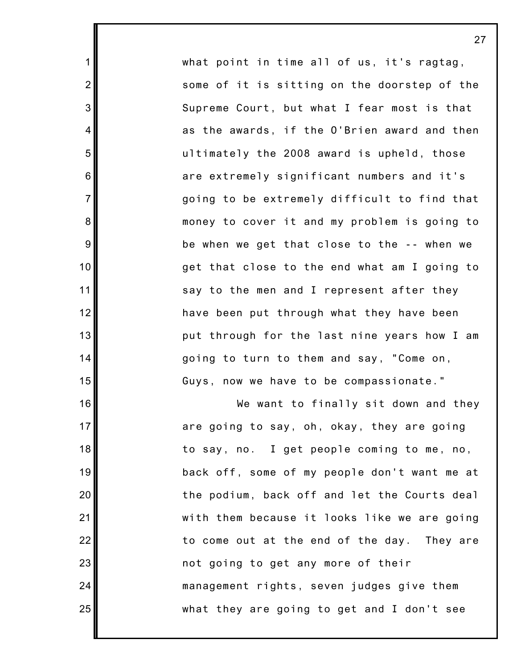what point in time all of us, it's ragtag, some of it is sitting on the doorstep of the Supreme Court, but what I fear most is that as the awards, if the O'Brien award and then ultimately the 2008 award is upheld, those are extremely significant numbers and it's going to be extremely difficult to find that money to cover it and my problem is going to be when we get that close to the -- when we get that close to the end what am I going to say to the men and I represent after they have been put through what they have been put through for the last nine years how I am going to turn to them and say, "Come on, Guys, now we have to be compassionate."

1

2

3

4

5

6

7

8

9

10

11

12

13

14

15

16

17

18

19

20

21

22

23

24

25

We want to finally sit down and they are going to say, oh, okay, they are going to say, no. I get people coming to me, no, back off, some of my people don't want me at the podium, back off and let the Courts deal with them because it looks like we are going to come out at the end of the day. They are not going to get any more of their management rights, seven judges give them what they are going to get and I don't see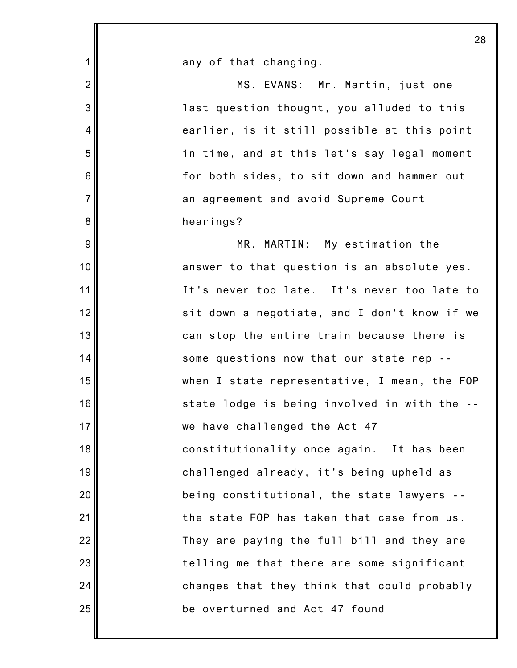| 1              | any of that changing.                        |
|----------------|----------------------------------------------|
| $\overline{2}$ | MS. EVANS: Mr. Martin, just one              |
| 3              | last question thought, you alluded to this   |
| 4              | earlier, is it still possible at this point  |
| 5              | in time, and at this let's say legal moment  |
| 6              | for both sides, to sit down and hammer out   |
| $\overline{7}$ | an agreement and avoid Supreme Court         |
| 8              | hearings?                                    |
| 9              | MR. MARTIN: My estimation the                |
| 10             | answer to that question is an absolute yes.  |
| 11             | It's never too late. It's never too late to  |
| 12             | sit down a negotiate, and I don't know if we |
| 13             | can stop the entire train because there is   |
| 14             | some questions now that our state rep --     |
| 15             | when I state representative, I mean, the FOP |
| 16             | state lodge is being involved in with the -- |
| 17             | we have challenged the Act 47                |
| 18             | constitutionality once again. It has been    |
| 19             | challenged already, it's being upheld as     |
| 20             | being constitutional, the state lawyers --   |
| 21             | the state FOP has taken that case from us.   |
| 22             | They are paying the full bill and they are   |
| 23             | telling me that there are some significant   |
| 24             | changes that they think that could probably  |
| 25             | be overturned and Act 47 found               |
|                |                                              |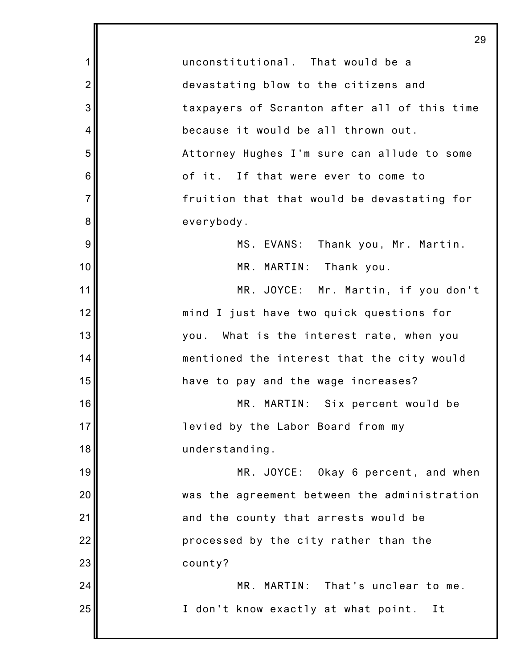1 2 3 4 5 6 7 8 9 10 11 12 13 14 15 16 17 18 19 20 21 22 23 24 25 29 unconstitutional. That would be a devastating blow to the citizens and taxpayers of Scranton after all of this time because it would be all thrown out. Attorney Hughes I'm sure can allude to some of it. If that were ever to come to fruition that that would be devastating for everybody. MS. EVANS: Thank you, Mr. Martin. MR. MARTIN: Thank you. MR. JOYCE: Mr. Martin, if you don't mind I just have two quick questions for you. What is the interest rate, when you mentioned the interest that the city would have to pay and the wage increases? MR. MARTIN: Six percent would be levied by the Labor Board from my understanding. MR. JOYCE: Okay 6 percent, and when was the agreement between the administration and the county that arrests would be processed by the city rather than the county? MR. MARTIN: That's unclear to me. I don't know exactly at what point. It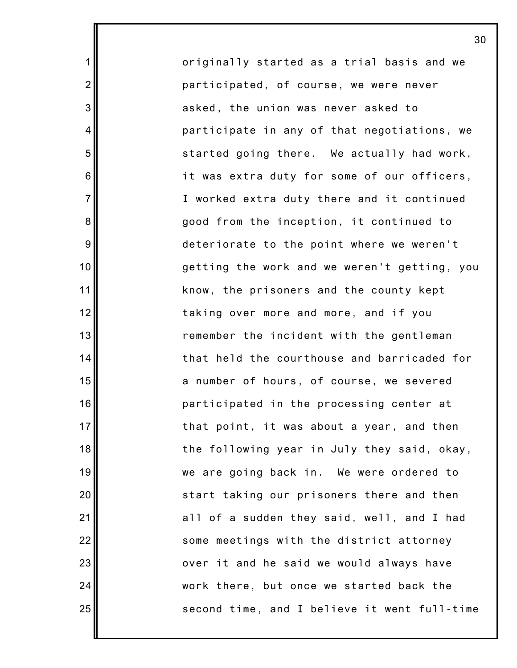originally started as a trial basis and we participated, of course, we were never asked, the union was never asked to participate in any of that negotiations, we started going there. We actually had work, it was extra duty for some of our officers, I worked extra duty there and it continued good from the inception, it continued to deteriorate to the point where we weren't getting the work and we weren't getting, you know, the prisoners and the county kept taking over more and more, and if you remember the incident with the gentleman that held the courthouse and barricaded for a number of hours, of course, we severed participated in the processing center at that point, it was about a year, and then the following year in July they said, okay, we are going back in. We were ordered to start taking our prisoners there and then all of a sudden they said, well, and I had some meetings with the district attorney over it and he said we would always have work there, but once we started back the second time, and I believe it went full-time

1

2

3

4

5

6

7

8

9

10

11

12

13

14

15

16

17

18

19

20

21

22

23

24

25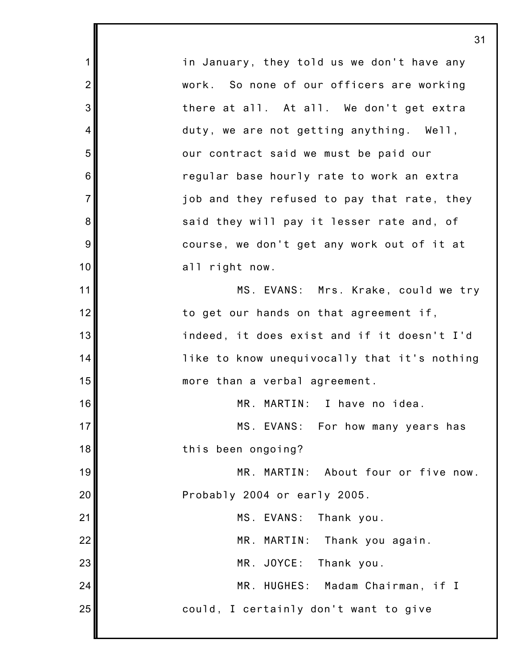1 2 3 4 5 6 7 8 9 10 11 12 13 14 15 16 17 18 19 20 21 22 23 24 25 in January, they told us we don't have any work. So none of our officers are working there at all. At all. We don't get extra duty, we are not getting anything. Well, our contract said we must be paid our regular base hourly rate to work an extra job and they refused to pay that rate, they said they will pay it lesser rate and, of course, we don't get any work out of it at all right now. MS. EVANS: Mrs. Krake, could we try to get our hands on that agreement if, indeed, it does exist and if it doesn't I'd like to know unequivocally that it's nothing more than a verbal agreement. MR. MARTIN: I have no idea. MS. EVANS: For how many years has this been ongoing? MR. MARTIN: About four or five now. Probably 2004 or early 2005. MS. EVANS: Thank you. MR. MARTIN: Thank you again. MR. JOYCE: Thank you. MR. HUGHES: Madam Chairman, if I could, I certainly don't want to give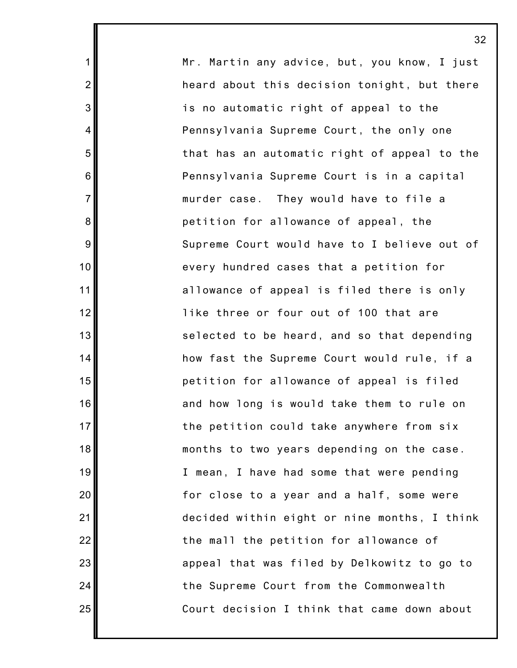Mr. Martin any advice, but, you know, I just heard about this decision tonight, but there is no automatic right of appeal to the Pennsylvania Supreme Court, the only one that has an automatic right of appeal to the Pennsylvania Supreme Court is in a capital murder case. They would have to file a petition for allowance of appeal, the Supreme Court would have to I believe out of every hundred cases that a petition for allowance of appeal is filed there is only like three or four out of 100 that are selected to be heard, and so that depending how fast the Supreme Court would rule, if a petition for allowance of appeal is filed and how long is would take them to rule on the petition could take anywhere from six months to two years depending on the case. I mean, I have had some that were pending for close to a year and a half, some were decided within eight or nine months, I think the mall the petition for allowance of appeal that was filed by Delkowitz to go to the Supreme Court from the Commonwealth Court decision I think that came down about

32

1

2

3

4

5

6

7

8

9

10

11

12

13

14

15

16

17

18

19

20

21

22

23

24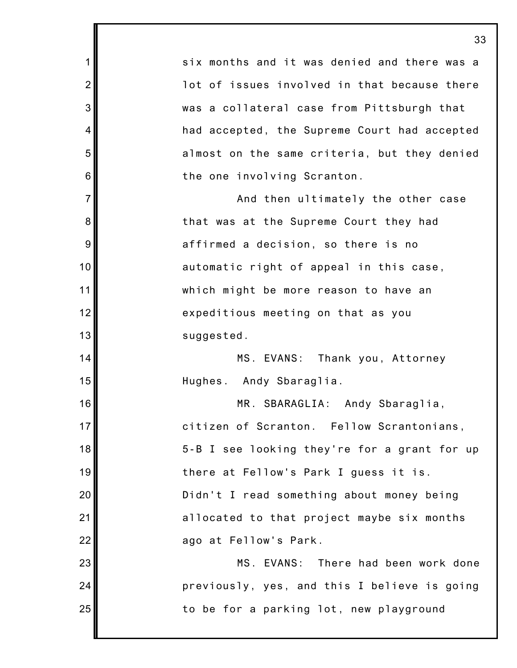1 2 3 4 5 6 7 8 9 10 11 12 13 14 15 16 17 18 19 20 21 22 23 24 25 33 six months and it was denied and there was a lot of issues involved in that because there was a collateral case from Pittsburgh that had accepted, the Supreme Court had accepted almost on the same criteria, but they denied the one involving Scranton. And then ultimately the other case that was at the Supreme Court they had affirmed a decision, so there is no automatic right of appeal in this case, which might be more reason to have an expeditious meeting on that as you suggested. MS. EVANS: Thank you, Attorney Hughes. Andy Sbaraglia. MR. SBARAGLIA: Andy Sbaraglia, citizen of Scranton. Fellow Scrantonians, 5-B I see looking they're for a grant for up there at Fellow's Park I guess it is. Didn't I read something about money being allocated to that project maybe six months ago at Fellow's Park. MS. EVANS: There had been work done previously, yes, and this I believe is going to be for a parking lot, new playground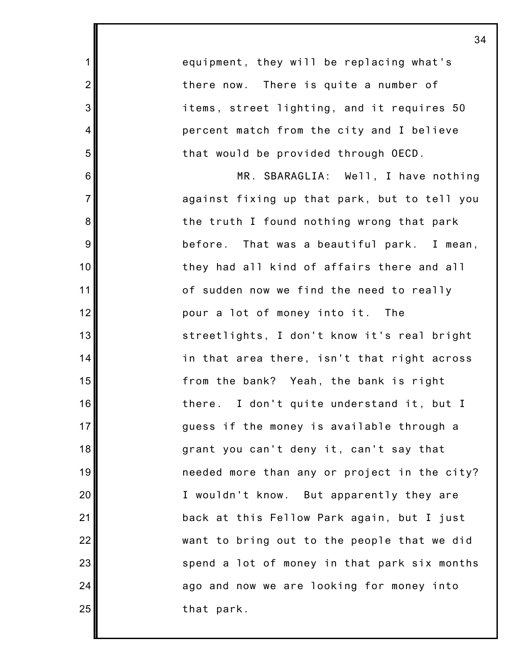equipment, they will be replacing what's there now. There is quite a number of items, street lighting, and it requires 50 percent match from the city and I believe that would be provided through OECD.

1

2

3

4

5

6

7

8

9

10

11

12

13

14

15

16

17

18

19

20

21

22

23

24

25

MR. SBARAGLIA: Well, I have nothing against fixing up that park, but to tell you the truth I found nothing wrong that park before. That was a beautiful park. I mean, they had all kind of affairs there and all of sudden now we find the need to really pour a lot of money into it. The streetlights, I don't know it's real bright in that area there, isn't that right across from the bank? Yeah, the bank is right there. I don't quite understand it, but I guess if the money is available through a grant you can't deny it, can't say that needed more than any or project in the city? I wouldn't know. But apparently they are back at this Fellow Park again, but I just want to bring out to the people that we did spend a lot of money in that park six months ago and now we are looking for money into that park.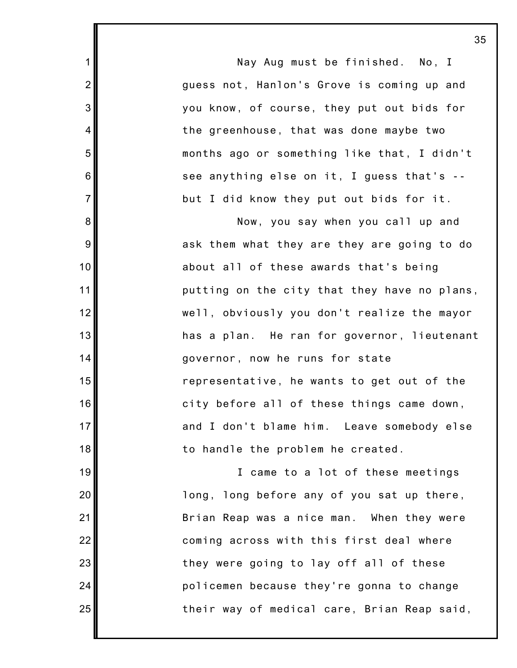Nay Aug must be finished. No, I guess not, Hanlon's Grove is coming up and you know, of course, they put out bids for the greenhouse, that was done maybe two months ago or something like that, I didn't see anything else on it, I guess that's - but I did know they put out bids for it.

1

2

3

4

5

6

7

8

9

10

11

12

13

14

15

16

17

18

19

20

21

22

23

24

25

Now, you say when you call up and ask them what they are they are going to do about all of these awards that's being putting on the city that they have no plans, well, obviously you don't realize the mayor has a plan. He ran for governor, lieutenant governor, now he runs for state representative, he wants to get out of the city before all of these things came down, and I don't blame him. Leave somebody else to handle the problem he created.

I came to a lot of these meetings long, long before any of you sat up there, Brian Reap was a nice man. When they were coming across with this first deal where they were going to lay off all of these policemen because they're gonna to change their way of medical care, Brian Reap said,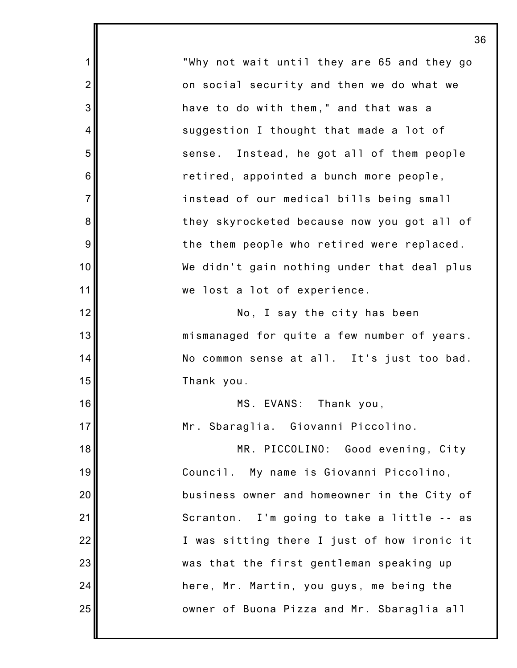"Why not wait until they are 65 and they go on social security and then we do what we have to do with them," and that was a suggestion I thought that made a lot of sense. Instead, he got all of them people retired, appointed a bunch more people, instead of our medical bills being small they skyrocketed because now you got all of the them people who retired were replaced. We didn't gain nothing under that deal plus we lost a lot of experience. No, I say the city has been mismanaged for quite a few number of years. No common sense at all. It's just too bad. Thank you. MS. EVANS: Thank you, Mr. Sbaraglia. Giovanni Piccolino. MR. PICCOLINO: Good evening, City

1

2

3

4

5

6

7

8

9

10

11

12

13

14

15

16

17

18

19

20

21

22

23

24

25

Council. My name is Giovanni Piccolino, business owner and homeowner in the City of Scranton. I'm going to take a little -- as I was sitting there I just of how ironic it was that the first gentleman speaking up here, Mr. Martin, you guys, me being the owner of Buona Pizza and Mr. Sbaraglia all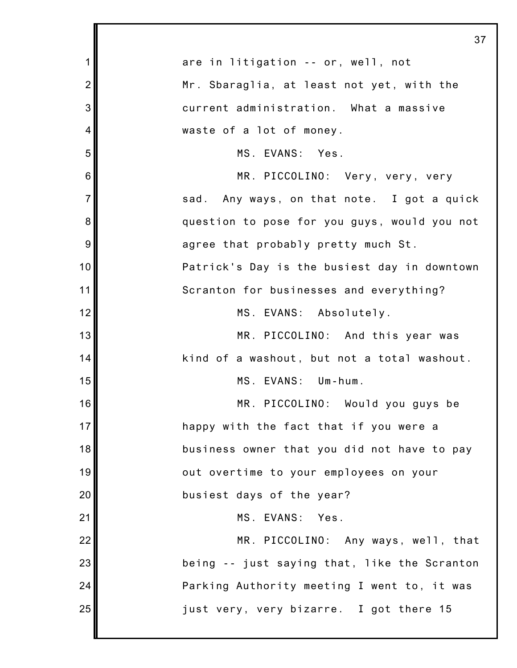|                | 37                                           |
|----------------|----------------------------------------------|
| 1              | are in litigation -- or, well, not           |
| $\overline{2}$ | Mr. Sbaraglia, at least not yet, with the    |
| 3              | current administration. What a massive       |
| 4              | waste of a lot of money.                     |
| 5              | MS. EVANS: Yes.                              |
| 6              | MR. PICCOLINO: Very, very, very              |
| $\overline{7}$ | sad. Any ways, on that note. I got a quick   |
| 8              | question to pose for you guys, would you not |
| 9              | agree that probably pretty much St.          |
| 10             | Patrick's Day is the busiest day in downtown |
| 11             | Scranton for businesses and everything?      |
| 12             | MS. EVANS: Absolutely.                       |
| 13             | MR. PICCOLINO: And this year was             |
| 14             | kind of a washout, but not a total washout.  |
| 15             | MS. EVANS: Um-hum.                           |
| 16             | MR. PICCOLINO: Would you guys be             |
| 17             | happy with the fact that if you were a       |
| 18             | business owner that you did not have to pay  |
| 19             | out overtime to your employees on your       |
| 20             | busiest days of the year?                    |
| 21             | MS. EVANS: Yes.                              |
| 22             | MR. PICCOLINO: Any ways, well, that          |
| 23             | being -- just saying that, like the Scranton |
| 24             | Parking Authority meeting I went to, it was  |
| 25             | just very, very bizarre. I got there 15      |
|                |                                              |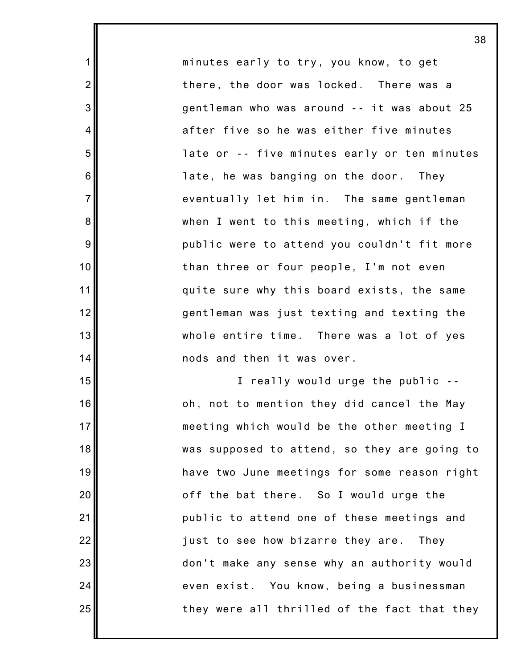minutes early to try, you know, to get there, the door was locked. There was a gentleman who was around -- it was about 25 after five so he was either five minutes late or -- five minutes early or ten minutes late, he was banging on the door. They eventually let him in. The same gentleman when I went to this meeting, which if the public were to attend you couldn't fit more than three or four people, I'm not even quite sure why this board exists, the same gentleman was just texting and texting the whole entire time. There was a lot of yes nods and then it was over.

1

2

3

4

5

6

7

8

9

10

11

12

13

14

15

16

17

18

19

20

21

22

23

24

25

I really would urge the public - oh, not to mention they did cancel the May meeting which would be the other meeting I was supposed to attend, so they are going to have two June meetings for some reason right off the bat there. So I would urge the public to attend one of these meetings and just to see how bizarre they are. They don't make any sense why an authority would even exist. You know, being a businessman they were all thrilled of the fact that they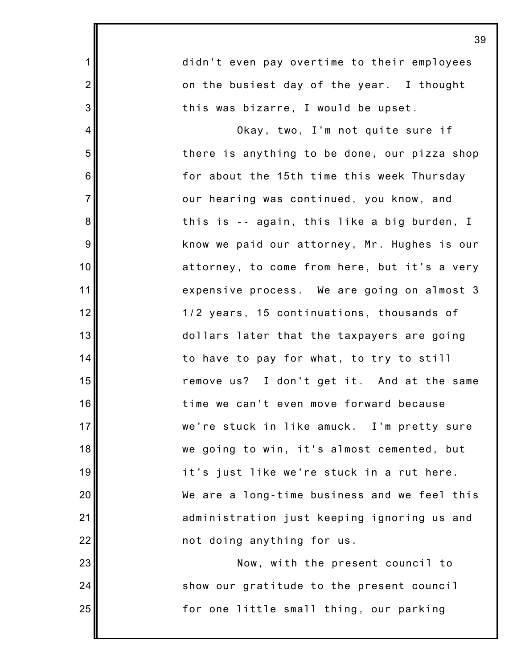| $\mathbf 1$    | didn't even pay overtime to their employees  |
|----------------|----------------------------------------------|
| $\overline{2}$ | on the busiest day of the year. I thought    |
| $\mathbf{3}$   | this was bizarre, I would be upset.          |
| $\overline{4}$ | Okay, two, I'm not quite sure if             |
| 5              | there is anything to be done, our pizza shop |
| $\,6$          | for about the 15th time this week Thursday   |
| $\overline{7}$ | our hearing was continued, you know, and     |
| $\bf 8$        | this is -- again, this like a big burden, I  |
| $9$            | know we paid our attorney, Mr. Hughes is our |
| 10             | attorney, to come from here, but it's a very |
| 11             | expensive process. We are going on almost 3  |
| 12             | 1/2 years, 15 continuations, thousands of    |
| 13             | dollars later that the taxpayers are going   |
| 14             | to have to pay for what, to try to still     |
| 15             | remove us? I don't get it. And at the same   |
| 16             | time we can't even move forward because      |
| 17             | we're stuck in like amuck. I'm pretty sure   |
| 18             | we going to win, it's almost cemented, but   |
| 19             | it's just like we're stuck in a rut here.    |
| 20             | We are a long-time business and we feel this |
| 21             | administration just keeping ignoring us and  |
| 22             | not doing anything for us.                   |
| 23             | Now, with the present council to             |
| 24             | show our gratitude to the present council    |

for one little small thing, our parking

25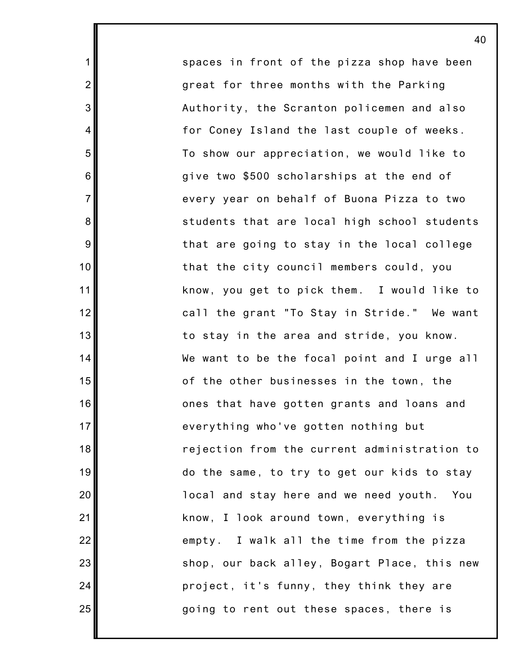spaces in front of the pizza shop have been great for three months with the Parking Authority, the Scranton policemen and also for Coney Island the last couple of weeks. To show our appreciation, we would like to give two \$500 scholarships at the end of every year on behalf of Buona Pizza to two students that are local high school students that are going to stay in the local college that the city council members could, you know, you get to pick them. I would like to call the grant "To Stay in Stride." We want to stay in the area and stride, you know. We want to be the focal point and I urge all of the other businesses in the town, the ones that have gotten grants and loans and everything who've gotten nothing but rejection from the current administration to do the same, to try to get our kids to stay local and stay here and we need youth. You know, I look around town, everything is empty. I walk all the time from the pizza shop, our back alley, Bogart Place, this new project, it's funny, they think they are going to rent out these spaces, there is

1

2

3

4

5

6

7

8

9

10

11

12

13

14

15

16

17

18

19

20

21

22

23

24

25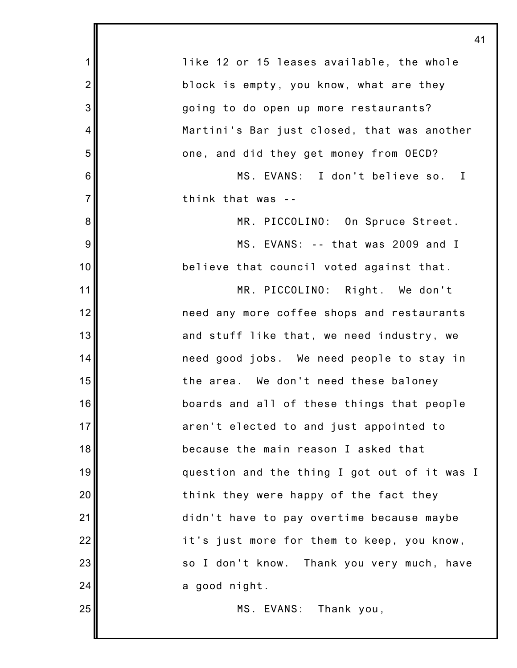|                | 41                                           |
|----------------|----------------------------------------------|
| 1              | like 12 or 15 leases available, the whole    |
| $\overline{2}$ | block is empty, you know, what are they      |
| 3              | going to do open up more restaurants?        |
| 4              | Martini's Bar just closed, that was another  |
| 5              | one, and did they get money from OECD?       |
| 6              | MS. EVANS: I don't believe so. I             |
| $\overline{7}$ | think that was --                            |
| 8              | MR. PICCOLINO: On Spruce Street.             |
| 9              | MS. EVANS: -- that was 2009 and I            |
| 10             | believe that council voted against that.     |
| 11             | MR. PICCOLINO: Right. We don't               |
| 12             | need any more coffee shops and restaurants   |
| 13             | and stuff like that, we need industry, we    |
| 14             | need good jobs. We need people to stay in    |
| 15             | the area. We don't need these baloney        |
| 16             | boards and all of these things that people   |
| 17             | aren't elected to and just appointed to      |
| 18             | because the main reason I asked that         |
| 19             | question and the thing I got out of it was I |
| 20             | think they were happy of the fact they       |
| 21             | didn't have to pay overtime because maybe    |
| 22             | it's just more for them to keep, you know,   |
| 23             | so I don't know. Thank you very much, have   |
| 24             | a good night.                                |
| 25             | MS. EVANS: Thank you,                        |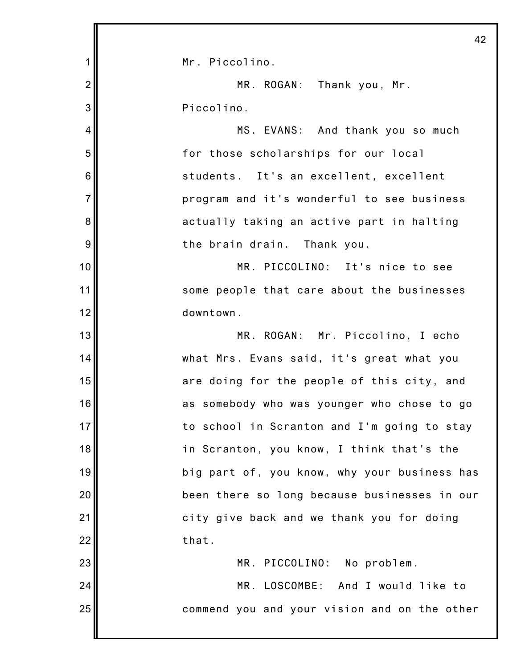|                | 42                                           |
|----------------|----------------------------------------------|
| 1              | Mr. Piccolino.                               |
| $\overline{2}$ | MR. ROGAN: Thank you, Mr.                    |
| 3              | Piccolino.                                   |
| 4              | MS. EVANS: And thank you so much             |
| 5              | for those scholarships for our local         |
| 6              | students. It's an excellent, excellent       |
| $\overline{7}$ | program and it's wonderful to see business   |
| 8              | actually taking an active part in halting    |
| 9              | the brain drain. Thank you.                  |
| 10             | MR. PICCOLINO: It's nice to see              |
| 11             | some people that care about the businesses   |
| 12             | downtown.                                    |
| 13             | MR. ROGAN: Mr. Piccolino, I echo             |
| 14             | what Mrs. Evans said, it's great what you    |
| 15             | are doing for the people of this city, and   |
| 16             | as somebody who was younger who chose to go  |
| 17             | to school in Scranton and I'm going to stay  |
| 18             | in Scranton, you know, I think that's the    |
| 19             | big part of, you know, why your business has |
| 20             | been there so long because businesses in our |
| 21             | city give back and we thank you for doing    |
| 22             | that.                                        |
| 23             | MR. PICCOLINO: No problem.                   |
| 24             | MR. LOSCOMBE: And I would like to            |
| 25             | commend you and your vision and on the other |
|                |                                              |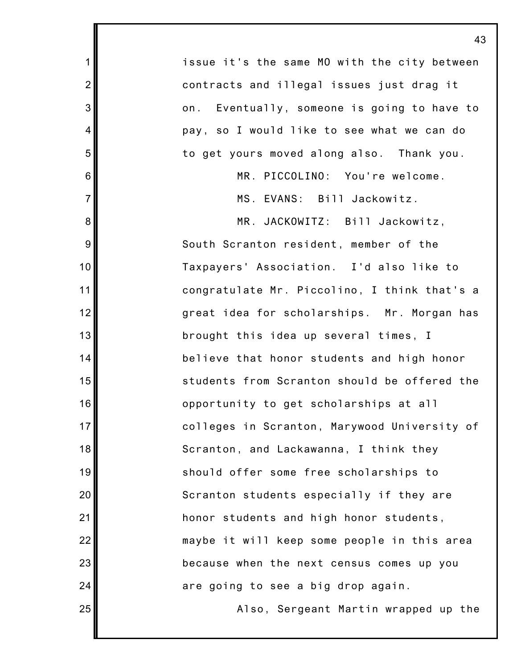|                | 43                                           |
|----------------|----------------------------------------------|
| $\mathbf 1$    | issue it's the same MO with the city between |
| $\overline{2}$ | contracts and illegal issues just drag it    |
| 3              | on. Eventually, someone is going to have to  |
| 4              | pay, so I would like to see what we can do   |
| 5              | to get yours moved along also. Thank you.    |
| 6              | MR. PICCOLINO: You're welcome.               |
| $\overline{7}$ | MS. EVANS: Bill Jackowitz.                   |
| 8              | MR. JACKOWITZ: Bill Jackowitz,               |
| $9\,$          | South Scranton resident, member of the       |
| 10             | Taxpayers' Association. I'd also like to     |
| 11             | congratulate Mr. Piccolino, I think that's a |
| 12             | great idea for scholarships. Mr. Morgan has  |
| 13             | brought this idea up several times, I        |
| 14             | believe that honor students and high honor   |
| 15             | students from Scranton should be offered the |
| 16             | opportunity to get scholarships at all       |
| 17             | colleges in Scranton, Marywood University of |
| 18             | Scranton, and Lackawanna, I think they       |
| 19             | should offer some free scholarships to       |
| 20             | Scranton students especially if they are     |
| 21             | honor students and high honor students,      |
| 22             | maybe it will keep some people in this area  |
| 23             | because when the next census comes up you    |
| 24             | are going to see a big drop again.           |
| 25             | Also, Sergeant Martin wrapped up the         |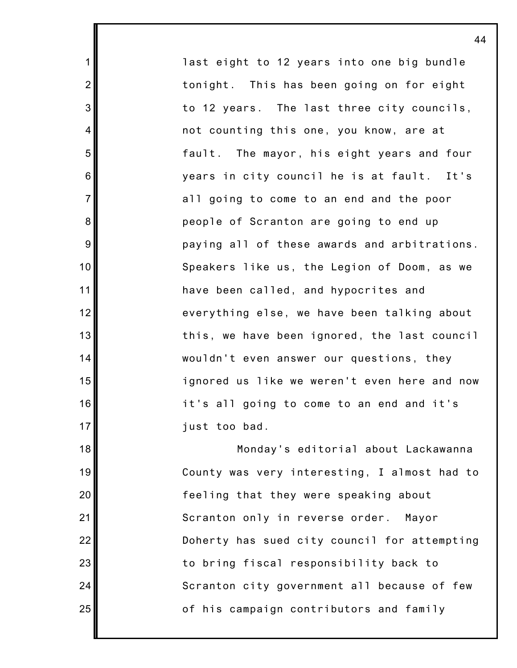last eight to 12 years into one big bundle tonight. This has been going on for eight to 12 years. The last three city councils, not counting this one, you know, are at fault. The mayor, his eight years and four years in city council he is at fault. It's all going to come to an end and the poor people of Scranton are going to end up paying all of these awards and arbitrations. Speakers like us, the Legion of Doom, as we have been called, and hypocrites and everything else, we have been talking about this, we have been ignored, the last council wouldn't even answer our questions, they ignored us like we weren't even here and now it's all going to come to an end and it's just too bad.

1

2

3

4

5

6

7

8

9

10

11

12

13

14

15

16

17

18

19

20

21

22

23

24

25

Monday's editorial about Lackawanna County was very interesting, I almost had to feeling that they were speaking about Scranton only in reverse order. Mayor Doherty has sued city council for attempting to bring fiscal responsibility back to Scranton city government all because of few of his campaign contributors and family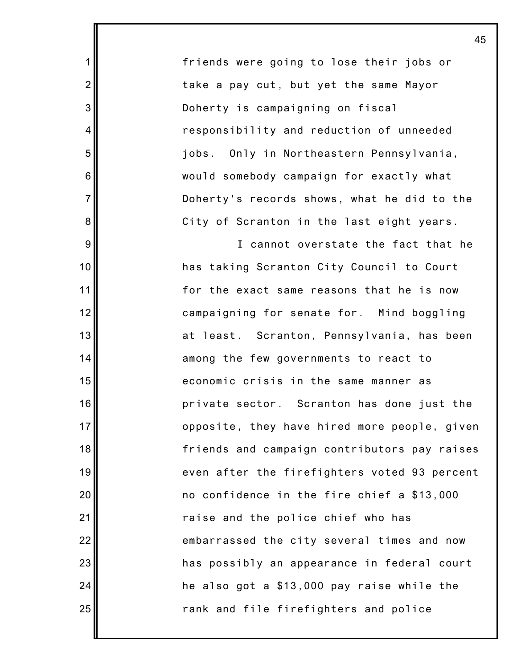friends were going to lose their jobs or take a pay cut, but yet the same Mayor Doherty is campaigning on fiscal responsibility and reduction of unneeded jobs. Only in Northeastern Pennsylvania, would somebody campaign for exactly what Doherty's records shows, what he did to the City of Scranton in the last eight years.

1

2

3

4

5

6

7

8

9

10

11

12

13

14

15

16

17

18

19

20

21

22

23

24

25

I cannot overstate the fact that he has taking Scranton City Council to Court for the exact same reasons that he is now campaigning for senate for. Mind boggling at least. Scranton, Pennsylvania, has been among the few governments to react to economic crisis in the same manner as private sector. Scranton has done just the opposite, they have hired more people, given friends and campaign contributors pay raises even after the firefighters voted 93 percent no confidence in the fire chief a \$13,000 raise and the police chief who has embarrassed the city several times and now has possibly an appearance in federal court he also got a \$13,000 pay raise while the rank and file firefighters and police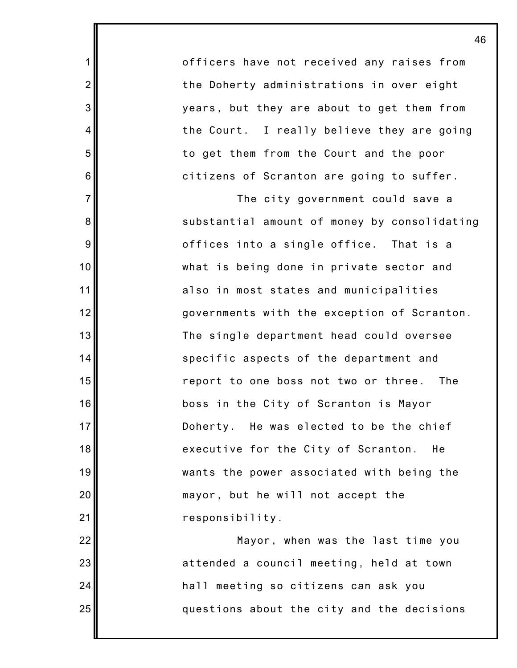officers have not received any raises from the Doherty administrations in over eight years, but they are about to get them from the Court. I really believe they are going to get them from the Court and the poor citizens of Scranton are going to suffer.

1

2

3

4

5

6

7

8

9

10

11

12

13

14

15

16

17

18

19

20

21

22

23

24

25

The city government could save a substantial amount of money by consolidating offices into a single office. That is a what is being done in private sector and also in most states and municipalities governments with the exception of Scranton. The single department head could oversee specific aspects of the department and report to one boss not two or three. The boss in the City of Scranton is Mayor Doherty. He was elected to be the chief executive for the City of Scranton. He wants the power associated with being the mayor, but he will not accept the responsibility.

Mayor, when was the last time you attended a council meeting, held at town hall meeting so citizens can ask you questions about the city and the decisions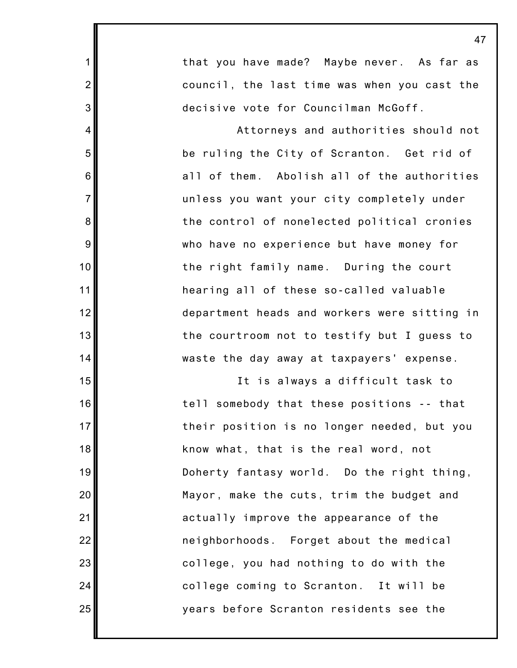1 2 3 4 5 6 7 8 9 10 11 12 13 14 15 16 17 18 19 20 21 22 23 24 25 that you have made? Maybe never. As far as council, the last time was when you cast the decisive vote for Councilman McGoff. Attorneys and authorities should not be ruling the City of Scranton. Get rid of all of them. Abolish all of the authorities unless you want your city completely under the control of nonelected political cronies who have no experience but have money for the right family name. During the court hearing all of these so-called valuable department heads and workers were sitting in the courtroom not to testify but I guess to waste the day away at taxpayers' expense. It is always a difficult task to tell somebody that these positions -- that their position is no longer needed, but you know what, that is the real word, not Doherty fantasy world. Do the right thing, Mayor, make the cuts, trim the budget and actually improve the appearance of the neighborhoods. Forget about the medical college, you had nothing to do with the college coming to Scranton. It will be years before Scranton residents see the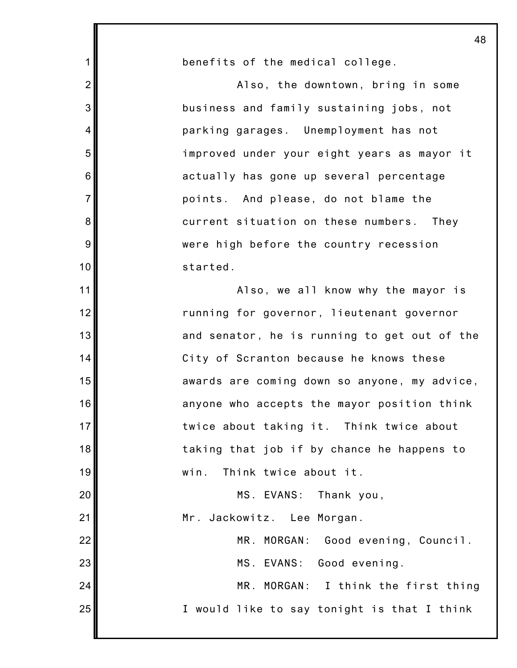1 2 3 4 5 6 7 8 9 10 11 12 13 14 15 16 17 18 19 20 21 22 23 24 25 benefits of the medical college. Also, the downtown, bring in some business and family sustaining jobs, not parking garages. Unemployment has not improved under your eight years as mayor it actually has gone up several percentage points. And please, do not blame the current situation on these numbers. They were high before the country recession started. Also, we all know why the mayor is running for governor, lieutenant governor and senator, he is running to get out of the City of Scranton because he knows these awards are coming down so anyone, my advice, anyone who accepts the mayor position think twice about taking it. Think twice about taking that job if by chance he happens to win. Think twice about it. MS. EVANS: Thank you, Mr. Jackowitz. Lee Morgan. MR. MORGAN: Good evening, Council. MS. EVANS: Good evening. MR. MORGAN: I think the first thing I would like to say tonight is that I think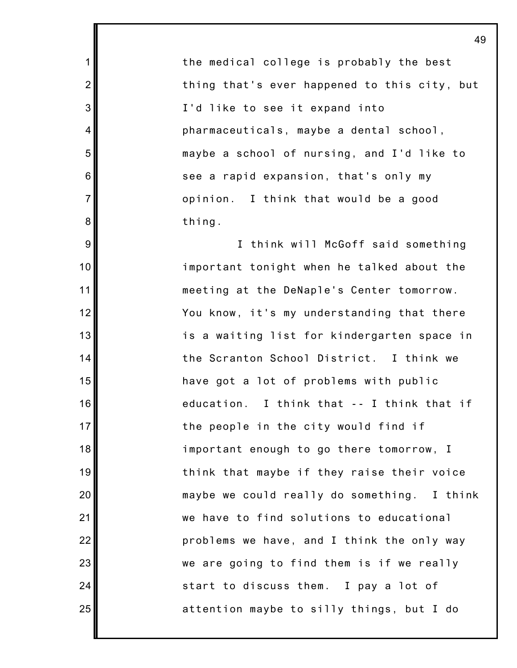the medical college is probably the best thing that's ever happened to this city, but I'd like to see it expand into pharmaceuticals, maybe a dental school, maybe a school of nursing, and I'd like to see a rapid expansion, that's only my opinion. I think that would be a good thing.

1

2

3

4

5

6

7

8

9

10

11

12

13

14

15

16

17

18

19

20

21

22

23

24

25

I think will McGoff said something important tonight when he talked about the meeting at the DeNaple's Center tomorrow. You know, it's my understanding that there is a waiting list for kindergarten space in the Scranton School District. I think we have got a lot of problems with public education. I think that -- I think that if the people in the city would find if important enough to go there tomorrow, I think that maybe if they raise their voice maybe we could really do something. I think we have to find solutions to educational problems we have, and I think the only way we are going to find them is if we really start to discuss them. I pay a lot of attention maybe to silly things, but I do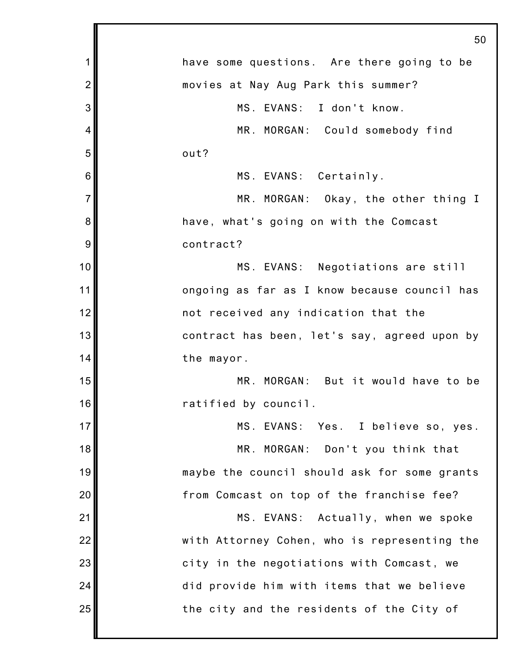|                | 50                                           |
|----------------|----------------------------------------------|
| 1              | have some questions. Are there going to be   |
| $\overline{2}$ | movies at Nay Aug Park this summer?          |
| 3              | MS. EVANS: I don't know.                     |
| 4              | MR. MORGAN: Could somebody find              |
| 5              | out?                                         |
| 6              | MS. EVANS: Certainly.                        |
| $\overline{7}$ | MR. MORGAN: Okay, the other thing I          |
| 8              | have, what's going on with the Comcast       |
| 9              | contract?                                    |
| 10             | MS. EVANS: Negotiations are still            |
| 11             | ongoing as far as I know because council has |
| 12             | not received any indication that the         |
| 13             | contract has been, let's say, agreed upon by |
| 14             | the mayor.                                   |
| 15             | MR. MORGAN: But it would have to be          |
| 16             | ratified by council.                         |
| 17             | MS. EVANS: Yes. I believe so, yes.           |
| 18             | MR. MORGAN: Don't you think that             |
| 19             | maybe the council should ask for some grants |
| 20             | from Comcast on top of the franchise fee?    |
| 21             | MS. EVANS: Actually, when we spoke           |
| 22             | with Attorney Cohen, who is representing the |
| 23             | city in the negotiations with Comcast, we    |
| 24             | did provide him with items that we believe   |
| 25             | the city and the residents of the City of    |
|                |                                              |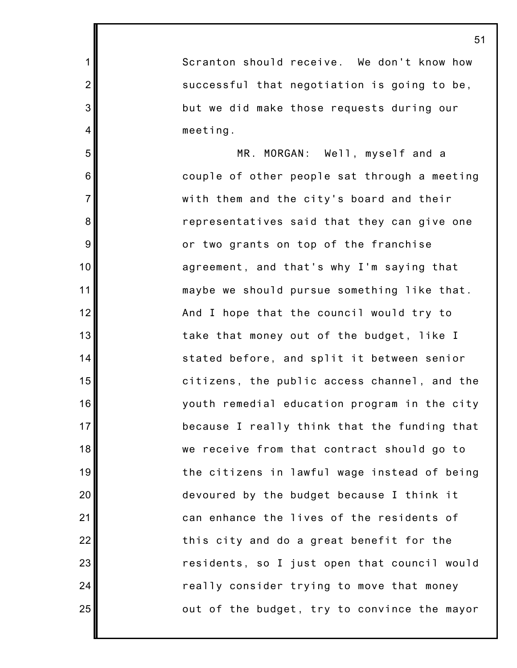Scranton should receive. We don't know how successful that negotiation is going to be, but we did make those requests during our meeting.

1

2

3

4

5

6

7

8

9

10

11

12

13

14

15

16

17

18

19

20

21

22

23

24

25

MR. MORGAN: Well, myself and a couple of other people sat through a meeting with them and the city's board and their representatives said that they can give one or two grants on top of the franchise agreement, and that's why I'm saying that maybe we should pursue something like that. And I hope that the council would try to take that money out of the budget, like I stated before, and split it between senior citizens, the public access channel, and the youth remedial education program in the city because I really think that the funding that we receive from that contract should go to the citizens in lawful wage instead of being devoured by the budget because I think it can enhance the lives of the residents of this city and do a great benefit for the residents, so I just open that council would really consider trying to move that money out of the budget, try to convince the mayor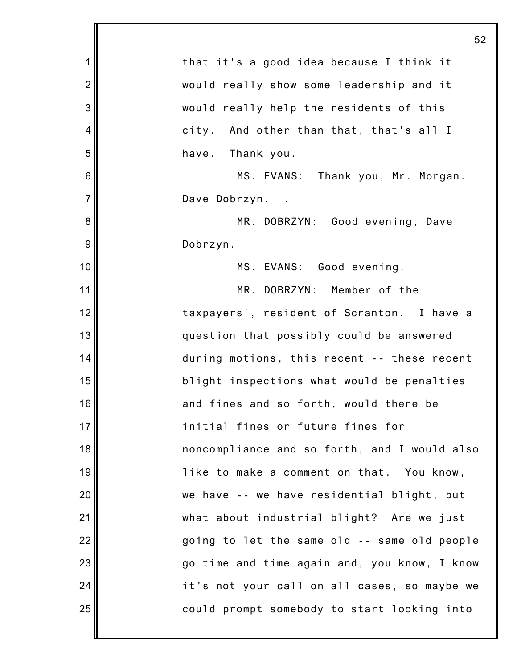| 52                                           |
|----------------------------------------------|
| that it's a good idea because I think it     |
| would really show some leadership and it     |
| would really help the residents of this      |
| city. And other than that, that's all I      |
| Thank you.<br>have.                          |
| MS. EVANS: Thank you, Mr. Morgan.            |
| Dave Dobrzyn.                                |
| MR. DOBRZYN: Good evening, Dave              |
| Dobrzyn.                                     |
| MS. EVANS: Good evening.                     |
| MR. DOBRZYN: Member of the                   |
| taxpayers', resident of Scranton. I have a   |
| question that possibly could be answered     |
| during motions, this recent -- these recent  |
| blight inspections what would be penalties   |
| 16<br>and fines and so forth, would there be |
| initial fines or future fines for            |
| noncompliance and so forth, and I would also |
| like to make a comment on that. You know,    |
| we have -- we have residential blight, but   |
| what about industrial blight? Are we just    |
| going to let the same old -- same old people |
| go time and time again and, you know, I know |
| it's not your call on all cases, so maybe we |
| could prompt somebody to start looking into  |
|                                              |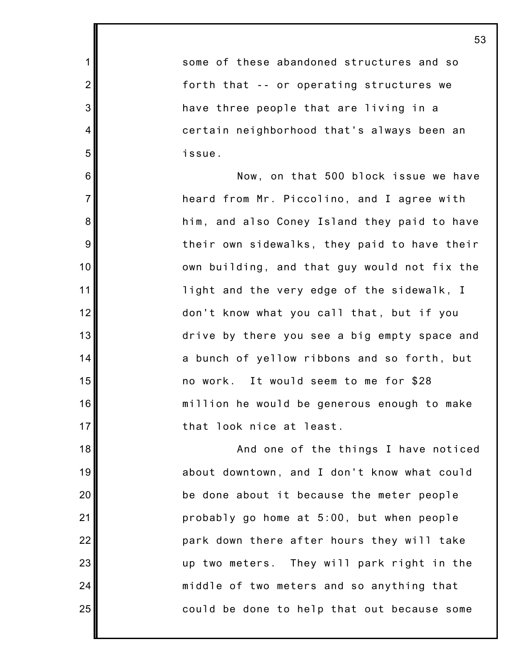some of these abandoned structures and so forth that -- or operating structures we have three people that are living in a certain neighborhood that's always been an issue.

1

2

3

4

5

6

7

8

9

10

11

12

13

14

15

16

17

18

19

20

21

22

23

24

25

Now, on that 500 block issue we have heard from Mr. Piccolino, and I agree with him, and also Coney Island they paid to have their own sidewalks, they paid to have their own building, and that guy would not fix the light and the very edge of the sidewalk, I don't know what you call that, but if you drive by there you see a big empty space and a bunch of yellow ribbons and so forth, but no work. It would seem to me for \$28 million he would be generous enough to make that look nice at least.

And one of the things I have noticed about downtown, and I don't know what could be done about it because the meter people probably go home at 5:00, but when people park down there after hours they will take up two meters. They will park right in the middle of two meters and so anything that could be done to help that out because some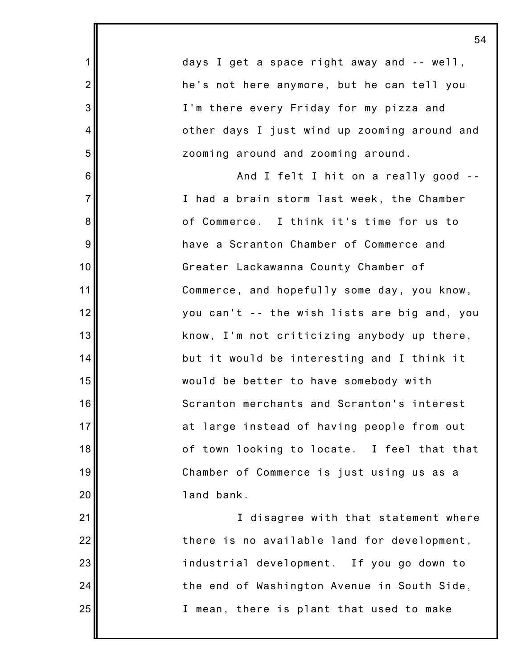days I get a space right away and -- well, he's not here anymore, but he can tell you I'm there every Friday for my pizza and other days I just wind up zooming around and zooming around and zooming around. And I felt I hit on a really good -- I had a brain storm last week, the Chamber of Commerce. I think it's time for us to have a Scranton Chamber of Commerce and Greater Lackawanna County Chamber of Commerce, and hopefully some day, you know, you can't -- the wish lists are big and, you know, I'm not criticizing anybody up there, but it would be interesting and I think it would be better to have somebody with Scranton merchants and Scranton's interest

1

2

3

4

5

6

7

8

9

10

11

12

13

14

15

16

17

18

19

20

21

22

23

24

25

at large instead of having people from out of town looking to locate. I feel that that Chamber of Commerce is just using us as a land bank.

I disagree with that statement where there is no available land for development, industrial development. If you go down to the end of Washington Avenue in South Side, I mean, there is plant that used to make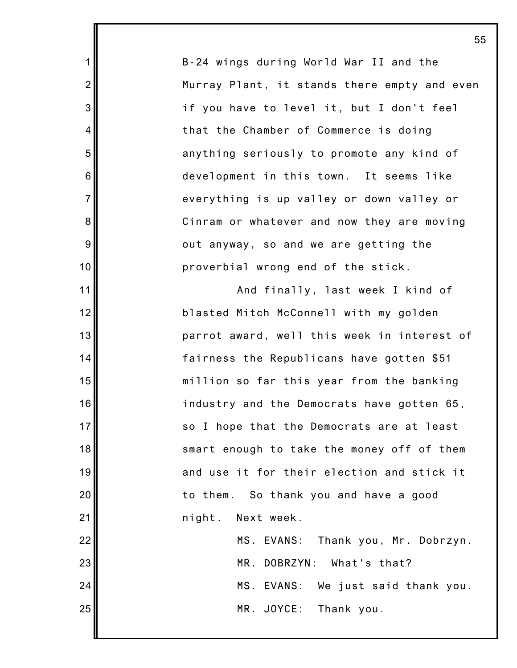B-24 wings during World War II and the Murray Plant, it stands there empty and even if you have to level it, but I don't feel that the Chamber of Commerce is doing anything seriously to promote any kind of development in this town. It seems like everything is up valley or down valley or Cinram or whatever and now they are moving out anyway, so and we are getting the proverbial wrong end of the stick.

1

2

3

4

5

6

7

8

9

10

11

12

13

14

15

16

17

18

19

20

21

22

23

24

25

And finally, last week I kind of blasted Mitch McConnell with my golden parrot award, well this week in interest of fairness the Republicans have gotten \$51 million so far this year from the banking industry and the Democrats have gotten 65, so I hope that the Democrats are at least smart enough to take the money off of them and use it for their election and stick it to them. So thank you and have a good night. Next week. MS. EVANS: Thank you, Mr. Dobrzyn. MR. DOBRZYN: What's that? MS. EVANS: We just said thank you.

MR. JOYCE: Thank you.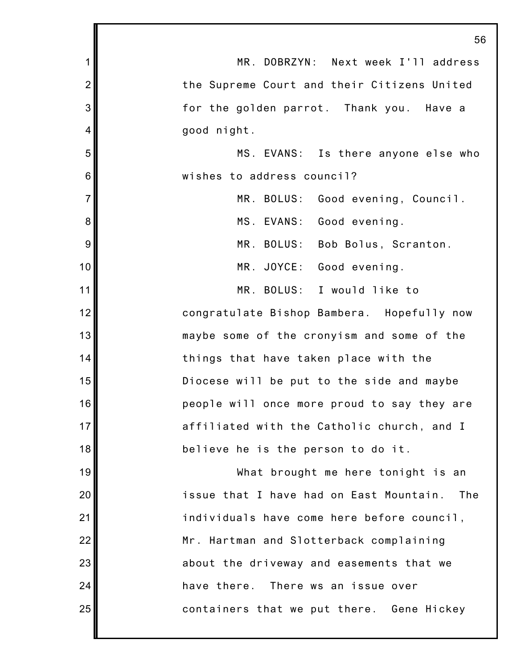|                | 56                                             |
|----------------|------------------------------------------------|
| 1              | MR. DOBRZYN: Next week I'll address            |
| $\overline{2}$ | the Supreme Court and their Citizens United    |
| 3              | for the golden parrot. Thank you. Have a       |
| 4              | good night.                                    |
| 5              | MS. EVANS: Is there anyone else who            |
| $\,6$          | wishes to address council?                     |
| $\overline{7}$ | MR. BOLUS:<br>Good evening, Council.           |
| 8              | MS. EVANS: Good evening.                       |
| 9              | MR. BOLUS: Bob Bolus, Scranton.                |
| 10             | MR. JOYCE: Good evening.                       |
| 11             | MR. BOLUS: I would like to                     |
| 12             | congratulate Bishop Bambera. Hopefully now     |
| 13             | maybe some of the cronyism and some of the     |
| 14             | things that have taken place with the          |
| 15             | Diocese will be put to the side and maybe      |
| 16             | people will once more proud to say they are    |
| 17             | affiliated with the Catholic church, and I     |
| 18             | believe he is the person to do it.             |
| 19             | What brought me here tonight is an             |
| 20             | issue that I have had on East Mountain.<br>The |
| 21             | individuals have come here before council,     |
| 22             | Mr. Hartman and Slotterback complaining        |
| 23             | about the driveway and easements that we       |
| 24             | have there. There ws an issue over             |
| 25             | containers that we put there. Gene Hickey      |
|                |                                                |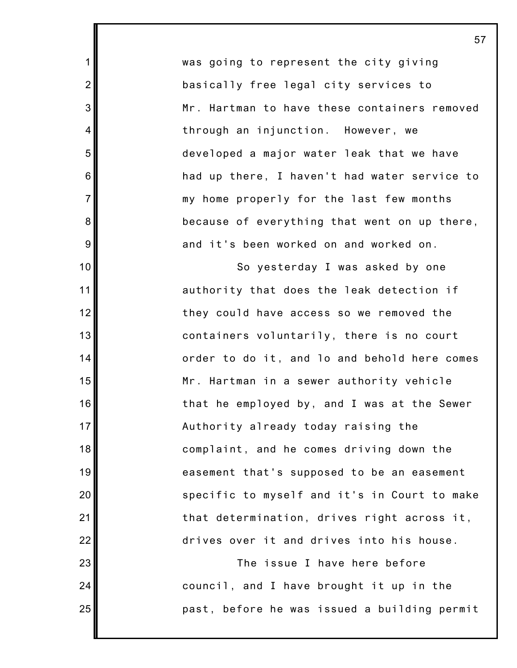was going to represent the city giving basically free legal city services to Mr. Hartman to have these containers removed through an injunction. However, we developed a major water leak that we have had up there, I haven't had water service to my home properly for the last few months because of everything that went on up there, and it's been worked on and worked on.

1

2

3

4

5

6

7

8

9

10

11

12

13

14

15

16

17

18

19

20

21

22

23

24

25

So yesterday I was asked by one authority that does the leak detection if they could have access so we removed the containers voluntarily, there is no court order to do it, and lo and behold here comes Mr. Hartman in a sewer authority vehicle that he employed by, and I was at the Sewer Authority already today raising the complaint, and he comes driving down the easement that's supposed to be an easement specific to myself and it's in Court to make that determination, drives right across it, drives over it and drives into his house.

The issue I have here before council, and I have brought it up in the past, before he was issued a building permit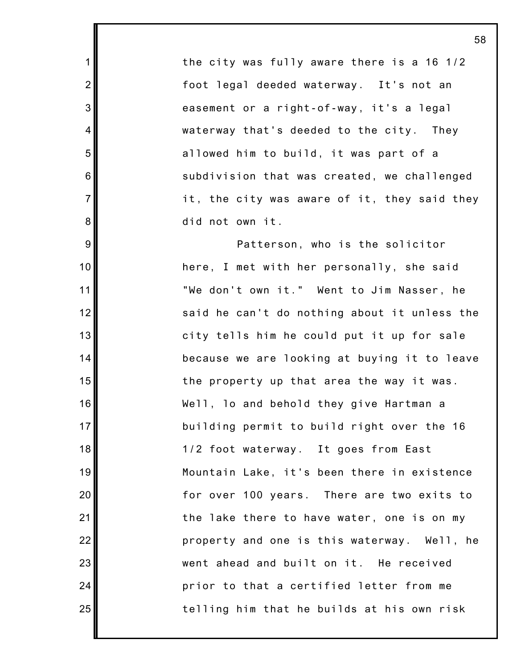the city was fully aware there is a 16 1/2 foot legal deeded waterway. It's not an easement or a right-of-way, it's a legal waterway that's deeded to the city. They allowed him to build, it was part of a subdivision that was created, we challenged it, the city was aware of it, they said they did not own it.

1

2

3

4

5

6

7

8

9

10

11

12

13

14

15

16

17

18

19

20

21

22

23

24

25

Patterson, who is the solicitor here, I met with her personally, she said "We don't own it." Went to Jim Nasser, he said he can't do nothing about it unless the city tells him he could put it up for sale because we are looking at buying it to leave the property up that area the way it was. Well, lo and behold they give Hartman a building permit to build right over the 16 1/2 foot waterway. It goes from East Mountain Lake, it's been there in existence for over 100 years. There are two exits to the lake there to have water, one is on my property and one is this waterway. Well, he went ahead and built on it. He received prior to that a certified letter from me telling him that he builds at his own risk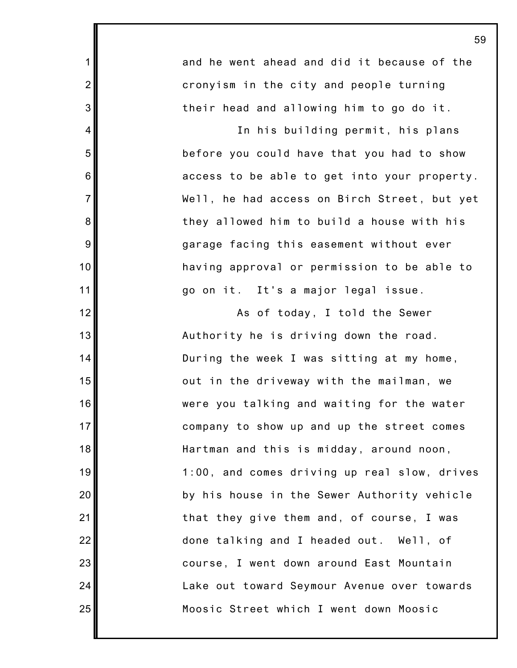and he went ahead and did it because of the cronyism in the city and people turning their head and allowing him to go do it.

1

2

3

4

5

6

7

8

9

10

11

12

13

14

15

16

17

18

19

20

21

22

23

24

25

In his building permit, his plans before you could have that you had to show access to be able to get into your property. Well, he had access on Birch Street, but yet they allowed him to build a house with his garage facing this easement without ever having approval or permission to be able to go on it. It's a major legal issue.

As of today, I told the Sewer Authority he is driving down the road. During the week I was sitting at my home, out in the driveway with the mailman, we were you talking and waiting for the water company to show up and up the street comes Hartman and this is midday, around noon, 1:00, and comes driving up real slow, drives by his house in the Sewer Authority vehicle that they give them and, of course, I was done talking and I headed out. Well, of course, I went down around East Mountain Lake out toward Seymour Avenue over towards Moosic Street which I went down Moosic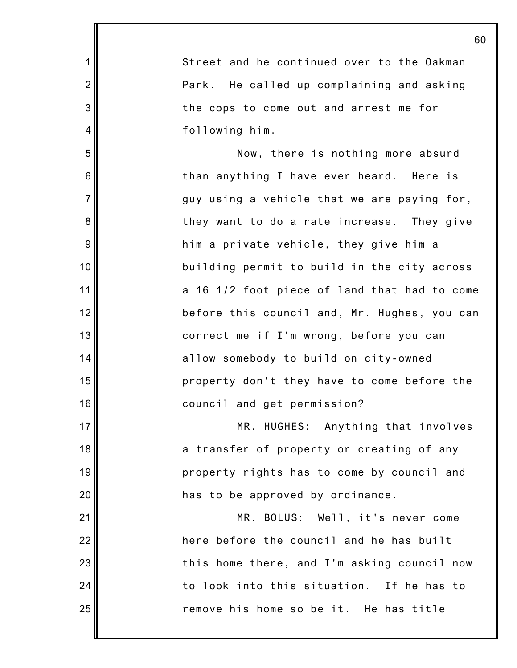2 3 6 7 10 12 13 14 15 16 17 18 19 20 22 23 24 Street and he continued over to the Oakman Park. He called up complaining and asking the cops to come out and arrest me for following him. Now, there is nothing more absurd than anything I have ever heard. Here is guy using a vehicle that we are paying for, they want to do a rate increase. They give him a private vehicle, they give him a building permit to build in the city across a 16 1/2 foot piece of land that had to come before this council and, Mr. Hughes, you can correct me if I'm wrong, before you can allow somebody to build on city-owned property don't they have to come before the council and get permission? MR. HUGHES: Anything that involves a transfer of property or creating of any property rights has to come by council and has to be approved by ordinance. MR. BOLUS: Well, it's never come here before the council and he has built this home there, and I'm asking council now to look into this situation. If he has to

remove his home so be it. He has title

25

21

1

4

5

8

9

11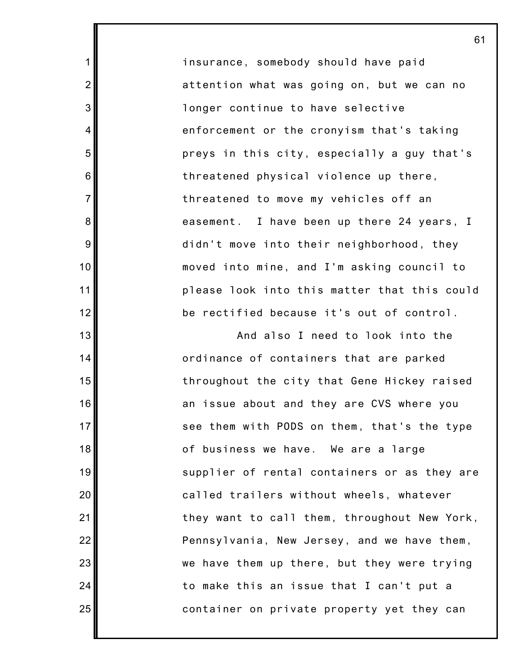insurance, somebody should have paid attention what was going on, but we can no longer continue to have selective enforcement or the cronyism that's taking preys in this city, especially a guy that's threatened physical violence up there, threatened to move my vehicles off an easement. I have been up there 24 years, I didn't move into their neighborhood, they moved into mine, and I'm asking council to please look into this matter that this could be rectified because it's out of control.

1

2

3

4

5

6

7

8

9

10

11

12

13

14

15

16

17

18

19

20

21

22

23

24

25

And also I need to look into the ordinance of containers that are parked throughout the city that Gene Hickey raised an issue about and they are CVS where you see them with PODS on them, that's the type of business we have. We are a large supplier of rental containers or as they are called trailers without wheels, whatever they want to call them, throughout New York, Pennsylvania, New Jersey, and we have them, we have them up there, but they were trying to make this an issue that I can't put a container on private property yet they can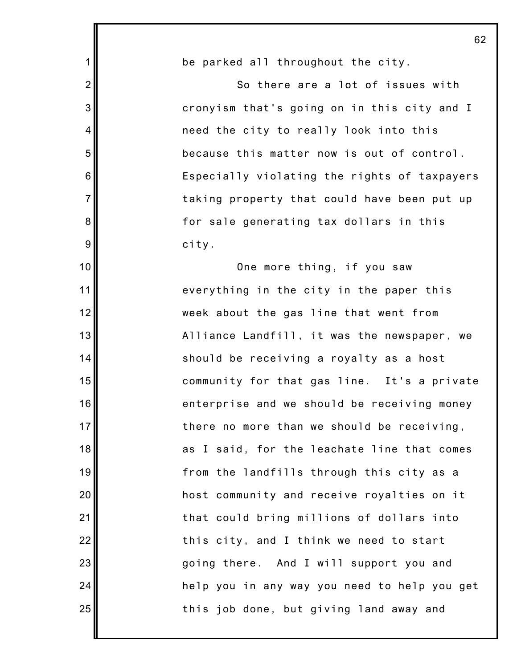| $\mathbf 1$     | be parked all throughout the city.           |
|-----------------|----------------------------------------------|
| $\overline{2}$  | So there are a lot of issues with            |
| 3               | cronyism that's going on in this city and I  |
| $\overline{4}$  | need the city to really look into this       |
| 5               | because this matter now is out of control.   |
| 6               | Especially violating the rights of taxpayers |
| $\overline{7}$  | taking property that could have been put up  |
| 8               | for sale generating tax dollars in this      |
| 9               | city.                                        |
| 10              | One more thing, if you saw                   |
| 11              | everything in the city in the paper this     |
| 12              | week about the gas line that went from       |
| 13              | Alliance Landfill, it was the newspaper, we  |
| 14              | should be receiving a royalty as a host      |
| 15              | community for that gas line. It's a private  |
| 16              | enterprise and we should be receiving money  |
| 17 <sub>l</sub> | there no more than we should be receiving,   |
| 18              | as I said, for the leachate line that comes  |
| 19              | from the landfills through this city as a    |
| 20              | host community and receive royalties on it   |
| 21              | that could bring millions of dollars into    |
| 22              | this city, and I think we need to start      |
| 23              | going there. And I will support you and      |
| 24              | help you in any way you need to help you get |
| 25              | this job done, but giving land away and      |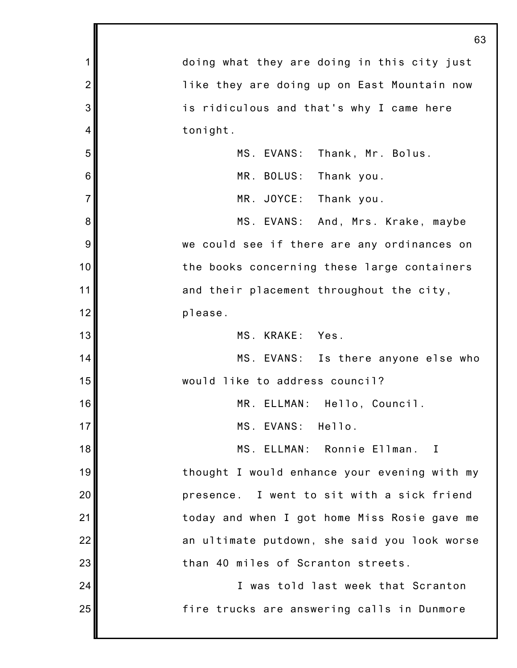|                | 63                                           |
|----------------|----------------------------------------------|
| 1              | doing what they are doing in this city just  |
| $\overline{2}$ | like they are doing up on East Mountain now  |
| 3              | is ridiculous and that's why I came here     |
| 4              | tonight.                                     |
| 5              | MS. EVANS: Thank, Mr. Bolus.                 |
| 6              | MR. BOLUS: Thank you.                        |
| $\overline{7}$ | MR. JOYCE: Thank you.                        |
| 8              | MS. EVANS: And, Mrs. Krake, maybe            |
| 9              | we could see if there are any ordinances on  |
| 10             | the books concerning these large containers  |
| 11             | and their placement throughout the city,     |
| 12             | please.                                      |
| 13             | MS. KRAKE: Yes.                              |
| 14             | MS. EVANS: Is there anyone else who          |
| 15             | would like to address council?               |
| 16             | MR. ELLMAN: Hello, Council.                  |
| 17             | MS. EVANS: Hello.                            |
| 18             | MS. ELLMAN: Ronnie Ellman. I                 |
| 19             | thought I would enhance your evening with my |
| 20             | presence. I went to sit with a sick friend   |
| 21             | today and when I got home Miss Rosie gave me |
| 22             | an ultimate putdown, she said you look worse |
| 23             | than 40 miles of Scranton streets.           |
| 24             | I was told last week that Scranton           |
| 25             | fire trucks are answering calls in Dunmore   |
|                |                                              |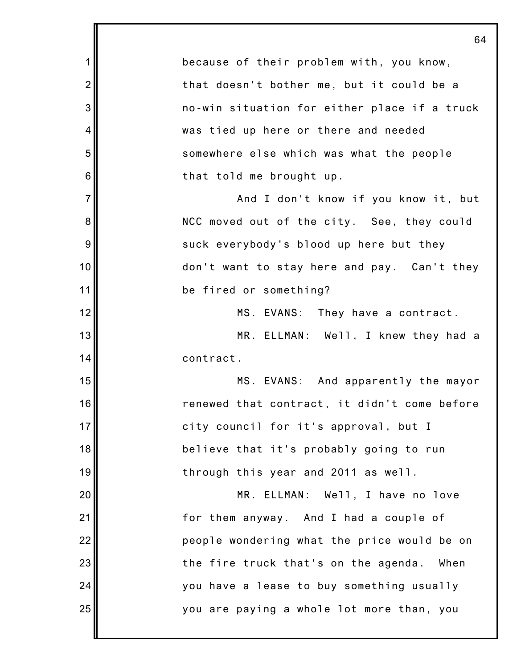1 2 3 4 5 6 7 8 9 10 11 12 13 14 15 16 17 18 19 20 21 22 23 24 25 64 because of their problem with, you know, that doesn't bother me, but it could be a no-win situation for either place if a truck was tied up here or there and needed somewhere else which was what the people that told me brought up. And I don't know if you know it, but NCC moved out of the city. See, they could suck everybody's blood up here but they don't want to stay here and pay. Can't they be fired or something? MS. EVANS: They have a contract. MR. ELLMAN: Well, I knew they had a contract. MS. EVANS: And apparently the mayor renewed that contract, it didn't come before city council for it's approval, but I believe that it's probably going to run through this year and 2011 as well. MR. ELLMAN: Well, I have no love for them anyway. And I had a couple of people wondering what the price would be on the fire truck that's on the agenda. When you have a lease to buy something usually you are paying a whole lot more than, you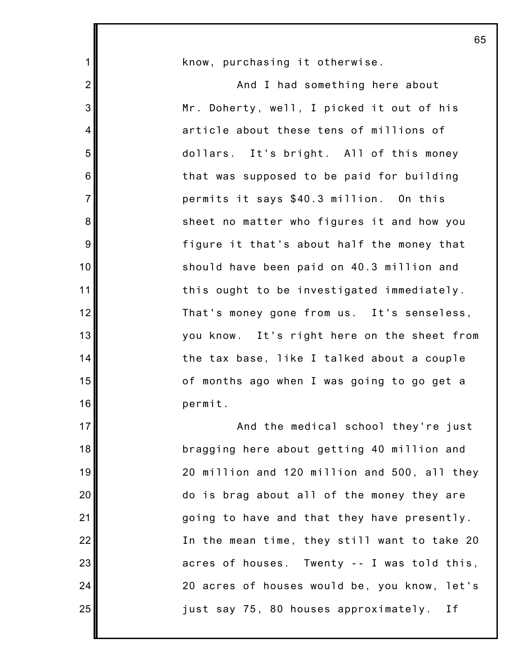|                 | 65                                           |
|-----------------|----------------------------------------------|
| $\mathbf{1}$    | know, purchasing it otherwise.               |
| $\overline{2}$  | And I had something here about               |
| 3               | Mr. Doherty, well, I picked it out of his    |
| 4               | article about these tens of millions of      |
| 5               | dollars. It's bright. All of this money      |
| $6\phantom{1}6$ | that was supposed to be paid for building    |
| $\overline{7}$  | permits it says \$40.3 million. On this      |
| 8               | sheet no matter who figures it and how you   |
| 9               | figure it that's about half the money that   |
| 10              | should have been paid on 40.3 million and    |
| 11              | this ought to be investigated immediately.   |
| 12              | That's money gone from us. It's senseless,   |
| 13              | you know. It's right here on the sheet from  |
| 14              | the tax base, like I talked about a couple   |
| 15              | of months ago when I was going to go get a   |
| 16              | permit.                                      |
| 17              | And the medical school they're just          |
| 18              | bragging here about getting 40 million and   |
| 19              | 20 million and 120 million and 500, all they |
| 20              | do is brag about all of the money they are   |
| 21              | going to have and that they have presently.  |
| 22              | In the mean time, they still want to take 20 |
| 23              | acres of houses. Twenty -- I was told this,  |
| 24              | 20 acres of houses would be, you know, let's |
| 25              | just say 75, 80 houses approximately.<br>I f |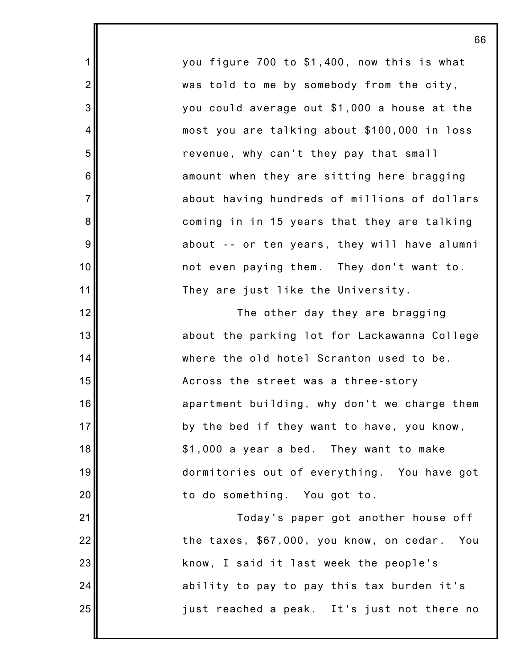you figure 700 to \$1,400, now this is what was told to me by somebody from the city, you could average out \$1,000 a house at the most you are talking about \$100,000 in loss revenue, why can't they pay that small amount when they are sitting here bragging about having hundreds of millions of dollars coming in in 15 years that they are talking about -- or ten years, they will have alumni not even paying them. They don't want to. They are just like the University.

1

2

3

4

5

6

7

8

9

10

11

12

13

14

15

16

17

18

19

20

21

22

23

24

25

The other day they are bragging about the parking lot for Lackawanna College where the old hotel Scranton used to be. Across the street was a three-story apartment building, why don't we charge them by the bed if they want to have, you know, \$1,000 a year a bed. They want to make dormitories out of everything. You have got to do something. You got to.

Today's paper got another house off the taxes, \$67,000, you know, on cedar. You know, I said it last week the people's ability to pay to pay this tax burden it's just reached a peak. It's just not there no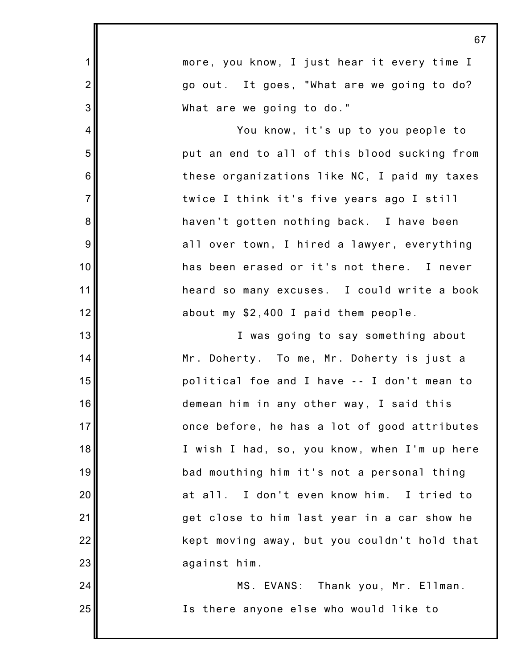|                | 67                                             |
|----------------|------------------------------------------------|
| $\mathbf 1$    | more, you know, I just hear it every time I    |
| $\overline{2}$ | go out. It goes, "What are we going to do?     |
| 3              | What are we going to do."                      |
| 4              | You know, it's up to you people to             |
| 5              | put an end to all of this blood sucking from   |
| 6              | these organizations like NC, I paid my taxes   |
| $\overline{7}$ | twice I think it's five years ago I still      |
| 8              | haven't gotten nothing back. I have been       |
| $\overline{9}$ | all over town, I hired a lawyer, everything    |
| 10             | has been erased or it's not there. I never     |
| 11             | heard so many excuses. I could write a book    |
| 12             | about my \$2,400 I paid them people.           |
| 13             | I was going to say something about             |
| 14             | Mr. Doherty. To me, Mr. Doherty is just a      |
| 15             | political foe and I have -- I don't mean to    |
| 16             | demean him in any other way, I said this       |
| 17             | once before, he has a lot of good attributes   |
| 18             | I wish I had, so, you know, when I'm up here   |
| 19             | bad mouthing him it's not a personal thing     |
| 20             | I don't even know him. I tried to<br>$at$ all. |
| 21             | get close to him last year in a car show he    |
| 22             | kept moving away, but you couldn't hold that   |
| 23             | against him.                                   |
| 24             | MS. EVANS: Thank you, Mr. Ellman.              |
| 25             | Is there anyone else who would like to         |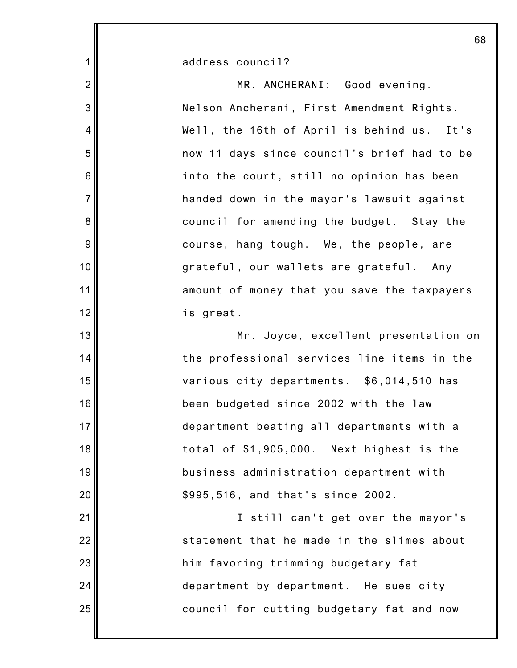address council?

1

2

3

4

5

6

7

8

9

10

11

12

13

14

15

16

17

18

19

20

21

22

23

24

25

MR. ANCHERANI: Good evening. Nelson Ancherani, First Amendment Rights. Well, the 16th of April is behind us. It's now 11 days since council's brief had to be into the court, still no opinion has been handed down in the mayor's lawsuit against council for amending the budget. Stay the course, hang tough. We, the people, are grateful, our wallets are grateful. Any amount of money that you save the taxpayers is great.

Mr. Joyce, excellent presentation on the professional services line items in the various city departments. \$6,014,510 has been budgeted since 2002 with the law department beating all departments with a total of \$1,905,000. Next highest is the business administration department with \$995,516, and that's since 2002.

I still can't get over the mayor's statement that he made in the slimes about him favoring trimming budgetary fat department by department. He sues city council for cutting budgetary fat and now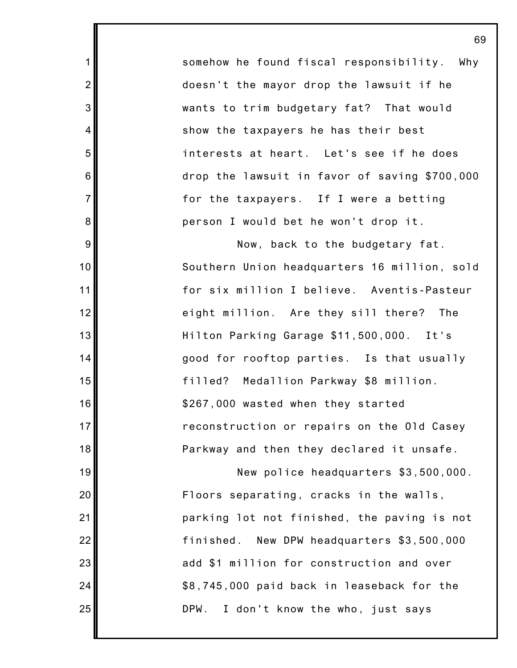somehow he found fiscal responsibility. Why doesn't the mayor drop the lawsuit if he wants to trim budgetary fat? That would show the taxpayers he has their best interests at heart. Let's see if he does drop the lawsuit in favor of saving \$700,000 for the taxpayers. If I were a betting person I would bet he won't drop it.

1

2

3

4

5

6

7

8

9

10

11

12

13

14

15

16

17

18

19

20

21

22

23

24

25

Now, back to the budgetary fat. Southern Union headquarters 16 million, sold for six million I believe. Aventis-Pasteur eight million. Are they sill there? The Hilton Parking Garage \$11,500,000. It's good for rooftop parties. Is that usually filled? Medallion Parkway \$8 million. \$267,000 wasted when they started reconstruction or repairs on the Old Casey Parkway and then they declared it unsafe.

New police headquarters \$3,500,000. Floors separating, cracks in the walls, parking lot not finished, the paving is not finished. New DPW headquarters \$3,500,000 add \$1 million for construction and over \$8,745,000 paid back in leaseback for the DPW. I don't know the who, just says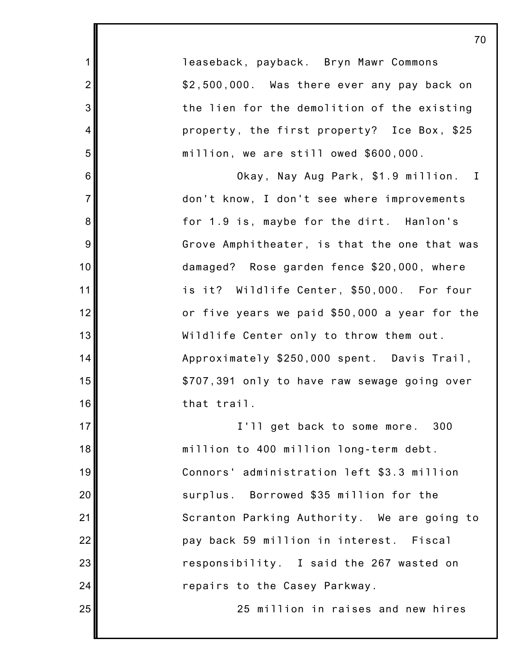1 2 3 4 5 6 7 8 9 10 11 12 13 14 15 16 17 18 19 20 21 22 23 24 25 leaseback, payback. Bryn Mawr Commons \$2,500,000. Was there ever any pay back on the lien for the demolition of the existing property, the first property? Ice Box, \$25 million, we are still owed \$600,000. Okay, Nay Aug Park, \$1.9 million. I don't know, I don't see where improvements for 1.9 is, maybe for the dirt. Hanlon's Grove Amphitheater, is that the one that was damaged? Rose garden fence \$20,000, where is it? Wildlife Center, \$50,000. For four or five years we paid \$50,000 a year for the Wildlife Center only to throw them out. Approximately \$250,000 spent. Davis Trail, \$707,391 only to have raw sewage going over that trail. I'll get back to some more. 300 million to 400 million long-term debt. Connors' administration left \$3.3 million surplus. Borrowed \$35 million for the Scranton Parking Authority. We are going to pay back 59 million in interest. Fiscal responsibility. I said the 267 wasted on repairs to the Casey Parkway. 25 million in raises and new hires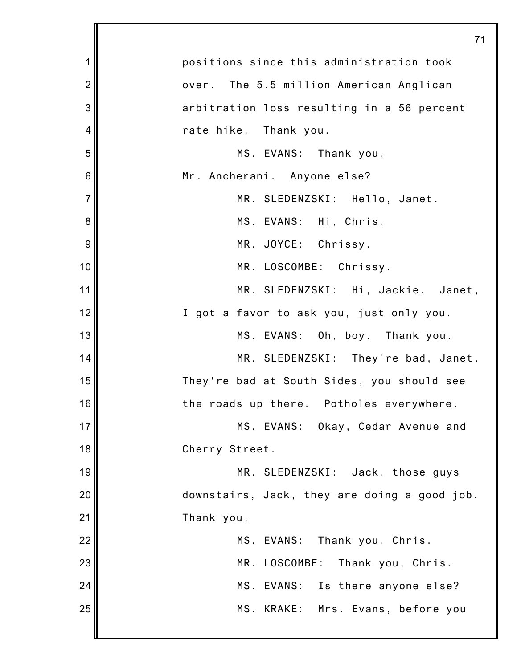|                | 71                                           |
|----------------|----------------------------------------------|
| 1              | positions since this administration took     |
| $\overline{2}$ | over. The 5.5 million American Anglican      |
| 3              | arbitration loss resulting in a 56 percent   |
| 4              | rate hike. Thank you.                        |
| 5              | MS. EVANS: Thank you,                        |
| 6              | Mr. Ancherani. Anyone else?                  |
| $\overline{7}$ | MR. SLEDENZSKI: Hello, Janet.                |
| 8              | MS. EVANS: Hi, Chris.                        |
| 9              | MR. JOYCE: Chrissy.                          |
| 10             | MR. LOSCOMBE: Chrissy.                       |
| 11             | MR. SLEDENZSKI: Hi, Jackie. Janet,           |
| 12             | I got a favor to ask you, just only you.     |
| 13             | MS. EVANS: Oh, boy. Thank you.               |
| 14             | MR. SLEDENZSKI: They're bad, Janet.          |
| 15             | They're bad at South Sides, you should see   |
| 16             | the roads up there. Potholes everywhere.     |
| 17             | MS. EVANS: Okay, Cedar Avenue and            |
| 18             | Cherry Street.                               |
| 19             | MR. SLEDENZSKI: Jack, those guys             |
| 20             | downstairs, Jack, they are doing a good job. |
| 21             | Thank you.                                   |
| 22             | MS. EVANS: Thank you, Chris.                 |
| 23             | MR. LOSCOMBE: Thank you, Chris.              |
| 24             | MS. EVANS: Is there anyone else?             |
| 25             | MS. KRAKE: Mrs. Evans, before you            |
|                |                                              |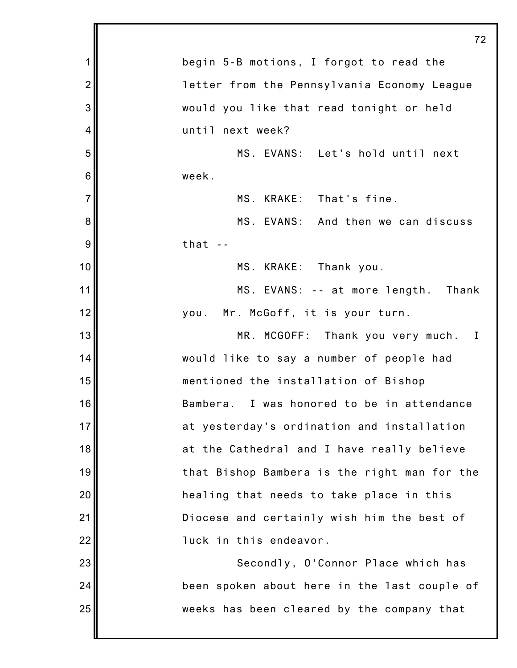|                | 72                                           |
|----------------|----------------------------------------------|
| 1              | begin 5-B motions, I forgot to read the      |
| $\overline{2}$ | letter from the Pennsylvania Economy League  |
| 3              | would you like that read tonight or held     |
| 4              | until next week?                             |
| 5              | MS. EVANS: Let's hold until next             |
| 6              | week.                                        |
| $\overline{7}$ | MS. KRAKE: That's fine.                      |
| 8              | MS. EVANS: And then we can discuss           |
| 9              | $that -$                                     |
| 10             | MS. KRAKE: Thank you.                        |
| 11             | MS. EVANS: -- at more length. Thank          |
| 12             | Mr. McGoff, it is your turn.<br>you.         |
| 13             | MR. MCGOFF: Thank you very much. I           |
| 14             | would like to say a number of people had     |
| 15             | mentioned the installation of Bishop         |
| 16             | Bambera. I was honored to be in attendance   |
| 17             | at yesterday's ordination and installation   |
| 18             | at the Cathedral and I have really believe   |
| 19             | that Bishop Bambera is the right man for the |
| 20             | healing that needs to take place in this     |
| 21             | Diocese and certainly wish him the best of   |
| 22             | luck in this endeavor.                       |
| 23             | Secondly, O'Connor Place which has           |
| 24             | been spoken about here in the last couple of |
| 25             | weeks has been cleared by the company that   |
|                |                                              |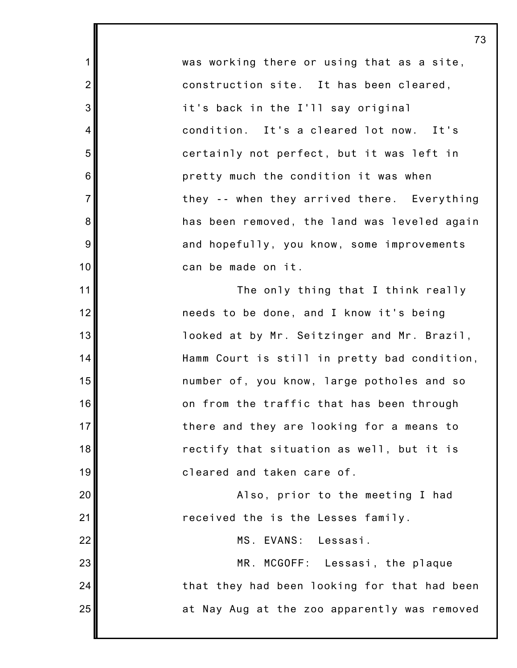was working there or using that as a site, construction site. It has been cleared, it's back in the I'll say original condition. It's a cleared lot now. It's certainly not perfect, but it was left in pretty much the condition it was when they -- when they arrived there. Everything has been removed, the land was leveled again and hopefully, you know, some improvements can be made on it.

1

2

3

4

5

6

7

8

9

10

11

12

13

14

15

16

17

18

19

20

21

22

23

24

25

The only thing that I think really needs to be done, and I know it's being looked at by Mr. Seitzinger and Mr. Brazil, Hamm Court is still in pretty bad condition, number of, you know, large potholes and so on from the traffic that has been through there and they are looking for a means to rectify that situation as well, but it is cleared and taken care of.

Also, prior to the meeting I had received the is the Lesses family.

MS. EVANS: Lessasi.

MR. MCGOFF: Lessasi, the plaque that they had been looking for that had been at Nay Aug at the zoo apparently was removed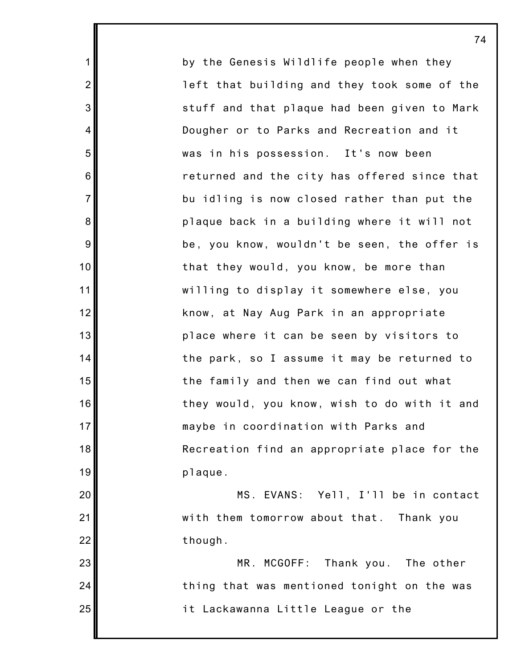by the Genesis Wildlife people when they left that building and they took some of the stuff and that plaque had been given to Mark Dougher or to Parks and Recreation and it was in his possession. It's now been returned and the city has offered since that bu idling is now closed rather than put the plaque back in a building where it will not be, you know, wouldn't be seen, the offer is that they would, you know, be more than willing to display it somewhere else, you know, at Nay Aug Park in an appropriate place where it can be seen by visitors to the park, so I assume it may be returned to the family and then we can find out what they would, you know, wish to do with it and maybe in coordination with Parks and Recreation find an appropriate place for the plaque. MS. EVANS: Yell, I'll be in contact with them tomorrow about that. Thank you

though.

1

2

3

4

5

6

7

8

9

10

11

12

13

14

15

16

17

18

19

20

21

22

23

24

25

MR. MCGOFF: Thank you. The other thing that was mentioned tonight on the was it Lackawanna Little League or the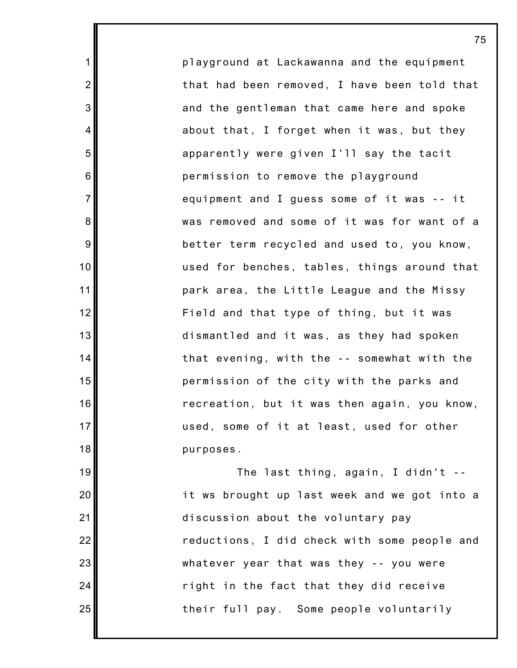playground at Lackawanna and the equipment that had been removed, I have been told that and the gentleman that came here and spoke about that, I forget when it was, but they apparently were given I'll say the tacit permission to remove the playground equipment and I guess some of it was -- it was removed and some of it was for want of a better term recycled and used to, you know, used for benches, tables, things around that park area, the Little League and the Missy Field and that type of thing, but it was dismantled and it was, as they had spoken that evening, with the -- somewhat with the permission of the city with the parks and recreation, but it was then again, you know, used, some of it at least, used for other purposes.

1

2

3

4

5

6

7

8

9

10

11

12

13

14

15

16

17

18

19

20

21

22

23

24

25

The last thing, again, I didn't - it ws brought up last week and we got into a discussion about the voluntary pay reductions, I did check with some people and whatever year that was they -- you were right in the fact that they did receive their full pay. Some people voluntarily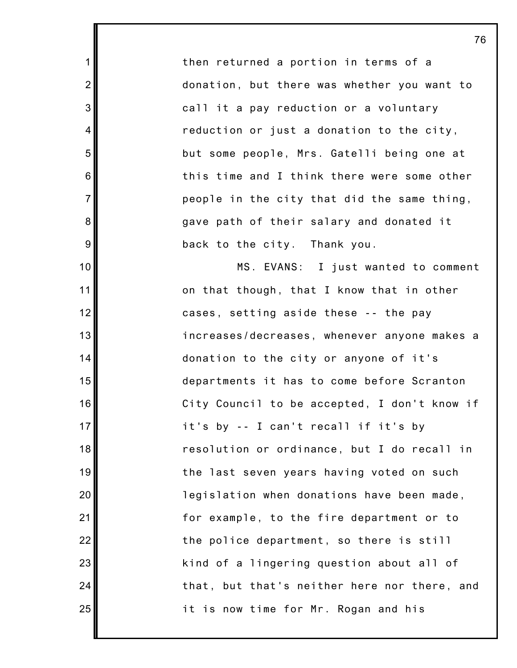then returned a portion in terms of a donation, but there was whether you want to call it a pay reduction or a voluntary reduction or just a donation to the city, but some people, Mrs. Gatelli being one at this time and I think there were some other people in the city that did the same thing, gave path of their salary and donated it back to the city. Thank you.

1

2

3

4

5

6

7

8

9

10

11

12

13

14

15

16

17

18

19

20

21

22

23

24

25

MS. EVANS: I just wanted to comment on that though, that I know that in other cases, setting aside these -- the pay increases/decreases, whenever anyone makes a donation to the city or anyone of it's departments it has to come before Scranton City Council to be accepted, I don't know if it's by -- I can't recall if it's by resolution or ordinance, but I do recall in the last seven years having voted on such legislation when donations have been made, for example, to the fire department or to the police department, so there is still kind of a lingering question about all of that, but that's neither here nor there, and it is now time for Mr. Rogan and his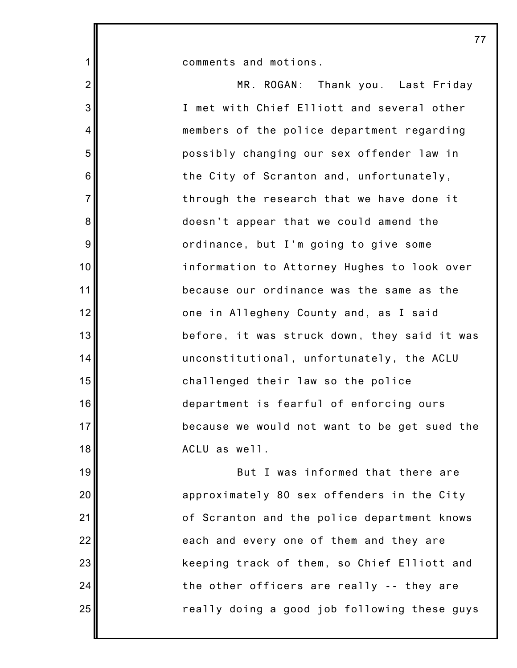comments and motions.

1

2

3

4

5

6

7

8

9

10

11

12

13

14

15

16

17

18

19

20

21

22

23

24

25

MR. ROGAN: Thank you. Last Friday I met with Chief Elliott and several other members of the police department regarding possibly changing our sex offender law in the City of Scranton and, unfortunately, through the research that we have done it doesn't appear that we could amend the ordinance, but I'm going to give some information to Attorney Hughes to look over because our ordinance was the same as the one in Allegheny County and, as I said before, it was struck down, they said it was unconstitutional, unfortunately, the ACLU challenged their law so the police department is fearful of enforcing ours because we would not want to be get sued the ACLU as well.

But I was informed that there are approximately 80 sex offenders in the City of Scranton and the police department knows each and every one of them and they are keeping track of them, so Chief Elliott and the other officers are really -- they are really doing a good job following these guys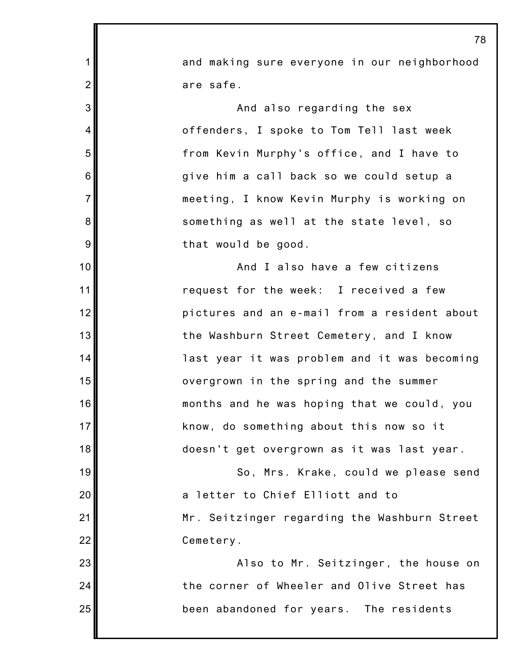|                 | 78                                           |
|-----------------|----------------------------------------------|
| 1               | and making sure everyone in our neighborhood |
| $\overline{2}$  | are safe.                                    |
| 3               | And also regarding the sex                   |
| $\overline{4}$  | offenders, I spoke to Tom Tell last week     |
| 5               | from Kevin Murphy's office, and I have to    |
| $6\phantom{1}6$ | give him a call back so we could setup a     |
| $\overline{7}$  | meeting, I know Kevin Murphy is working on   |
| 8               | something as well at the state level, so     |
| 9               | that would be good.                          |
| 10              | And I also have a few citizens               |
| 11              | request for the week: I received a few       |
| 12              | pictures and an e-mail from a resident about |
| 13              | the Washburn Street Cemetery, and I know     |
| 14              | last year it was problem and it was becoming |
| 15              | overgrown in the spring and the summer       |
| 16              | months and he was hoping that we could, you  |
| 17              | know, do something about this now so it      |
| 18              | doesn't get overgrown as it was last year.   |
| 19              | So, Mrs. Krake, could we please send         |
| 20              | a letter to Chief Elliott and to             |
| 21              | Mr. Seitzinger regarding the Washburn Street |
| 22              | Cemetery.                                    |
| 23              | Also to Mr. Seitzinger, the house on         |
| 24              | the corner of Wheeler and Olive Street has   |
| 25              | been abandoned for years. The residents      |
|                 |                                              |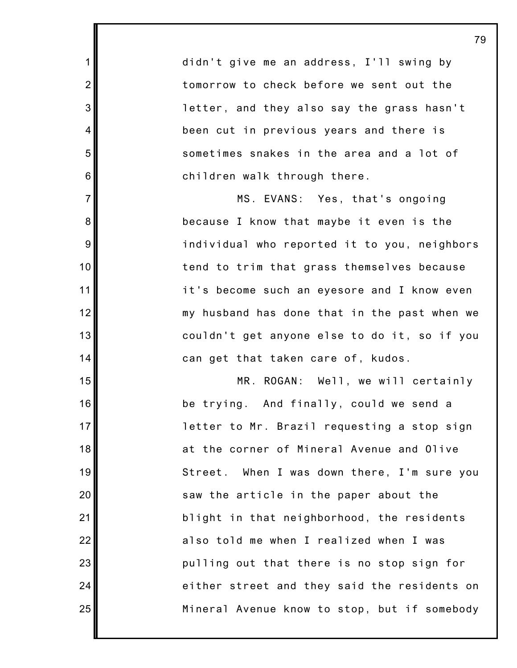didn't give me an address, I'll swing by tomorrow to check before we sent out the letter, and they also say the grass hasn't been cut in previous years and there is sometimes snakes in the area and a lot of children walk through there.

1

2

3

4

5

6

7

8

9

10

11

12

13

14

15

16

17

18

19

20

21

22

23

24

25

MS. EVANS: Yes, that's ongoing because I know that maybe it even is the individual who reported it to you, neighbors tend to trim that grass themselves because it's become such an eyesore and I know even my husband has done that in the past when we couldn't get anyone else to do it, so if you can get that taken care of, kudos.

MR. ROGAN: Well, we will certainly be trying. And finally, could we send a letter to Mr. Brazil requesting a stop sign at the corner of Mineral Avenue and Olive Street. When I was down there, I'm sure you saw the article in the paper about the blight in that neighborhood, the residents also told me when I realized when I was pulling out that there is no stop sign for either street and they said the residents on Mineral Avenue know to stop, but if somebody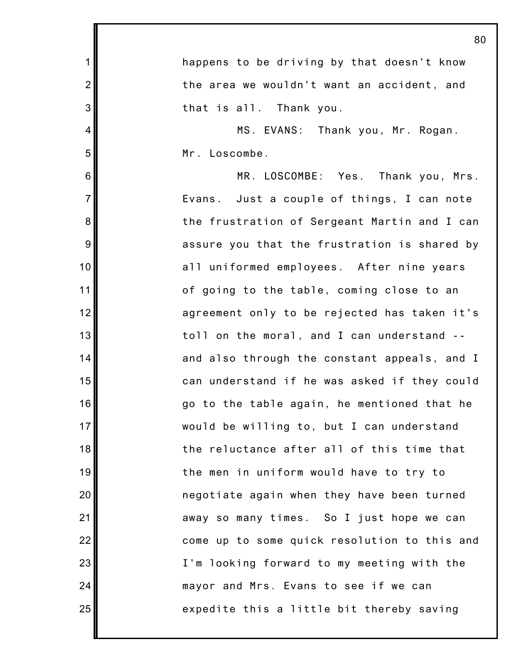|                | 80                                           |
|----------------|----------------------------------------------|
| $\mathbf 1$    | happens to be driving by that doesn't know   |
| $\overline{2}$ | the area we wouldn't want an accident, and   |
| 3              | that is all. Thank you.                      |
| 4              | MS. EVANS: Thank you, Mr. Rogan.             |
| 5              | Mr. Loscombe.                                |
| 6              | MR. LOSCOMBE: Yes. Thank you, Mrs.           |
| $\overline{7}$ | Evans. Just a couple of things, I can note   |
| 8              | the frustration of Sergeant Martin and I can |
| 9              | assure you that the frustration is shared by |
| 10             | all uniformed employees. After nine years    |
| 11             | of going to the table, coming close to an    |
| 12             | agreement only to be rejected has taken it's |
| 13             | toll on the moral, and I can understand --   |
| 14             | and also through the constant appeals, and I |
| 15             | can understand if he was asked if they could |
| 16             | go to the table again, he mentioned that he  |
| 17             | would be willing to, but I can understand    |
| 18             | the reluctance after all of this time that   |
| 19             | the men in uniform would have to try to      |
| 20             | negotiate again when they have been turned   |
| 21             | away so many times. So I just hope we can    |
| 22             | come up to some quick resolution to this and |
| 23             | I'm looking forward to my meeting with the   |
| 24             | mayor and Mrs. Evans to see if we can        |
| 25             | expedite this a little bit thereby saving    |
|                |                                              |

 $\sim$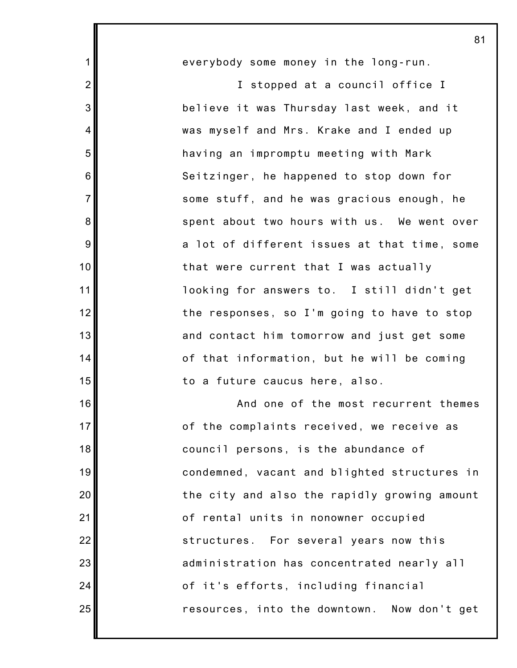everybody some money in the long-run. I stopped at a council office I believe it was Thursday last week, and it was myself and Mrs. Krake and I ended up having an impromptu meeting with Mark Seitzinger, he happened to stop down for some stuff, and he was gracious enough, he spent about two hours with us. We went over a lot of different issues at that time, some that were current that I was actually looking for answers to. I still didn't get the responses, so I'm going to have to stop and contact him tomorrow and just get some of that information, but he will be coming to a future caucus here, also. And one of the most recurrent themes of the complaints received, we receive as council persons, is the abundance of

1

2

3

4

5

6

7

8

9

10

11

12

13

14

15

16

17

18

19

20

21

22

23

24

25

condemned, vacant and blighted structures in the city and also the rapidly growing amount of rental units in nonowner occupied structures. For several years now this administration has concentrated nearly all of it's efforts, including financial resources, into the downtown. Now don't get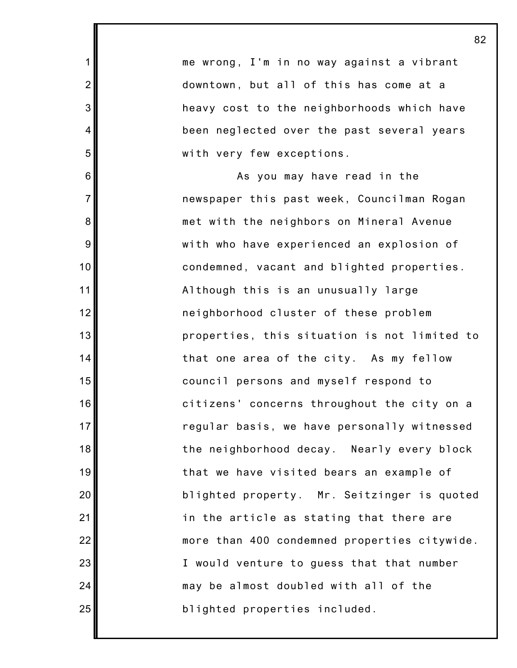me wrong, I'm in no way against a vibrant downtown, but all of this has come at a heavy cost to the neighborhoods which have been neglected over the past several years with very few exceptions.

1

2

3

4

5

6

7

8

9

10

11

12

13

14

15

16

17

18

19

20

21

22

23

24

25

As you may have read in the newspaper this past week, Councilman Rogan met with the neighbors on Mineral Avenue with who have experienced an explosion of condemned, vacant and blighted properties. Although this is an unusually large neighborhood cluster of these problem properties, this situation is not limited to that one area of the city. As my fellow council persons and myself respond to citizens' concerns throughout the city on a regular basis, we have personally witnessed the neighborhood decay. Nearly every block that we have visited bears an example of blighted property. Mr. Seitzinger is quoted in the article as stating that there are more than 400 condemned properties citywide. I would venture to guess that that number may be almost doubled with all of the blighted properties included.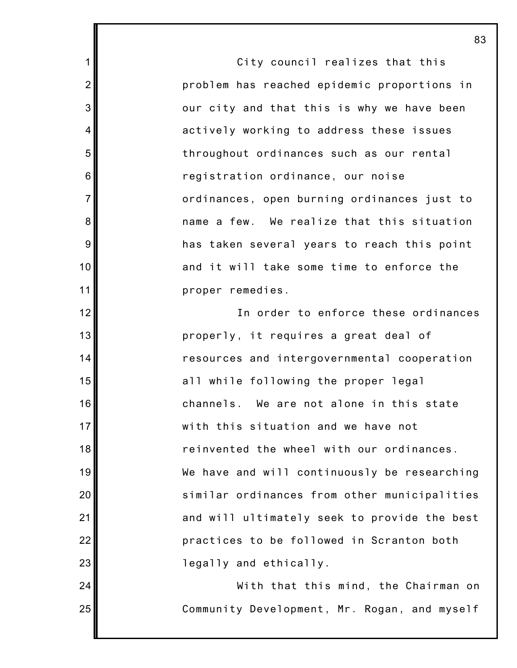City council realizes that this problem has reached epidemic proportions in our city and that this is why we have been actively working to address these issues throughout ordinances such as our rental registration ordinance, our noise ordinances, open burning ordinances just to name a few. We realize that this situation has taken several years to reach this point and it will take some time to enforce the proper remedies.

1

2

3

4

5

6

7

8

9

10

11

12

13

14

15

16

17

18

19

20

21

22

23

24

25

In order to enforce these ordinances properly, it requires a great deal of resources and intergovernmental cooperation all while following the proper legal channels. We are not alone in this state with this situation and we have not reinvented the wheel with our ordinances. We have and will continuously be researching similar ordinances from other municipalities and will ultimately seek to provide the best practices to be followed in Scranton both legally and ethically.

With that this mind, the Chairman on Community Development, Mr. Rogan, and myself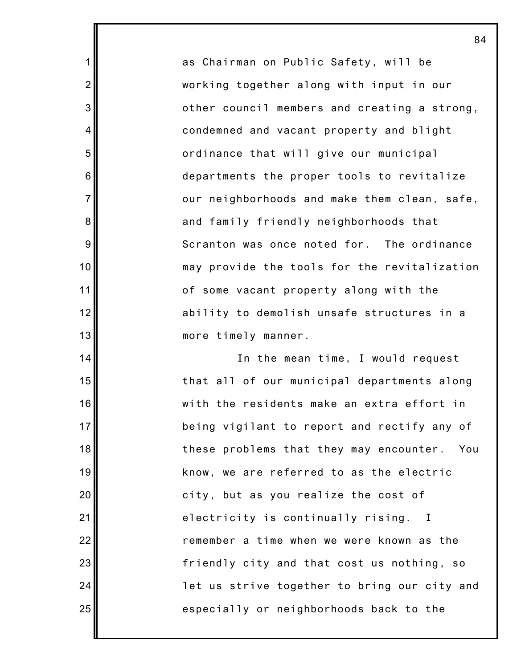as Chairman on Public Safety, will be working together along with input in our other council members and creating a strong, condemned and vacant property and blight ordinance that will give our municipal departments the proper tools to revitalize our neighborhoods and make them clean, safe, and family friendly neighborhoods that Scranton was once noted for. The ordinance may provide the tools for the revitalization of some vacant property along with the ability to demolish unsafe structures in a more timely manner.

1

2

3

4

5

6

7

8

9

10

11

12

13

14

15

16

17

18

19

20

21

22

23

24

25

In the mean time, I would request that all of our municipal departments along with the residents make an extra effort in being vigilant to report and rectify any of these problems that they may encounter. You know, we are referred to as the electric city, but as you realize the cost of electricity is continually rising. I remember a time when we were known as the friendly city and that cost us nothing, so let us strive together to bring our city and especially or neighborhoods back to the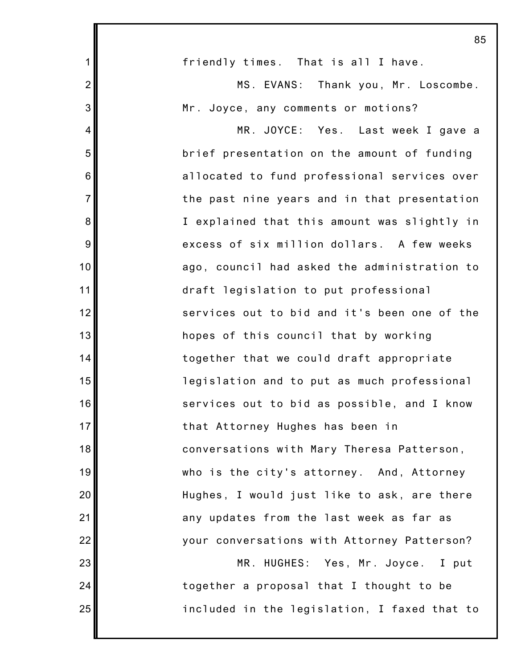|                | 85                                           |
|----------------|----------------------------------------------|
| $\mathbf 1$    | friendly times. That is all I have.          |
| $\overline{2}$ | MS. EVANS: Thank you, Mr. Loscombe.          |
| 3              | Mr. Joyce, any comments or motions?          |
| $\overline{4}$ | MR. JOYCE: Yes. Last week I gave a           |
| 5              | brief presentation on the amount of funding  |
| 6              | allocated to fund professional services over |
| $\overline{7}$ | the past nine years and in that presentation |
| 8              | I explained that this amount was slightly in |
| $\overline{9}$ | excess of six million dollars. A few weeks   |
| 10             | ago, council had asked the administration to |
| 11             | draft legislation to put professional        |
| 12             | services out to bid and it's been one of the |
| 13             | hopes of this council that by working        |
| 14             | together that we could draft appropriate     |
| 15             | legislation and to put as much professional  |
| 16             | services out to bid as possible, and I know  |
| 17             | that Attorney Hughes has been in             |
| 18             | conversations with Mary Theresa Patterson,   |
| 19             | who is the city's attorney. And, Attorney    |
| 20             | Hughes, I would just like to ask, are there  |
| 21             | any updates from the last week as far as     |
| 22             | your conversations with Attorney Patterson?  |
| 23             | MR. HUGHES: Yes, Mr. Joyce.<br>I put         |
| 24             | together a proposal that I thought to be     |
| 25             | included in the legislation, I faxed that to |
|                |                                              |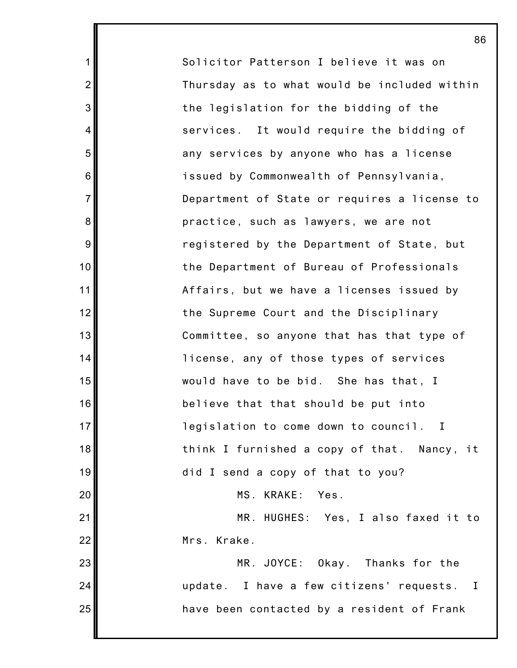Solicitor Patterson I believe it was on Thursday as to what would be included within the legislation for the bidding of the services. It would require the bidding of any services by anyone who has a license issued by Commonwealth of Pennsylvania, Department of State or requires a license to practice, such as lawyers, we are not registered by the Department of State, but the Department of Bureau of Professionals Affairs, but we have a licenses issued by the Supreme Court and the Disciplinary Committee, so anyone that has that type of license, any of those types of services would have to be bid. She has that, I believe that that should be put into legislation to come down to council. I think I furnished a copy of that. Nancy, it did I send a copy of that to you? MS. KRAKE: Yes. MR. HUGHES: Yes, I also faxed it to Mrs. Krake. MR. JOYCE: Okay. Thanks for the update. I have a few citizens' requests. I have been contacted by a resident of Frank

1

2

3

4

5

6

7

8

9

10

11

12

13

14

15

16

17

18

19

20

21

22

23

24

25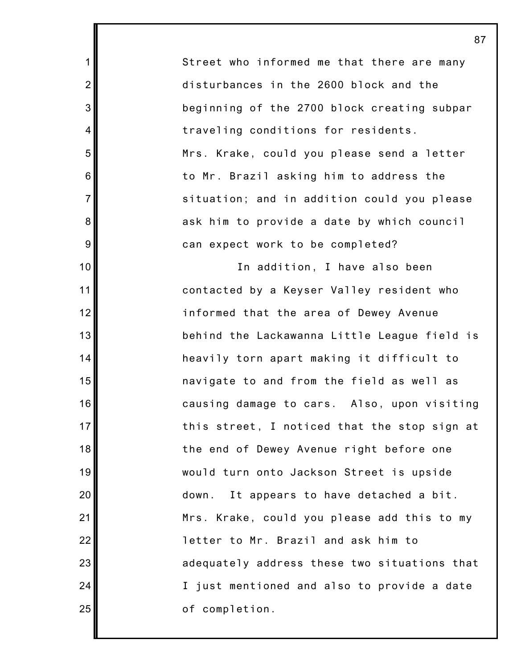Street who informed me that there are many disturbances in the 2600 block and the beginning of the 2700 block creating subpar traveling conditions for residents. Mrs. Krake, could you please send a letter to Mr. Brazil asking him to address the situation; and in addition could you please ask him to provide a date by which council can expect work to be completed?

1

2

3

4

5

6

7

8

9

10

11

12

13

14

15

16

17

18

19

20

21

22

23

24

25

In addition, I have also been contacted by a Keyser Valley resident who informed that the area of Dewey Avenue behind the Lackawanna Little League field is heavily torn apart making it difficult to navigate to and from the field as well as causing damage to cars. Also, upon visiting this street, I noticed that the stop sign at the end of Dewey Avenue right before one would turn onto Jackson Street is upside down. It appears to have detached a bit. Mrs. Krake, could you please add this to my letter to Mr. Brazil and ask him to adequately address these two situations that I just mentioned and also to provide a date of completion.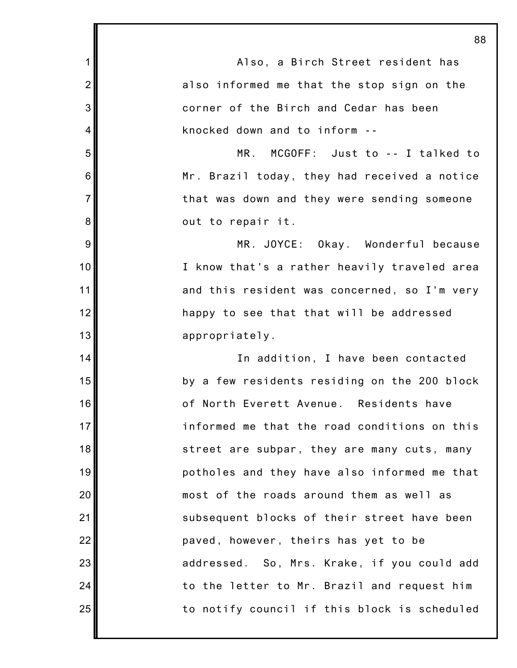1 2 3 4 5 6 7 8 9 10 11 12 13 14 15 16 17 18 19 20 21 22 23 24 25 88 Also, a Birch Street resident has also informed me that the stop sign on the corner of the Birch and Cedar has been knocked down and to inform -- MR. MCGOFF: Just to -- I talked to Mr. Brazil today, they had received a notice that was down and they were sending someone out to repair it. MR. JOYCE: Okay. Wonderful because I know that's a rather heavily traveled area and this resident was concerned, so I'm very happy to see that that will be addressed appropriately. In addition, I have been contacted by a few residents residing on the 200 block of North Everett Avenue. Residents have informed me that the road conditions on this street are subpar, they are many cuts, many potholes and they have also informed me that most of the roads around them as well as subsequent blocks of their street have been paved, however, theirs has yet to be addressed. So, Mrs. Krake, if you could add to the letter to Mr. Brazil and request him to notify council if this block is scheduled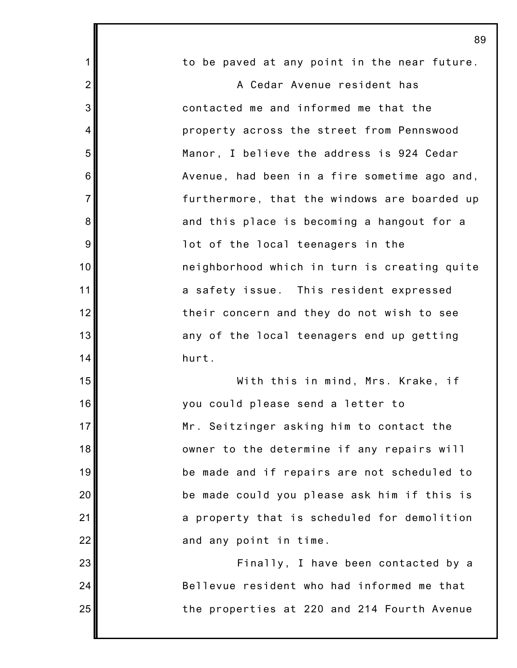|                | 89                                           |
|----------------|----------------------------------------------|
| $\mathbf 1$    | to be paved at any point in the near future. |
| $\overline{2}$ | A Cedar Avenue resident has                  |
| 3              | contacted me and informed me that the        |
| 4              | property across the street from Pennswood    |
| 5              | Manor, I believe the address is 924 Cedar    |
| 6              | Avenue, had been in a fire sometime ago and, |
| $\overline{7}$ | furthermore, that the windows are boarded up |
| 8              | and this place is becoming a hangout for a   |
| 9              | lot of the local teenagers in the            |
| 10             | neighborhood which in turn is creating quite |
| 11             | a safety issue. This resident expressed      |
| 12             | their concern and they do not wish to see    |
| 13             | any of the local teenagers end up getting    |
| 14             | hurt.                                        |
| 15             | With this in mind, Mrs. Krake, if            |
| 16             | you could please send a letter to            |
| 17             | Mr. Seitzinger asking him to contact the     |
| 18             | owner to the determine if any repairs will   |
| 19             | be made and if repairs are not scheduled to  |
| 20             | be made could you please ask him if this is  |
| 21             | a property that is scheduled for demolition  |
| 22             | and any point in time.                       |
| 23             | Finally, I have been contacted by a          |
| 24             | Bellevue resident who had informed me that   |
| 25             | the properties at 220 and 214 Fourth Avenue  |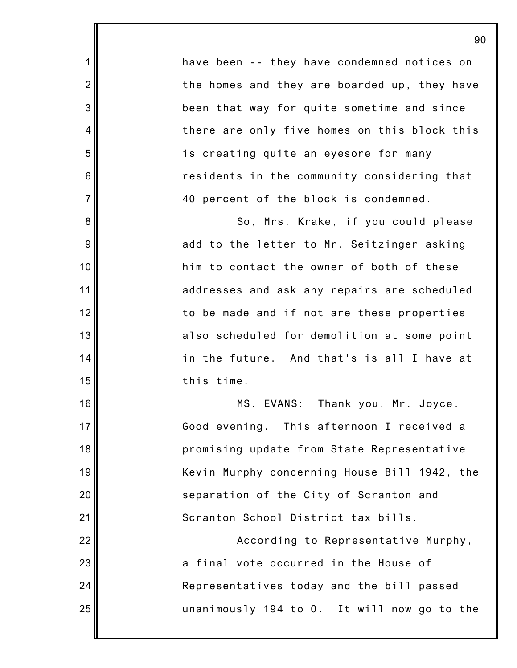have been -- they have condemned notices on the homes and they are boarded up, they have been that way for quite sometime and since there are only five homes on this block this is creating quite an eyesore for many residents in the community considering that 40 percent of the block is condemned.

1

2

3

4

5

6

7

8

9

10

11

12

13

14

15

16

17

18

19

20

21

22

23

24

25

So, Mrs. Krake, if you could please add to the letter to Mr. Seitzinger asking him to contact the owner of both of these addresses and ask any repairs are scheduled to be made and if not are these properties also scheduled for demolition at some point in the future. And that's is all I have at this time.

MS. EVANS: Thank you, Mr. Joyce. Good evening. This afternoon I received a promising update from State Representative Kevin Murphy concerning House Bill 1942, the separation of the City of Scranton and Scranton School District tax bills.

According to Representative Murphy, a final vote occurred in the House of Representatives today and the bill passed unanimously 194 to 0. It will now go to the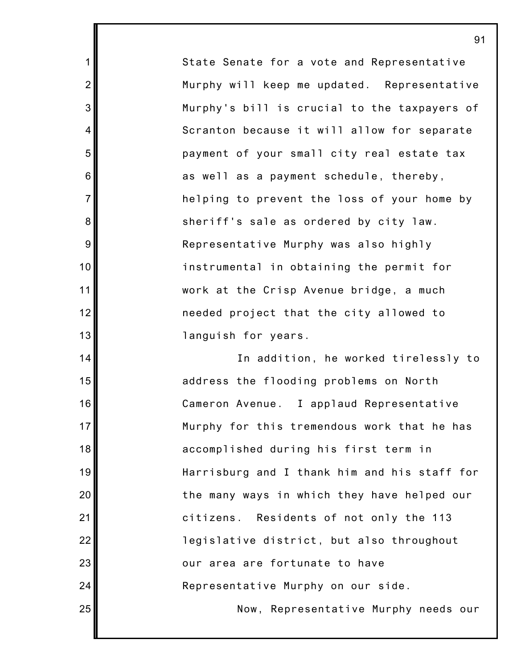State Senate for a vote and Representative Murphy will keep me updated. Representative Murphy's bill is crucial to the taxpayers of Scranton because it will allow for separate payment of your small city real estate tax as well as a payment schedule, thereby, helping to prevent the loss of your home by sheriff's sale as ordered by city law. Representative Murphy was also highly instrumental in obtaining the permit for work at the Crisp Avenue bridge, a much needed project that the city allowed to languish for years.

1

2

3

4

5

6

7

8

9

10

11

12

13

14

15

16

17

18

19

20

21

22

23

24

25

In addition, he worked tirelessly to address the flooding problems on North Cameron Avenue. I applaud Representative Murphy for this tremendous work that he has accomplished during his first term in Harrisburg and I thank him and his staff for the many ways in which they have helped our citizens. Residents of not only the 113 legislative district, but also throughout our area are fortunate to have Representative Murphy on our side. Now, Representative Murphy needs our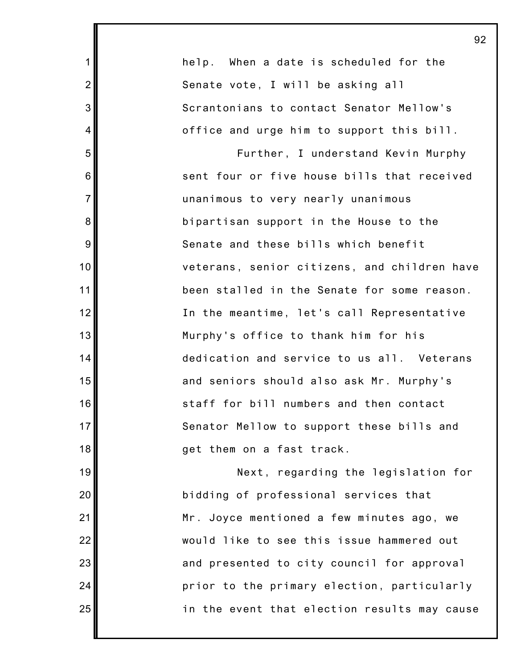|                | 92                                           |
|----------------|----------------------------------------------|
| $\mathbf{1}$   | help. When a date is scheduled for the       |
| $\overline{2}$ | Senate vote, I will be asking all            |
| 3              | Scrantonians to contact Senator Mellow's     |
| 4              | office and urge him to support this bill.    |
| 5              | Further, I understand Kevin Murphy           |
| 6              | sent four or five house bills that received  |
| $\overline{7}$ | unanimous to very nearly unanimous           |
| 8              | bipartisan support in the House to the       |
| 9              | Senate and these bills which benefit         |
| 10             | veterans, senior citizens, and children have |
| 11             | been stalled in the Senate for some reason.  |
| 12             | In the meantime, let's call Representative   |
| 13             | Murphy's office to thank him for his         |
| 14             | dedication and service to us all. Veterans   |
| 15             | and seniors should also ask Mr. Murphy's     |
| 16             | staff for bill numbers and then contact      |
| 17             | Senator Mellow to support these bills and    |
| 18             | get them on a fast track.                    |
| 19             | Next, regarding the legislation for          |
| 20             | bidding of professional services that        |
| 21             | Mr. Joyce mentioned a few minutes ago, we    |
| 22             | would like to see this issue hammered out    |
| 23             | and presented to city council for approval   |
| 24             | prior to the primary election, particularly  |
| 25             | in the event that election results may cause |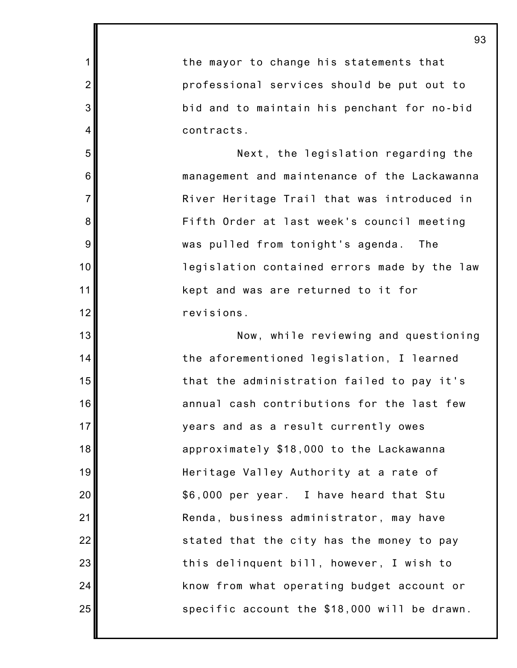the mayor to change his statements that professional services should be put out to bid and to maintain his penchant for no-bid contracts.

1

2

3

4

5

6

7

8

9

10

11

12

13

14

15

16

17

18

19

20

21

22

23

24

25

Next, the legislation regarding the management and maintenance of the Lackawanna River Heritage Trail that was introduced in Fifth Order at last week's council meeting was pulled from tonight's agenda. The legislation contained errors made by the law kept and was are returned to it for revisions.

Now, while reviewing and questioning the aforementioned legislation, I learned that the administration failed to pay it's annual cash contributions for the last few years and as a result currently owes approximately \$18,000 to the Lackawanna Heritage Valley Authority at a rate of \$6,000 per year. I have heard that Stu Renda, business administrator, may have stated that the city has the money to pay this delinquent bill, however, I wish to know from what operating budget account or specific account the \$18,000 will be drawn.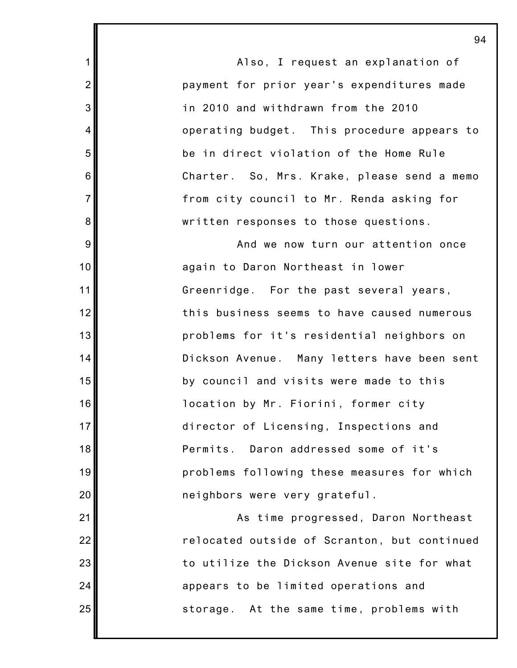Also, I request an explanation of payment for prior year's expenditures made in 2010 and withdrawn from the 2010 operating budget. This procedure appears to be in direct violation of the Home Rule Charter. So, Mrs. Krake, please send a memo from city council to Mr. Renda asking for written responses to those questions.

1

2

3

4

5

6

7

8

9

10

11

12

13

14

15

16

17

18

19

20

21

22

23

24

25

And we now turn our attention once again to Daron Northeast in lower Greenridge. For the past several years, this business seems to have caused numerous problems for it's residential neighbors on Dickson Avenue. Many letters have been sent by council and visits were made to this location by Mr. Fiorini, former city director of Licensing, Inspections and Permits. Daron addressed some of it's problems following these measures for which neighbors were very grateful.

As time progressed, Daron Northeast relocated outside of Scranton, but continued to utilize the Dickson Avenue site for what appears to be limited operations and storage. At the same time, problems with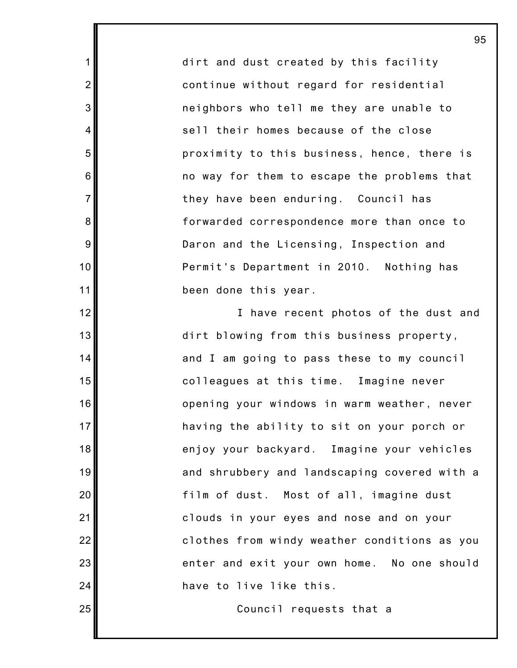dirt and dust created by this facility continue without regard for residential neighbors who tell me they are unable to sell their homes because of the close proximity to this business, hence, there is no way for them to escape the problems that they have been enduring. Council has forwarded correspondence more than once to Daron and the Licensing, Inspection and Permit's Department in 2010. Nothing has been done this year.

1

2

3

4

5

6

7

8

9

10

11

12

13

14

15

16

17

18

19

20

21

22

23

24

25

I have recent photos of the dust and dirt blowing from this business property, and I am going to pass these to my council colleagues at this time. Imagine never opening your windows in warm weather, never having the ability to sit on your porch or enjoy your backyard. Imagine your vehicles and shrubbery and landscaping covered with a film of dust. Most of all, imagine dust clouds in your eyes and nose and on your clothes from windy weather conditions as you enter and exit your own home. No one should have to live like this.

Council requests that a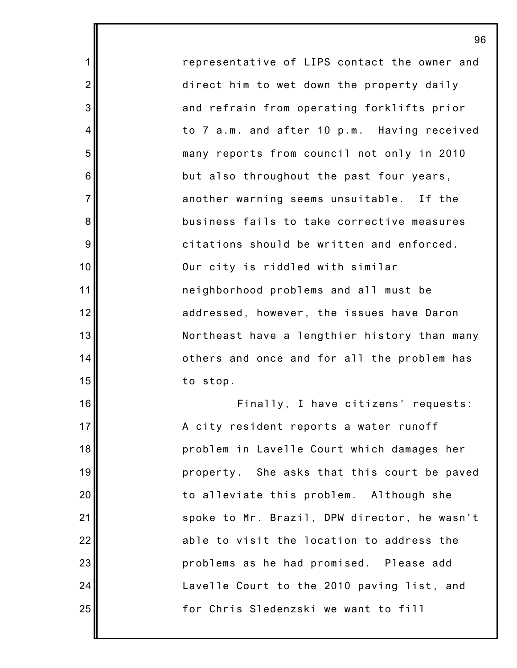representative of LIPS contact the owner and direct him to wet down the property daily and refrain from operating forklifts prior to 7 a.m. and after 10 p.m. Having received many reports from council not only in 2010 but also throughout the past four years, another warning seems unsuitable. If the business fails to take corrective measures citations should be written and enforced. Our city is riddled with similar neighborhood problems and all must be addressed, however, the issues have Daron Northeast have a lengthier history than many others and once and for all the problem has to stop.

1

2

3

4

5

6

7

8

9

10

11

12

13

14

15

16

17

18

19

20

21

22

23

24

25

Finally, I have citizens' requests: A city resident reports a water runoff problem in Lavelle Court which damages her property. She asks that this court be paved to alleviate this problem. Although she spoke to Mr. Brazil, DPW director, he wasn't able to visit the location to address the problems as he had promised. Please add Lavelle Court to the 2010 paving list, and for Chris Sledenzski we want to fill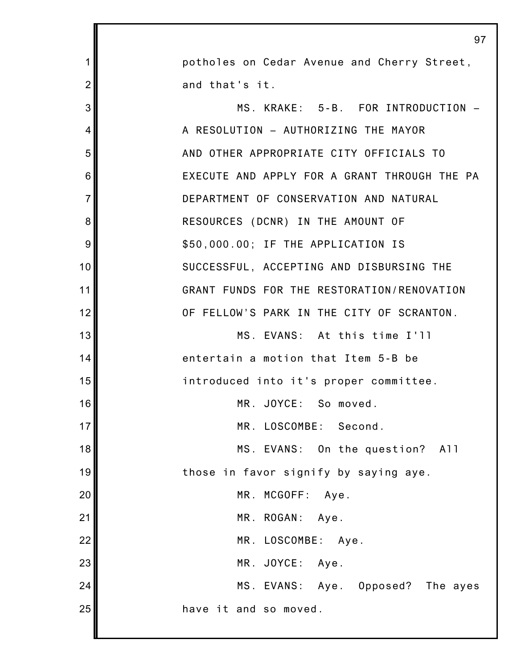|                | 97                                           |
|----------------|----------------------------------------------|
| 1              | potholes on Cedar Avenue and Cherry Street,  |
| $\overline{2}$ | and that's it.                               |
| 3              | MS. KRAKE: 5-B. FOR INTRODUCTION -           |
| 4              | A RESOLUTION - AUTHORIZING THE MAYOR         |
| 5              | AND OTHER APPROPRIATE CITY OFFICIALS TO      |
| 6              | EXECUTE AND APPLY FOR A GRANT THROUGH THE PA |
| $\overline{7}$ | DEPARTMENT OF CONSERVATION AND NATURAL       |
| 8              | RESOURCES (DCNR) IN THE AMOUNT OF            |
| 9              | \$50,000.00; IF THE APPLICATION IS           |
| 10             | SUCCESSFUL, ACCEPTING AND DISBURSING THE     |
| 11             | GRANT FUNDS FOR THE RESTORATION/RENOVATION   |
| 12             | OF FELLOW'S PARK IN THE CITY OF SCRANTON.    |
| 13             | MS. EVANS: At this time I'll                 |
| 14             | entertain a motion that Item 5-B be          |
| 15             | introduced into it's proper committee.       |
| 16             | MR. JOYCE: So moved.                         |
| 17             | MR. LOSCOMBE: Second.                        |
| 18             | MS. EVANS: On the question? All              |
| 19             | those in favor signify by saying aye.        |
| 20             | MR. MCGOFF: Aye.                             |
| 21             | MR. ROGAN: Aye.                              |
| 22             | MR. LOSCOMBE: Aye.                           |
| 23             | MR. JOYCE: Aye.                              |
| 24             | MS. EVANS: Aye. Opposed? The ayes            |
| 25             | have it and so moved.                        |
|                |                                              |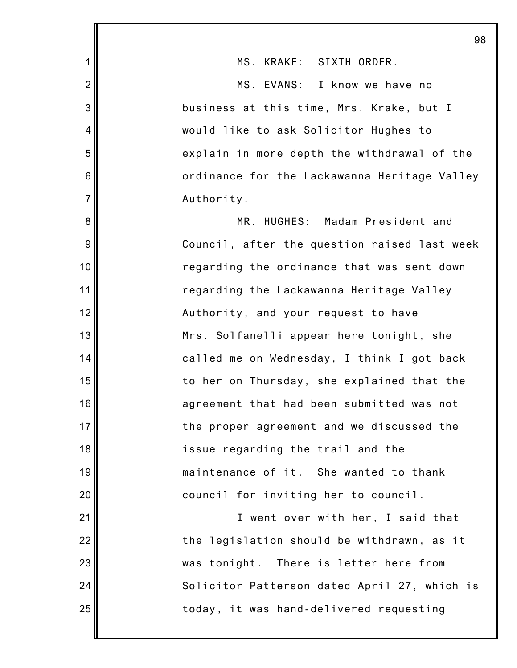|                | 98                                           |
|----------------|----------------------------------------------|
| 1              | MS. KRAKE: SIXTH ORDER.                      |
| $\overline{2}$ | MS. EVANS: I know we have no                 |
| 3              | business at this time, Mrs. Krake, but I     |
| 4              | would like to ask Solicitor Hughes to        |
| 5              | explain in more depth the withdrawal of the  |
| 6              | ordinance for the Lackawanna Heritage Valley |
| $\overline{7}$ | Authority.                                   |
| 8              | MR. HUGHES: Madam President and              |
| 9              | Council, after the question raised last week |
| 10             | regarding the ordinance that was sent down   |
| 11             | regarding the Lackawanna Heritage Valley     |
| 12             | Authority, and your request to have          |
| 13             | Mrs. Solfanelli appear here tonight, she     |
| 14             | called me on Wednesday, I think I got back   |
| 15             | to her on Thursday, she explained that the   |
| 16             | agreement that had been submitted was not    |
| 17             | the proper agreement and we discussed the    |
| 18             | issue regarding the trail and the            |
| 19             | maintenance of it. She wanted to thank       |
| 20             | council for inviting her to council.         |
| 21             | I went over with her, I said that            |
| 22             | the legislation should be withdrawn, as it   |
| 23             | was tonight. There is letter here from       |
| 24             | Solicitor Patterson dated April 27, which is |
| 25             | today, it was hand-delivered requesting      |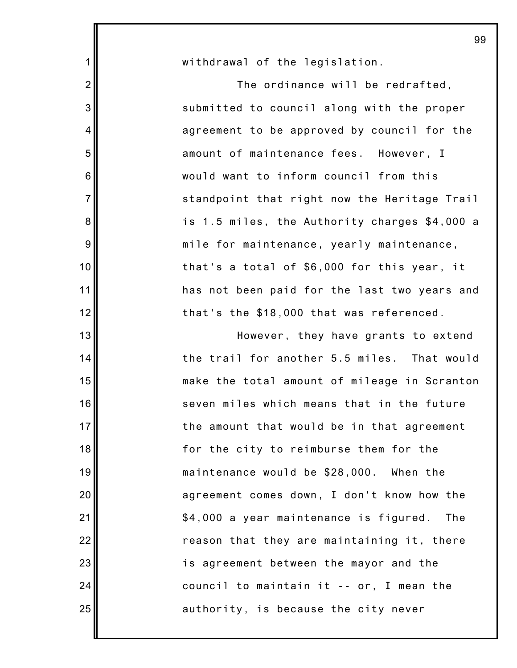| $\mathbf{1}$    | withdrawal of the legislation.                |
|-----------------|-----------------------------------------------|
| $\overline{2}$  | The ordinance will be redrafted,              |
| 3               | submitted to council along with the proper    |
| 4               | agreement to be approved by council for the   |
| 5               | amount of maintenance fees. However, I        |
| $\,6$           | would want to inform council from this        |
| $\overline{7}$  | standpoint that right now the Heritage Trail  |
| $\bf 8$         | is 1.5 miles, the Authority charges \$4,000 a |
| $9\,$           | mile for maintenance, yearly maintenance,     |
| 10              | that's a total of \$6,000 for this year, it   |
| 11              | has not been paid for the last two years and  |
| 12              | that's the \$18,000 that was referenced.      |
| 13              | However, they have grants to extend           |
| 14              | the trail for another 5.5 miles. That would   |
| 15              | make the total amount of mileage in Scranton  |
| 16              | seven miles which means that in the future    |
| 17 <sup>1</sup> | the amount that would be in that agreement    |
| 18              | for the city to reimburse them for the        |
| 19              | maintenance would be \$28,000. When the       |
| 20              | agreement comes down, I don't know how the    |
| 21              | \$4,000 a year maintenance is figured.<br>The |
| 22              | reason that they are maintaining it, there    |
| 23              | is agreement between the mayor and the        |
| 24              | council to maintain it -- or, I mean the      |
| 25              | authority, is because the city never          |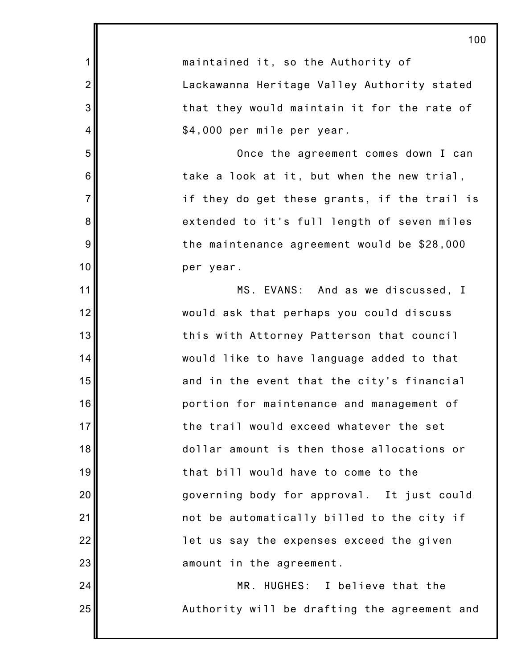1 2 3 4 5 6 7 8 9 10 11 12 13 14 15 16 17 18 19 20 21 22 23 24 25 100 maintained it, so the Authority of Lackawanna Heritage Valley Authority stated that they would maintain it for the rate of \$4,000 per mile per year. Once the agreement comes down I can take a look at it, but when the new trial, if they do get these grants, if the trail is extended to it's full length of seven miles the maintenance agreement would be \$28,000 per year. MS. EVANS: And as we discussed, I would ask that perhaps you could discuss this with Attorney Patterson that council would like to have language added to that and in the event that the city's financial portion for maintenance and management of the trail would exceed whatever the set dollar amount is then those allocations or that bill would have to come to the governing body for approval. It just could not be automatically billed to the city if let us say the expenses exceed the given amount in the agreement. MR. HUGHES: I believe that the Authority will be drafting the agreement and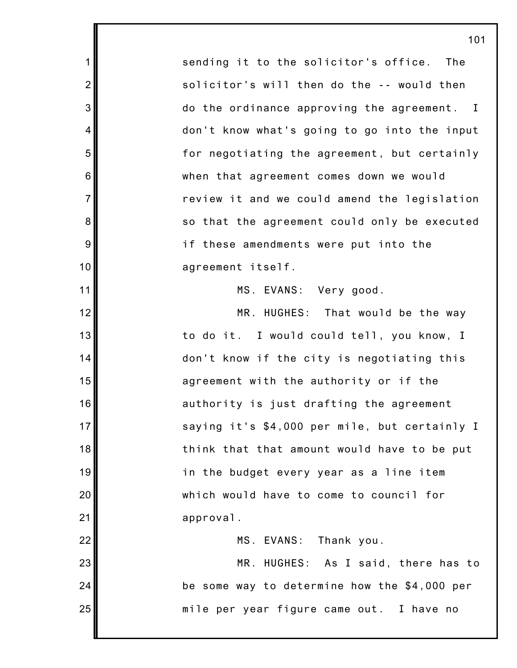sending it to the solicitor's office. The solicitor's will then do the -- would then do the ordinance approving the agreement. I don't know what's going to go into the input for negotiating the agreement, but certainly when that agreement comes down we would review it and we could amend the legislation so that the agreement could only be executed if these amendments were put into the agreement itself.

1

2

3

4

5

6

7

8

9

10

11

12

13

14

15

16

17

18

19

20

21

22

23

24

25

MS. EVANS: Very good.

MR. HUGHES: That would be the way to do it. I would could tell, you know, I don't know if the city is negotiating this agreement with the authority or if the authority is just drafting the agreement saying it's \$4,000 per mile, but certainly I think that that amount would have to be put in the budget every year as a line item which would have to come to council for approval.

MS. EVANS: Thank you. MR. HUGHES: As I said, there has to be some way to determine how the \$4,000 per mile per year figure came out. I have no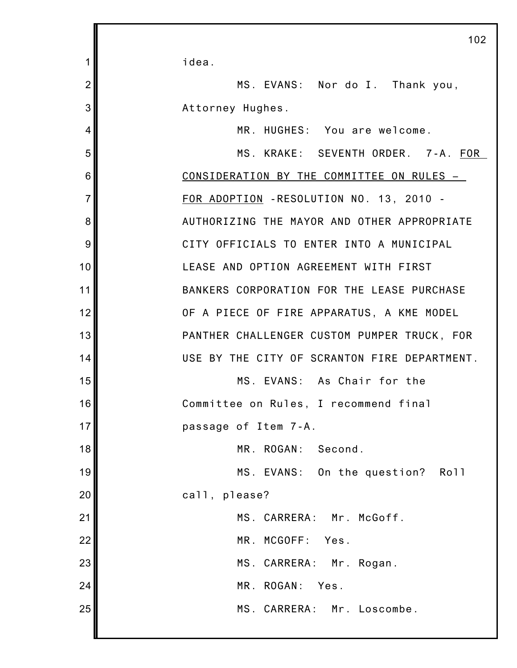idea.

1

2

3

4

MS. EVANS: Nor do I. Thank you, Attorney Hughes.

MR. HUGHES: You are welcome.

5 6 7 8 9 10 11 12 13 14 15 16 17 18 19 20 21 22 23 24 25 MS. KRAKE: SEVENTH ORDER. 7-A. FOR CONSIDERATI0N BY THE COMMITTEE ON RULES – FOR ADOPTION -RESOLUTION NO. 13, 2010 - AUTHORIZING THE MAYOR AND OTHER APPROPRIATE CITY OFFICIALS TO ENTER INTO A MUNICIPAL LEASE AND OPTION AGREEMENT WITH FIRST BANKERS CORPORATION FOR THE LEASE PURCHASE OF A PIECE OF FIRE APPARATUS, A KME MODEL PANTHER CHALLENGER CUSTOM PUMPER TRUCK, FOR USE BY THE CITY OF SCRANTON FIRE DEPARTMENT. MS. EVANS: As Chair for the Committee on Rules, I recommend final passage of Item 7-A. MR. ROGAN: Second. MS. EVANS: On the question? Roll call, please? MS. CARRERA: Mr. McGoff. MR. MCGOFF: Yes. MS. CARRERA: Mr. Rogan. MR. ROGAN: Yes. MS. CARRERA: Mr. Loscombe.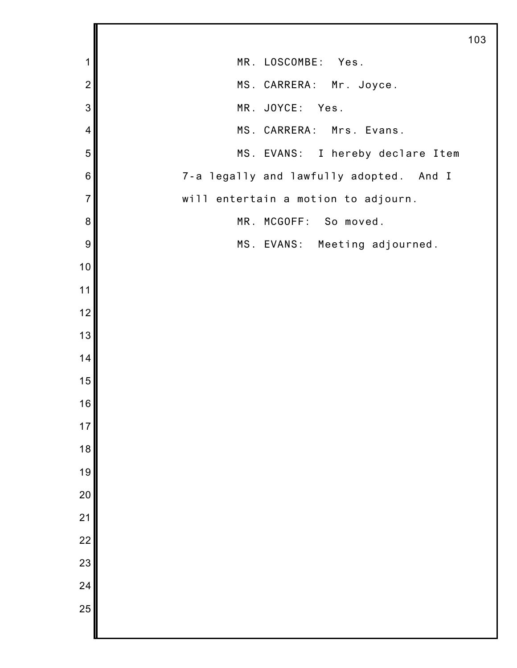